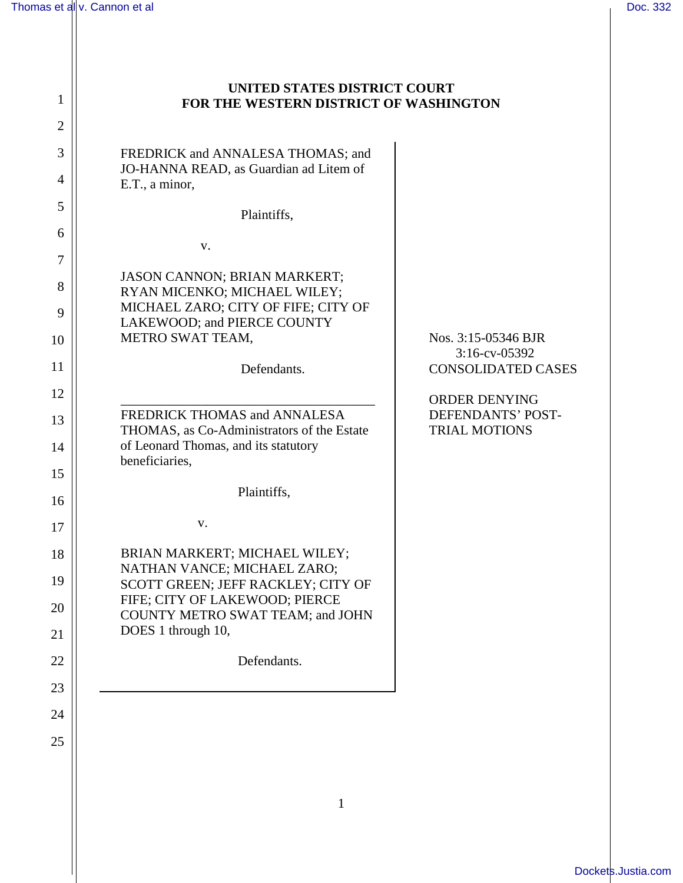1

2

3

4

5

6

7

8

9

10

11

12

13

14

15

16

17

18

19

20

21

22

23

24

25

## **UNITED STATES DISTRICT COURT FOR THE WESTERN DISTRICT OF WASHINGTON**

FREDRICK and ANNALESA THOMAS; and JO-HANNA READ, as Guardian ad Litem of E.T., a minor,

Plaintiffs,

v.

JASON CANNON; BRIAN MARKERT; RYAN MICENKO; MICHAEL WILEY; MICHAEL ZARO; CITY OF FIFE; CITY OF LAKEWOOD; and PIERCE COUNTY METRO SWAT TEAM,

Defendants.

\_\_\_\_\_\_\_\_\_\_\_\_\_\_\_\_\_\_\_\_\_\_\_\_\_\_\_\_\_\_\_\_\_\_\_\_\_\_ FREDRICK THOMAS and ANNALESA THOMAS, as Co-Administrators of the Estate of Leonard Thomas, and its statutory beneficiaries,

Plaintiffs,

v.

BRIAN MARKERT; MICHAEL WILEY; NATHAN VANCE; MICHAEL ZARO; SCOTT GREEN; JEFF RACKLEY; CITY OF FIFE; CITY OF LAKEWOOD; PIERCE COUNTY METRO SWAT TEAM; and JOHN DOES 1 through 10,

Defendants.

Nos. 3:15-05346 BJR 3:16-cv-05392 CONSOLIDATED CASES

ORDER DENYING DEFENDANTS' POST-TRIAL MOTIONS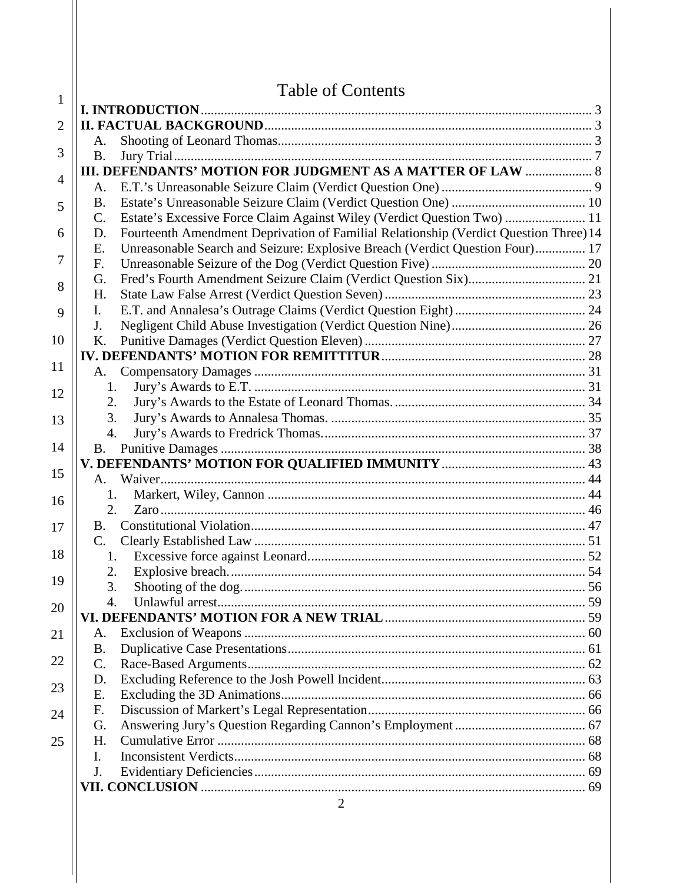|                | <b>Table of Contents</b>                                                                    |  |
|----------------|---------------------------------------------------------------------------------------------|--|
| 1              |                                                                                             |  |
| $\overline{2}$ |                                                                                             |  |
|                | A.                                                                                          |  |
| 3              | <b>B.</b>                                                                                   |  |
| $\overline{4}$ | <b>III. DEFENDANTS' MOTION FOR JUDGMENT AS A MATTER OF LAW  8</b>                           |  |
|                |                                                                                             |  |
| 5              | B.                                                                                          |  |
|                | Estate's Excessive Force Claim Against Wiley (Verdict Question Two)  11<br>$C_{\cdot}$      |  |
| 6<br>7         | Fourteenth Amendment Deprivation of Familial Relationship (Verdict Question Three) 14<br>D. |  |
|                | Unreasonable Search and Seizure: Explosive Breach (Verdict Question Four) 17<br>Ε.          |  |
|                | F <sub>r</sub><br>G.                                                                        |  |
| 8              | H.                                                                                          |  |
|                | I.                                                                                          |  |
| 9              | J.                                                                                          |  |
| 10             | K.                                                                                          |  |
|                |                                                                                             |  |
| 11             | A.                                                                                          |  |
|                | 1.                                                                                          |  |
| 12             | 2.                                                                                          |  |
| 13             | 3.                                                                                          |  |
|                | 4.                                                                                          |  |
| 14             |                                                                                             |  |
|                |                                                                                             |  |
| 15             | $A_{\perp}$                                                                                 |  |
| 16             | 1.                                                                                          |  |
|                | 2.                                                                                          |  |
| 17             | <b>B.</b>                                                                                   |  |
|                | $C_{\cdot}$                                                                                 |  |
| 18             | 1.                                                                                          |  |
| 19             | 2.                                                                                          |  |
|                | 3.                                                                                          |  |
| 20             | $\overline{4}$ .                                                                            |  |
|                |                                                                                             |  |
| 21             | A.                                                                                          |  |
| 22             | <b>B.</b>                                                                                   |  |
|                | $\mathbf{C}$ .                                                                              |  |
| 23             | D.<br>Ε.                                                                                    |  |
|                | F.                                                                                          |  |
| 24             | G.                                                                                          |  |
| 25             | H.                                                                                          |  |
|                | Ι.                                                                                          |  |
|                | J.                                                                                          |  |
|                |                                                                                             |  |
|                | $\Omega$                                                                                    |  |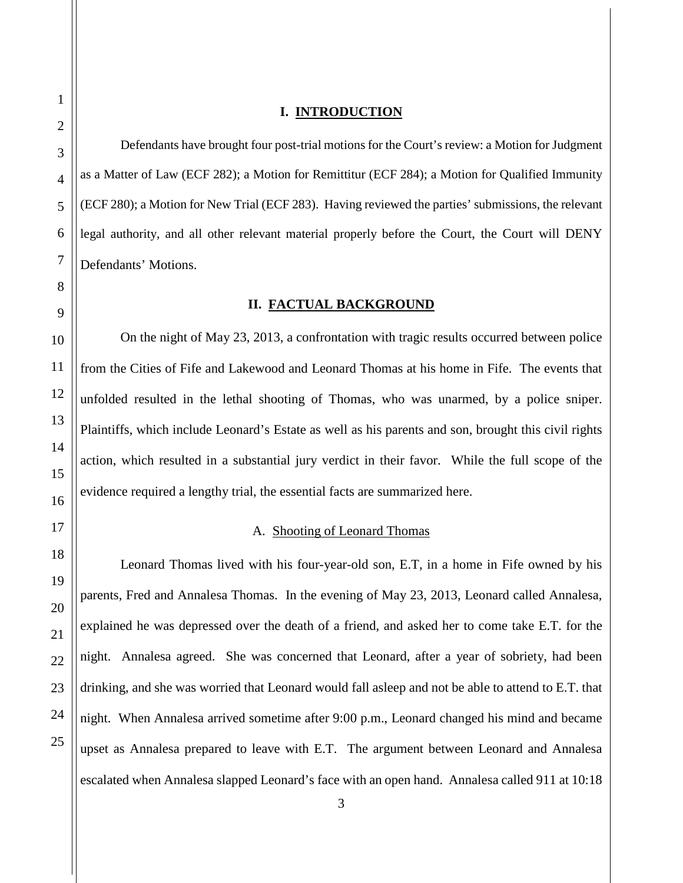<span id="page-2-0"></span>Defendants have brought four post-trial motions for the Court's review: a Motion for Judgment as a Matter of Law (ECF 282); a Motion for Remittitur (ECF 284); a Motion for Qualified Immunity (ECF 280); a Motion for New Trial (ECF 283). Having reviewed the parties' submissions, the relevant legal authority, and all other relevant material properly before the Court, the Court will DENY Defendants' Motions.

#### **II. FACTUAL BACKGROUND**

<span id="page-2-1"></span>On the night of May 23, 2013, a confrontation with tragic results occurred between police from the Cities of Fife and Lakewood and Leonard Thomas at his home in Fife. The events that unfolded resulted in the lethal shooting of Thomas, who was unarmed, by a police sniper. Plaintiffs, which include Leonard's Estate as well as his parents and son, brought this civil rights action, which resulted in a substantial jury verdict in their favor. While the full scope of the evidence required a lengthy trial, the essential facts are summarized here.

## A. Shooting of Leonard Thomas

<span id="page-2-2"></span>Leonard Thomas lived with his four-year-old son, E.T, in a home in Fife owned by his parents, Fred and Annalesa Thomas. In the evening of May 23, 2013, Leonard called Annalesa, explained he was depressed over the death of a friend, and asked her to come take E.T. for the night. Annalesa agreed. She was concerned that Leonard, after a year of sobriety, had been drinking, and she was worried that Leonard would fall asleep and not be able to attend to E.T. that night. When Annalesa arrived sometime after 9:00 p.m., Leonard changed his mind and became upset as Annalesa prepared to leave with E.T. The argument between Leonard and Annalesa escalated when Annalesa slapped Leonard's face with an open hand. Annalesa called 911 at 10:18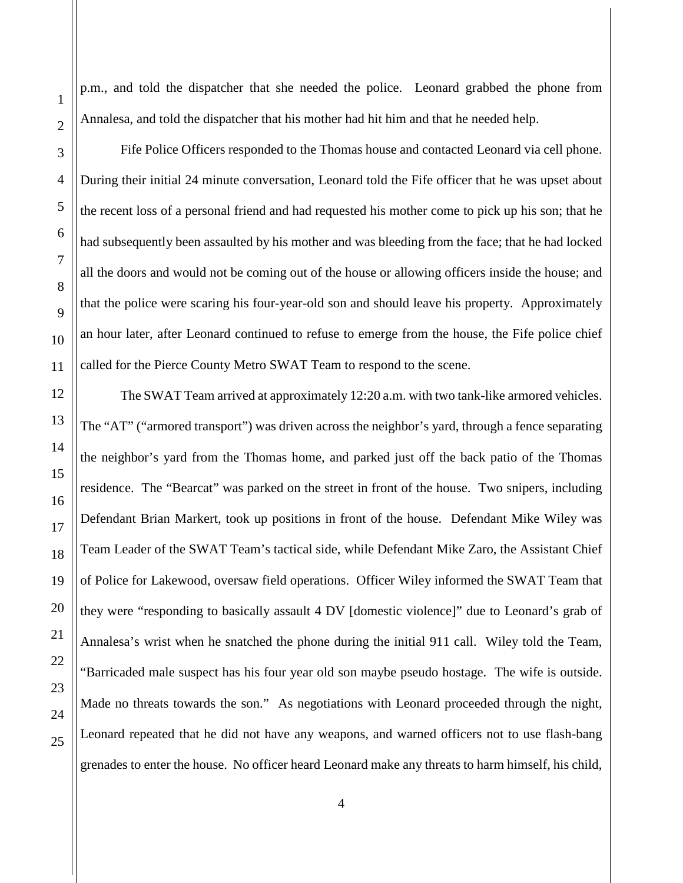p.m., and told the dispatcher that she needed the police. Leonard grabbed the phone from Annalesa, and told the dispatcher that his mother had hit him and that he needed help.

Fife Police Officers responded to the Thomas house and contacted Leonard via cell phone. During their initial 24 minute conversation, Leonard told the Fife officer that he was upset about the recent loss of a personal friend and had requested his mother come to pick up his son; that he had subsequently been assaulted by his mother and was bleeding from the face; that he had locked all the doors and would not be coming out of the house or allowing officers inside the house; and that the police were scaring his four-year-old son and should leave his property. Approximately an hour later, after Leonard continued to refuse to emerge from the house, the Fife police chief called for the Pierce County Metro SWAT Team to respond to the scene.

The SWAT Team arrived at approximately 12:20 a.m. with two tank-like armored vehicles. The "AT" ("armored transport") was driven across the neighbor's yard, through a fence separating the neighbor's yard from the Thomas home, and parked just off the back patio of the Thomas residence. The "Bearcat" was parked on the street in front of the house. Two snipers, including Defendant Brian Markert, took up positions in front of the house. Defendant Mike Wiley was Team Leader of the SWAT Team's tactical side, while Defendant Mike Zaro, the Assistant Chief of Police for Lakewood, oversaw field operations. Officer Wiley informed the SWAT Team that they were "responding to basically assault 4 DV [domestic violence]" due to Leonard's grab of Annalesa's wrist when he snatched the phone during the initial 911 call. Wiley told the Team, "Barricaded male suspect has his four year old son maybe pseudo hostage. The wife is outside. Made no threats towards the son." As negotiations with Leonard proceeded through the night, Leonard repeated that he did not have any weapons, and warned officers not to use flash-bang grenades to enter the house. No officer heard Leonard make any threats to harm himself, his child,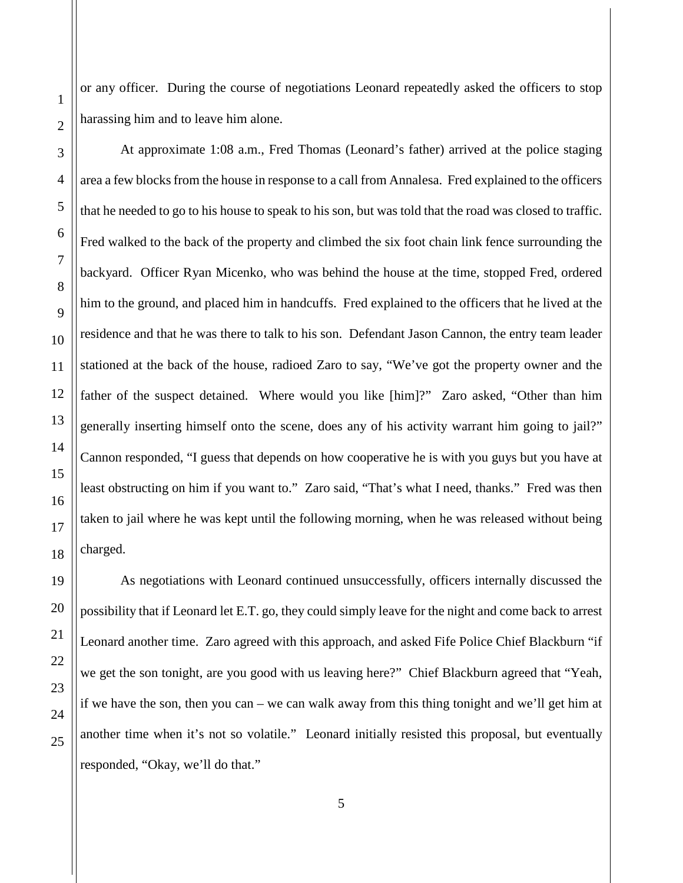or any officer. During the course of negotiations Leonard repeatedly asked the officers to stop harassing him and to leave him alone.

At approximate 1:08 a.m., Fred Thomas (Leonard's father) arrived at the police staging area a few blocks from the house in response to a call from Annalesa. Fred explained to the officers that he needed to go to his house to speak to his son, but was told that the road was closed to traffic. Fred walked to the back of the property and climbed the six foot chain link fence surrounding the backyard. Officer Ryan Micenko, who was behind the house at the time, stopped Fred, ordered him to the ground, and placed him in handcuffs. Fred explained to the officers that he lived at the residence and that he was there to talk to his son. Defendant Jason Cannon, the entry team leader stationed at the back of the house, radioed Zaro to say, "We've got the property owner and the father of the suspect detained. Where would you like [him]?" Zaro asked, "Other than him generally inserting himself onto the scene, does any of his activity warrant him going to jail?" Cannon responded, "I guess that depends on how cooperative he is with you guys but you have at least obstructing on him if you want to." Zaro said, "That's what I need, thanks." Fred was then taken to jail where he was kept until the following morning, when he was released without being charged.

As negotiations with Leonard continued unsuccessfully, officers internally discussed the possibility that if Leonard let E.T. go, they could simply leave for the night and come back to arrest Leonard another time. Zaro agreed with this approach, and asked Fife Police Chief Blackburn "if we get the son tonight, are you good with us leaving here?" Chief Blackburn agreed that "Yeah, if we have the son, then you can – we can walk away from this thing tonight and we'll get him at another time when it's not so volatile." Leonard initially resisted this proposal, but eventually responded, "Okay, we'll do that."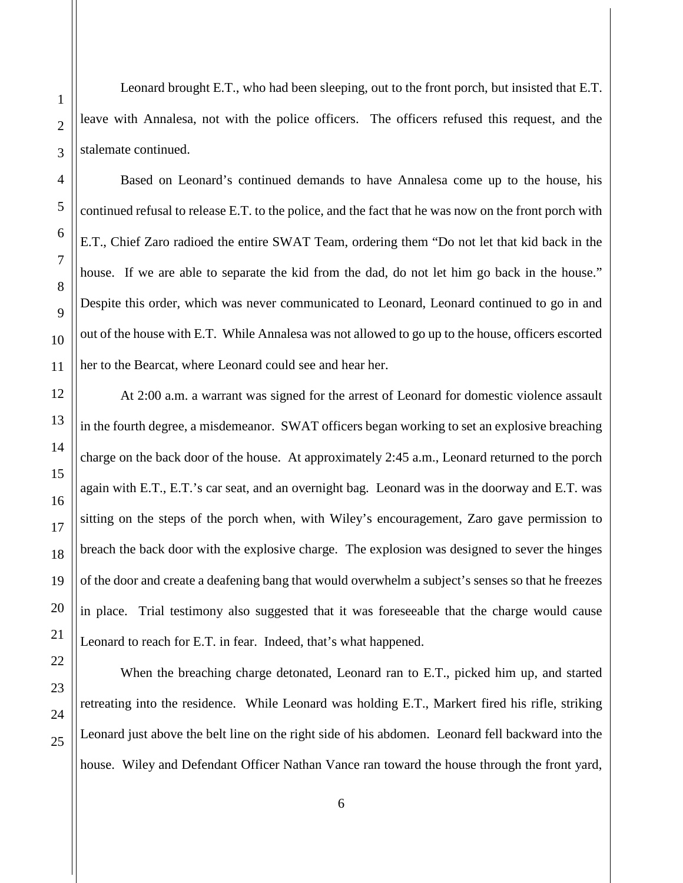Leonard brought E.T., who had been sleeping, out to the front porch, but insisted that E.T. leave with Annalesa, not with the police officers. The officers refused this request, and the stalemate continued.

Based on Leonard's continued demands to have Annalesa come up to the house, his continued refusal to release E.T. to the police, and the fact that he was now on the front porch with E.T., Chief Zaro radioed the entire SWAT Team, ordering them "Do not let that kid back in the house. If we are able to separate the kid from the dad, do not let him go back in the house." Despite this order, which was never communicated to Leonard, Leonard continued to go in and out of the house with E.T. While Annalesa was not allowed to go up to the house, officers escorted her to the Bearcat, where Leonard could see and hear her.

At 2:00 a.m. a warrant was signed for the arrest of Leonard for domestic violence assault in the fourth degree, a misdemeanor. SWAT officers began working to set an explosive breaching charge on the back door of the house. At approximately 2:45 a.m., Leonard returned to the porch again with E.T., E.T.'s car seat, and an overnight bag. Leonard was in the doorway and E.T. was sitting on the steps of the porch when, with Wiley's encouragement, Zaro gave permission to breach the back door with the explosive charge. The explosion was designed to sever the hinges of the door and create a deafening bang that would overwhelm a subject's senses so that he freezes in place. Trial testimony also suggested that it was foreseeable that the charge would cause Leonard to reach for E.T. in fear. Indeed, that's what happened.

When the breaching charge detonated, Leonard ran to E.T., picked him up, and started retreating into the residence. While Leonard was holding E.T., Markert fired his rifle, striking Leonard just above the belt line on the right side of his abdomen. Leonard fell backward into the house. Wiley and Defendant Officer Nathan Vance ran toward the house through the front yard,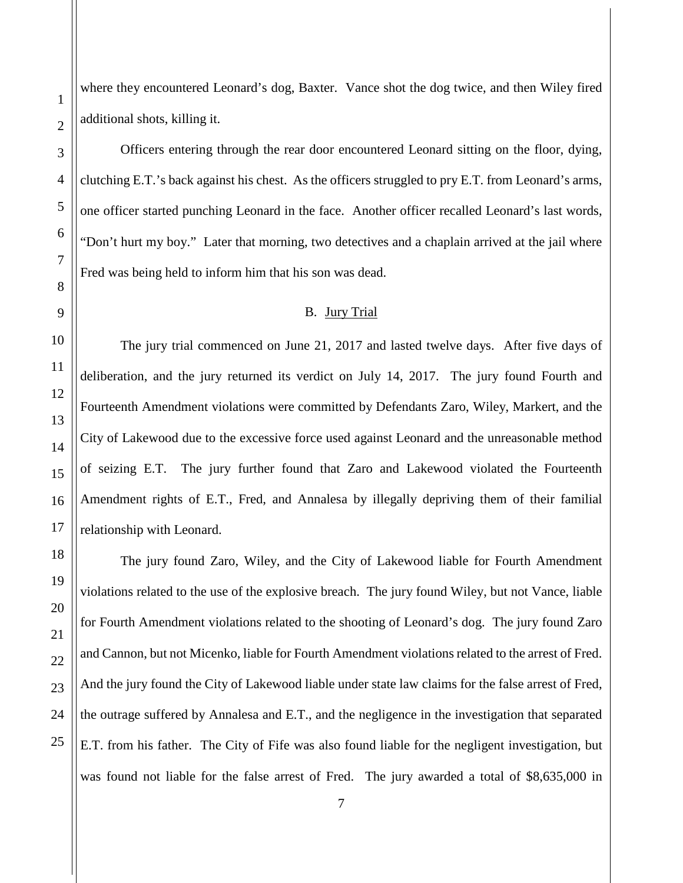where they encountered Leonard's dog, Baxter. Vance shot the dog twice, and then Wiley fired additional shots, killing it.

Officers entering through the rear door encountered Leonard sitting on the floor, dying, clutching E.T.'s back against his chest. As the officers struggled to pry E.T. from Leonard's arms, one officer started punching Leonard in the face. Another officer recalled Leonard's last words, "Don't hurt my boy." Later that morning, two detectives and a chaplain arrived at the jail where Fred was being held to inform him that his son was dead.

#### B. Jury Trial

<span id="page-6-0"></span>The jury trial commenced on June 21, 2017 and lasted twelve days. After five days of deliberation, and the jury returned its verdict on July 14, 2017. The jury found Fourth and Fourteenth Amendment violations were committed by Defendants Zaro, Wiley, Markert, and the City of Lakewood due to the excessive force used against Leonard and the unreasonable method of seizing E.T. The jury further found that Zaro and Lakewood violated the Fourteenth Amendment rights of E.T., Fred, and Annalesa by illegally depriving them of their familial relationship with Leonard.

The jury found Zaro, Wiley, and the City of Lakewood liable for Fourth Amendment violations related to the use of the explosive breach. The jury found Wiley, but not Vance, liable for Fourth Amendment violations related to the shooting of Leonard's dog. The jury found Zaro and Cannon, but not Micenko, liable for Fourth Amendment violations related to the arrest of Fred. And the jury found the City of Lakewood liable under state law claims for the false arrest of Fred, the outrage suffered by Annalesa and E.T., and the negligence in the investigation that separated E.T. from his father. The City of Fife was also found liable for the negligent investigation, but was found not liable for the false arrest of Fred. The jury awarded a total of \$8,635,000 in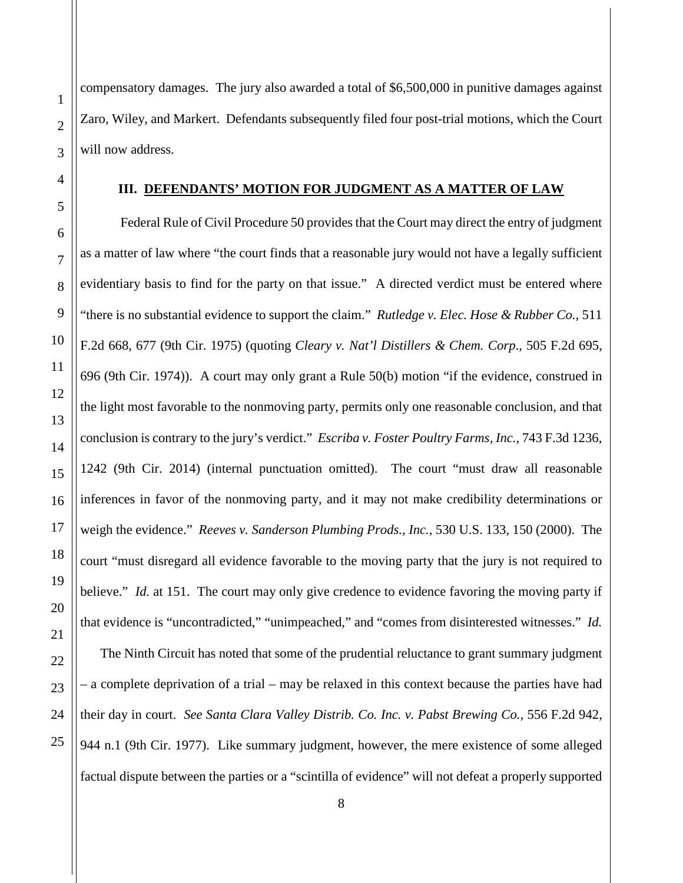compensatory damages. The jury also awarded a total of \$6,500,000 in punitive damages against Zaro, Wiley, and Markert. Defendants subsequently filed four post-trial motions, which the Court will now address.

#### **III. DEFENDANTS' MOTION FOR JUDGMENT AS A MATTER OF LAW**

<span id="page-7-0"></span>Federal Rule of Civil Procedure 50 provides that the Court may direct the entry of judgment as a matter of law where "the court finds that a reasonable jury would not have a legally sufficient evidentiary basis to find for the party on that issue." A directed verdict must be entered where "there is no substantial evidence to support the claim." *Rutledge v. Elec. Hose & Rubber Co.*, 511 F.2d 668, 677 (9th Cir. 1975) (quoting *Cleary v. Nat'l Distillers & Chem. Corp*., 505 F.2d 695, 696 (9th Cir. 1974)). A court may only grant a Rule 50(b) motion "if the evidence, construed in the light most favorable to the nonmoving party, permits only one reasonable conclusion, and that conclusion is contrary to the jury's verdict." *Escriba v. Foster Poultry Farms, Inc.*, 743 F.3d 1236, 1242 (9th Cir. 2014) (internal punctuation omitted). The court "must draw all reasonable inferences in favor of the nonmoving party, and it may not make credibility determinations or weigh the evidence." *Reeves v. Sanderson Plumbing Prods., Inc.*, 530 U.S. 133, 150 (2000). The court "must disregard all evidence favorable to the moving party that the jury is not required to believe." *Id.* at 151. The court may only give credence to evidence favoring the moving party if that evidence is "uncontradicted," "unimpeached," and "comes from disinterested witnesses." *Id.* The Ninth Circuit has noted that some of the prudential reluctance to grant summary judgment – a complete deprivation of a trial – may be relaxed in this context because the parties have had their day in court. *See Santa Clara Valley Distrib. Co. Inc. v. Pabst Brewing Co.*, 556 F.2d 942, 944 n.1 (9th Cir. 1977). Like summary judgment, however, the mere existence of some alleged

factual dispute between the parties or a "scintilla of evidence" will not defeat a properly supported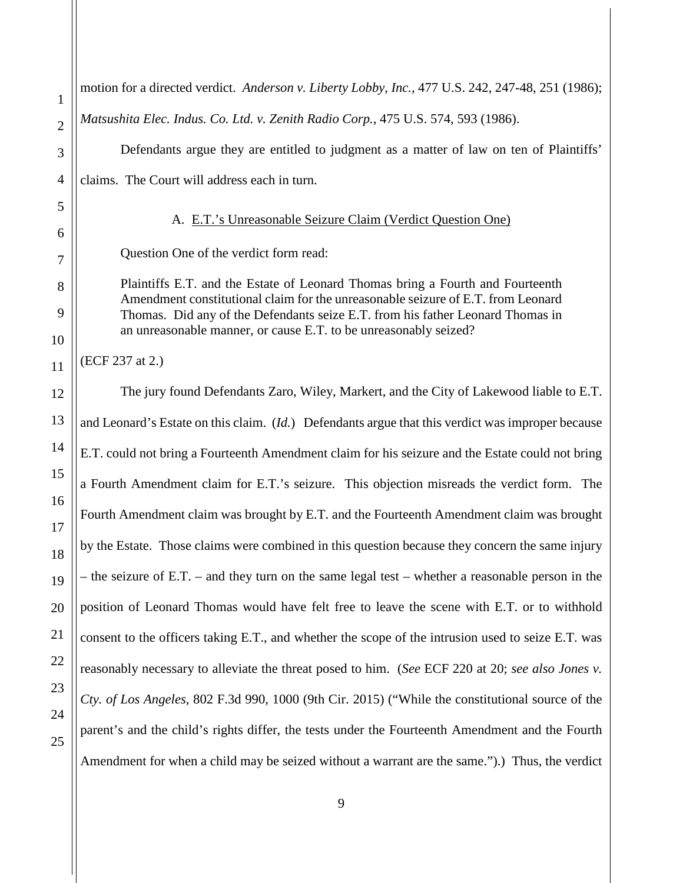<span id="page-8-0"></span>1 2 3 4 5 6 7 8 9 10 11 12 13 14 15 16 17 18 19 20 21 22 23 24 25 motion for a directed verdict. *Anderson v. Liberty Lobby, Inc.*, 477 U.S. 242, 247-48, 251 (1986); *Matsushita Elec. Indus. Co. Ltd. v. Zenith Radio Corp.*, 475 U.S. 574, 593 (1986). Defendants argue they are entitled to judgment as a matter of law on ten of Plaintiffs' claims. The Court will address each in turn. A. E.T.'s Unreasonable Seizure Claim (Verdict Question One) Question One of the verdict form read: Plaintiffs E.T. and the Estate of Leonard Thomas bring a Fourth and Fourteenth Amendment constitutional claim for the unreasonable seizure of E.T. from Leonard Thomas. Did any of the Defendants seize E.T. from his father Leonard Thomas in an unreasonable manner, or cause E.T. to be unreasonably seized? (ECF 237 at 2.) The jury found Defendants Zaro, Wiley, Markert, and the City of Lakewood liable to E.T. and Leonard's Estate on this claim. (*Id.*) Defendants argue that this verdict was improper because E.T. could not bring a Fourteenth Amendment claim for his seizure and the Estate could not bring a Fourth Amendment claim for E.T.'s seizure. This objection misreads the verdict form. The Fourth Amendment claim was brought by E.T. and the Fourteenth Amendment claim was brought by the Estate. Those claims were combined in this question because they concern the same injury – the seizure of E.T. – and they turn on the same legal test – whether a reasonable person in the position of Leonard Thomas would have felt free to leave the scene with E.T. or to withhold consent to the officers taking E.T., and whether the scope of the intrusion used to seize E.T. was reasonably necessary to alleviate the threat posed to him. (*See* ECF 220 at 20; *see also Jones v. Cty. of Los Angeles*, 802 F.3d 990, 1000 (9th Cir. 2015) ("While the constitutional source of the parent's and the child's rights differ, the tests under the Fourteenth Amendment and the Fourth Amendment for when a child may be seized without a warrant are the same.").) Thus, the verdict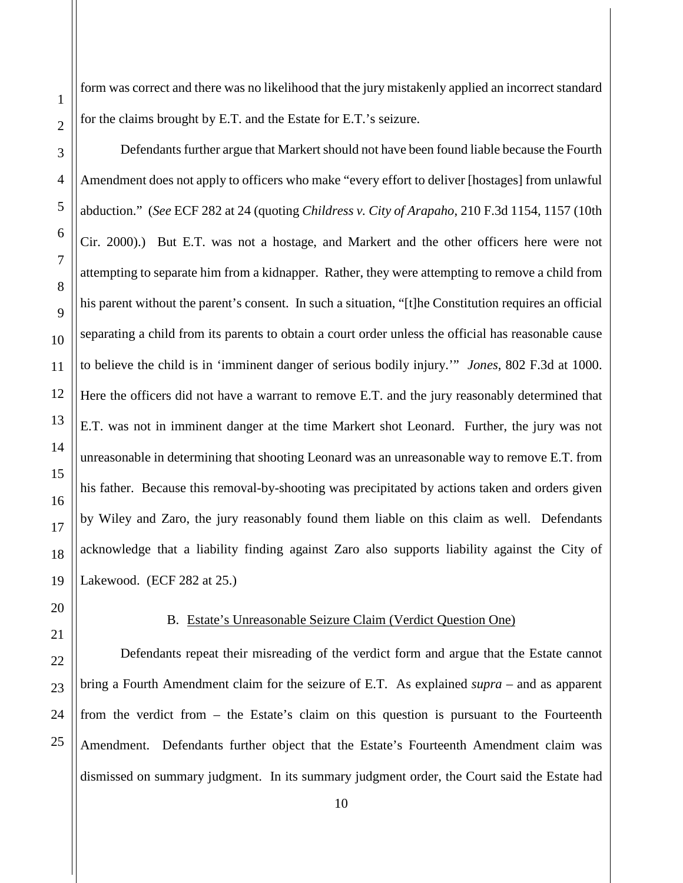form was correct and there was no likelihood that the jury mistakenly applied an incorrect standard for the claims brought by E.T. and the Estate for E.T.'s seizure.

Defendants further argue that Markert should not have been found liable because the Fourth Amendment does not apply to officers who make "every effort to deliver [hostages] from unlawful abduction." (*See* ECF 282 at 24 (quoting *Childress v. City of Arapaho*, 210 F.3d 1154, 1157 (10th Cir. 2000).) But E.T. was not a hostage, and Markert and the other officers here were not attempting to separate him from a kidnapper. Rather, they were attempting to remove a child from his parent without the parent's consent. In such a situation, "[t]he Constitution requires an official separating a child from its parents to obtain a court order unless the official has reasonable cause to believe the child is in 'imminent danger of serious bodily injury.'" *Jones*, 802 F.3d at 1000. Here the officers did not have a warrant to remove E.T. and the jury reasonably determined that E.T. was not in imminent danger at the time Markert shot Leonard. Further, the jury was not unreasonable in determining that shooting Leonard was an unreasonable way to remove E.T. from his father. Because this removal-by-shooting was precipitated by actions taken and orders given by Wiley and Zaro, the jury reasonably found them liable on this claim as well. Defendants acknowledge that a liability finding against Zaro also supports liability against the City of Lakewood. (ECF 282 at 25.)

1

2

3

4

5

6

7

8

## B. Estate's Unreasonable Seizure Claim (Verdict Question One)

<span id="page-9-0"></span>Defendants repeat their misreading of the verdict form and argue that the Estate cannot bring a Fourth Amendment claim for the seizure of E.T. As explained *supra* – and as apparent from the verdict from – the Estate's claim on this question is pursuant to the Fourteenth Amendment. Defendants further object that the Estate's Fourteenth Amendment claim was dismissed on summary judgment. In its summary judgment order, the Court said the Estate had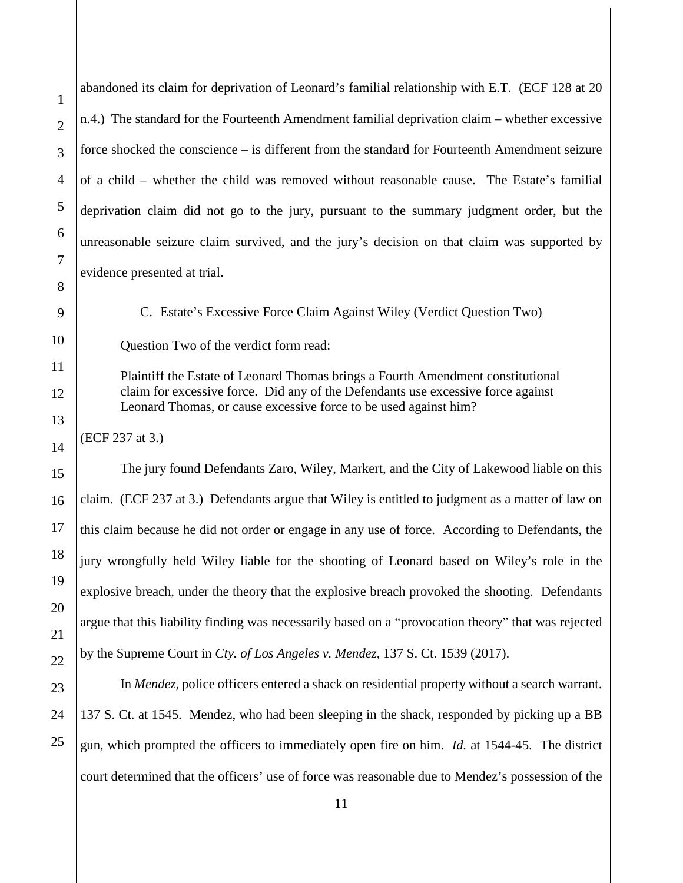abandoned its claim for deprivation of Leonard's familial relationship with E.T. (ECF 128 at 20 n.4.) The standard for the Fourteenth Amendment familial deprivation claim – whether excessive force shocked the conscience – is different from the standard for Fourteenth Amendment seizure of a child – whether the child was removed without reasonable cause. The Estate's familial deprivation claim did not go to the jury, pursuant to the summary judgment order, but the unreasonable seizure claim survived, and the jury's decision on that claim was supported by evidence presented at trial.

C. Estate's Excessive Force Claim Against Wiley (Verdict Question Two)

<span id="page-10-0"></span>Question Two of the verdict form read:

Plaintiff the Estate of Leonard Thomas brings a Fourth Amendment constitutional claim for excessive force. Did any of the Defendants use excessive force against Leonard Thomas, or cause excessive force to be used against him?

(ECF 237 at 3.)

The jury found Defendants Zaro, Wiley, Markert, and the City of Lakewood liable on this claim. (ECF 237 at 3.) Defendants argue that Wiley is entitled to judgment as a matter of law on this claim because he did not order or engage in any use of force. According to Defendants, the jury wrongfully held Wiley liable for the shooting of Leonard based on Wiley's role in the explosive breach, under the theory that the explosive breach provoked the shooting. Defendants argue that this liability finding was necessarily based on a "provocation theory" that was rejected by the Supreme Court in *Cty. of Los Angeles v. Mendez*, 137 S. Ct. 1539 (2017).

In *Mendez*, police officers entered a shack on residential property without a search warrant. 137 S. Ct. at 1545. Mendez, who had been sleeping in the shack, responded by picking up a BB gun, which prompted the officers to immediately open fire on him. *Id.* at 1544-45. The district court determined that the officers' use of force was reasonable due to Mendez's possession of the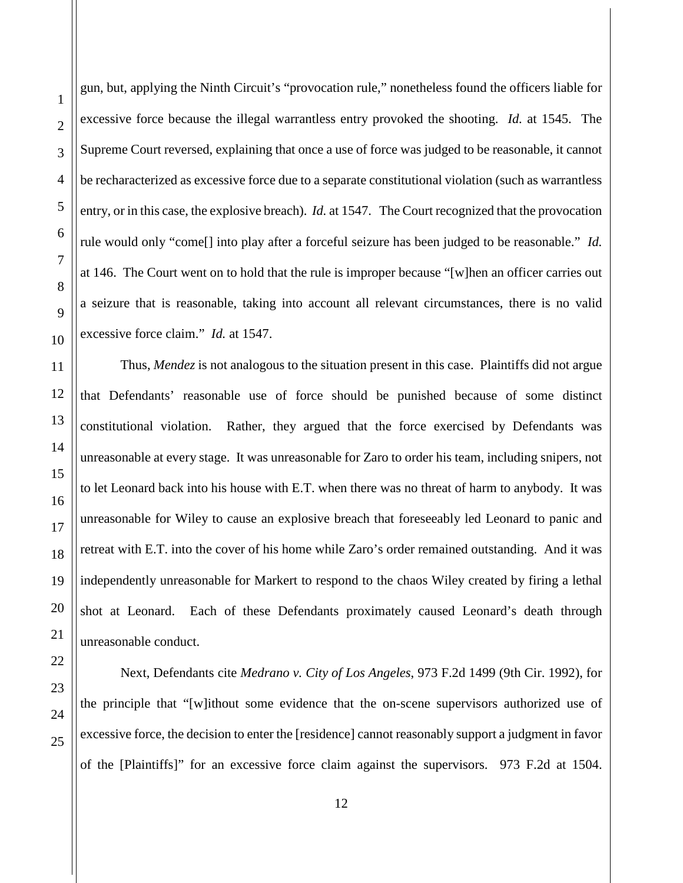1

2

gun, but, applying the Ninth Circuit's "provocation rule," nonetheless found the officers liable for excessive force because the illegal warrantless entry provoked the shooting. *Id.* at 1545. The Supreme Court reversed, explaining that once a use of force was judged to be reasonable, it cannot be recharacterized as excessive force due to a separate constitutional violation (such as warrantless entry, or in this case, the explosive breach). *Id.* at 1547. The Court recognized that the provocation rule would only "come[] into play after a forceful seizure has been judged to be reasonable." *Id.* at 146. The Court went on to hold that the rule is improper because "[w]hen an officer carries out a seizure that is reasonable, taking into account all relevant circumstances, there is no valid excessive force claim." *Id.* at 1547.

Thus, *Mendez* is not analogous to the situation present in this case. Plaintiffs did not argue that Defendants' reasonable use of force should be punished because of some distinct constitutional violation. Rather, they argued that the force exercised by Defendants was unreasonable at every stage. It was unreasonable for Zaro to order his team, including snipers, not to let Leonard back into his house with E.T. when there was no threat of harm to anybody. It was unreasonable for Wiley to cause an explosive breach that foreseeably led Leonard to panic and retreat with E.T. into the cover of his home while Zaro's order remained outstanding. And it was independently unreasonable for Markert to respond to the chaos Wiley created by firing a lethal shot at Leonard. Each of these Defendants proximately caused Leonard's death through unreasonable conduct.

Next, Defendants cite *Medrano v. City of Los Angeles*, 973 F.2d 1499 (9th Cir. 1992), for the principle that "[w]ithout some evidence that the on-scene supervisors authorized use of excessive force, the decision to enter the [residence] cannot reasonably support a judgment in favor of the [Plaintiffs]" for an excessive force claim against the supervisors. 973 F.2d at 1504.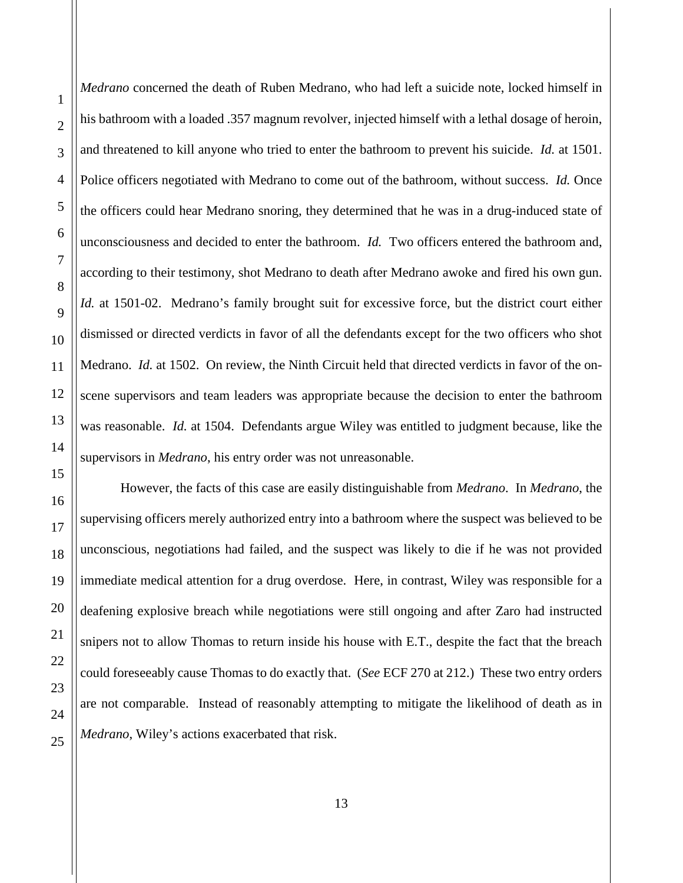*Medrano* concerned the death of Ruben Medrano, who had left a suicide note, locked himself in his bathroom with a loaded .357 magnum revolver, injected himself with a lethal dosage of heroin, and threatened to kill anyone who tried to enter the bathroom to prevent his suicide. *Id.* at 1501. Police officers negotiated with Medrano to come out of the bathroom, without success. *Id.* Once the officers could hear Medrano snoring, they determined that he was in a drug-induced state of unconsciousness and decided to enter the bathroom. *Id.* Two officers entered the bathroom and, according to their testimony, shot Medrano to death after Medrano awoke and fired his own gun. *Id.* at 1501-02. Medrano's family brought suit for excessive force, but the district court either dismissed or directed verdicts in favor of all the defendants except for the two officers who shot Medrano. *Id.* at 1502. On review, the Ninth Circuit held that directed verdicts in favor of the onscene supervisors and team leaders was appropriate because the decision to enter the bathroom was reasonable. *Id.* at 1504. Defendants argue Wiley was entitled to judgment because, like the supervisors in *Medrano*, his entry order was not unreasonable.

 However, the facts of this case are easily distinguishable from *Medrano*. In *Medrano*, the supervising officers merely authorized entry into a bathroom where the suspect was believed to be unconscious, negotiations had failed, and the suspect was likely to die if he was not provided immediate medical attention for a drug overdose. Here, in contrast, Wiley was responsible for a deafening explosive breach while negotiations were still ongoing and after Zaro had instructed snipers not to allow Thomas to return inside his house with E.T., despite the fact that the breach could foreseeably cause Thomas to do exactly that. (*See* ECF 270 at 212.) These two entry orders are not comparable. Instead of reasonably attempting to mitigate the likelihood of death as in *Medrano*, Wiley's actions exacerbated that risk.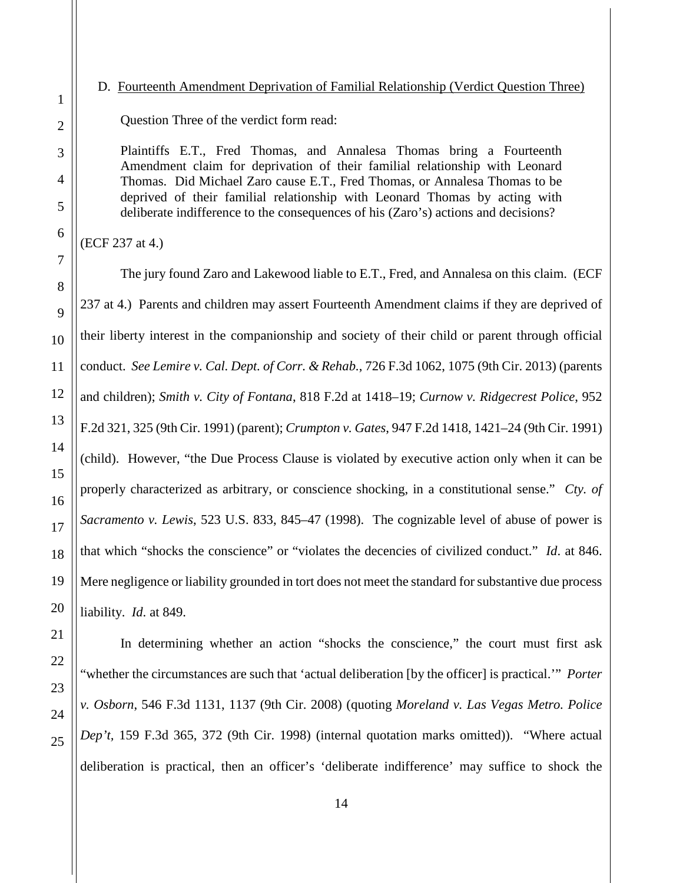## <span id="page-13-0"></span>D. Fourteenth Amendment Deprivation of Familial Relationship (Verdict Question Three)

Question Three of the verdict form read:

Plaintiffs E.T., Fred Thomas, and Annalesa Thomas bring a Fourteenth Amendment claim for deprivation of their familial relationship with Leonard Thomas. Did Michael Zaro cause E.T., Fred Thomas, or Annalesa Thomas to be deprived of their familial relationship with Leonard Thomas by acting with deliberate indifference to the consequences of his (Zaro's) actions and decisions?

(ECF 237 at 4.)

The jury found Zaro and Lakewood liable to E.T., Fred, and Annalesa on this claim. (ECF 237 at 4.) Parents and children may assert Fourteenth Amendment claims if they are deprived of their liberty interest in the companionship and society of their child or parent through official conduct. *See Lemire v. Cal. Dept. of Corr. & Rehab.*, 726 F.3d 1062, 1075 (9th Cir. 2013) (parents and children); *Smith v. City of Fontana*, 818 F.2d at 1418–19; *Curnow v. Ridgecrest Police*, 952 F.2d 321, 325 (9th Cir. 1991) (parent); *Crumpton v. Gates*, 947 F.2d 1418, 1421–24 (9th Cir. 1991) (child). However, "the Due Process Clause is violated by executive action only when it can be properly characterized as arbitrary, or conscience shocking, in a constitutional sense." *Cty. of Sacramento v. Lewis*, 523 U.S. 833, 845–47 (1998). The cognizable level of abuse of power is that which "shocks the conscience" or "violates the decencies of civilized conduct." *Id*. at 846. Mere negligence or liability grounded in tort does not meet the standard for substantive due process liability. *Id*. at 849.

In determining whether an action "shocks the conscience," the court must first ask "whether the circumstances are such that 'actual deliberation [by the officer] is practical.'" *Porter v. Osborn*, 546 F.3d 1131, 1137 (9th Cir. 2008) (quoting *Moreland v. Las Vegas Metro. Police Dep't,* 159 F.3d 365, 372 (9th Cir. 1998) (internal quotation marks omitted)). "Where actual deliberation is practical, then an officer's 'deliberate indifference' may suffice to shock the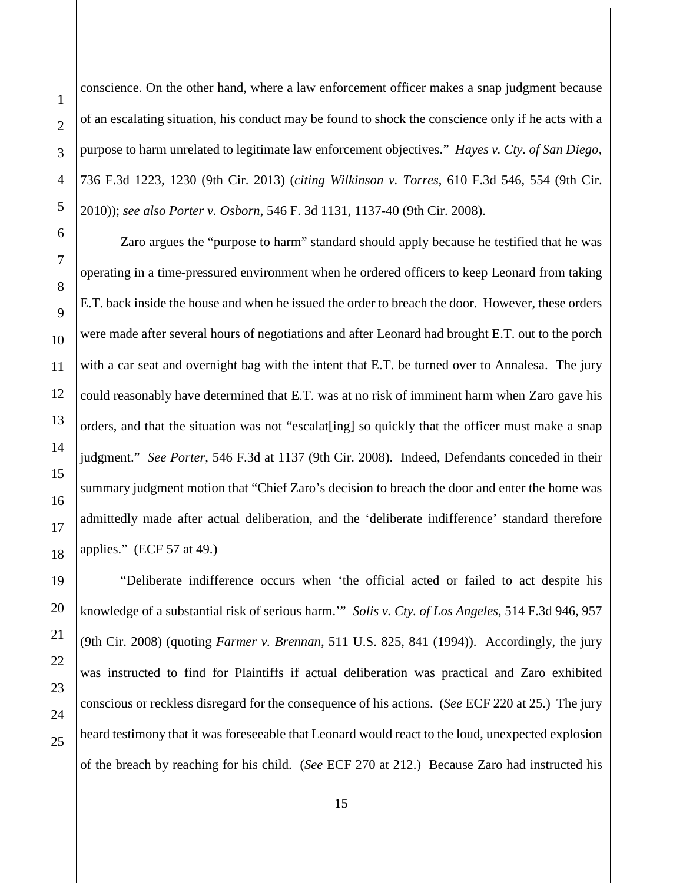1

2

3

4

conscience. On the other hand, where a law enforcement officer makes a snap judgment because of an escalating situation, his conduct may be found to shock the conscience only if he acts with a purpose to harm unrelated to legitimate law enforcement objectives." *Hayes v. Cty. of San Diego*, 736 F.3d 1223, 1230 (9th Cir. 2013) (*citing Wilkinson v. Torres*, 610 F.3d 546, 554 (9th Cir. 2010)); *see also Porter v. Osborn*, 546 F. 3d 1131, 1137-40 (9th Cir. 2008).

Zaro argues the "purpose to harm" standard should apply because he testified that he was operating in a time-pressured environment when he ordered officers to keep Leonard from taking E.T. back inside the house and when he issued the order to breach the door. However, these orders were made after several hours of negotiations and after Leonard had brought E.T. out to the porch with a car seat and overnight bag with the intent that E.T. be turned over to Annalesa. The jury could reasonably have determined that E.T. was at no risk of imminent harm when Zaro gave his orders, and that the situation was not "escalat[ing] so quickly that the officer must make a snap judgment." *See Porter*, 546 F.3d at 1137 (9th Cir. 2008). Indeed, Defendants conceded in their summary judgment motion that "Chief Zaro's decision to breach the door and enter the home was admittedly made after actual deliberation, and the 'deliberate indifference' standard therefore applies." (ECF 57 at 49.)

"Deliberate indifference occurs when 'the official acted or failed to act despite his knowledge of a substantial risk of serious harm.'" *Solis v. Cty. of Los Angeles*, 514 F.3d 946, 957 (9th Cir. 2008) (quoting *Farmer v. Brennan*, 511 U.S. 825, 841 (1994)). Accordingly, the jury was instructed to find for Plaintiffs if actual deliberation was practical and Zaro exhibited conscious or reckless disregard for the consequence of his actions. (*See* ECF 220 at 25.) The jury heard testimony that it was foreseeable that Leonard would react to the loud, unexpected explosion of the breach by reaching for his child. (*See* ECF 270 at 212.) Because Zaro had instructed his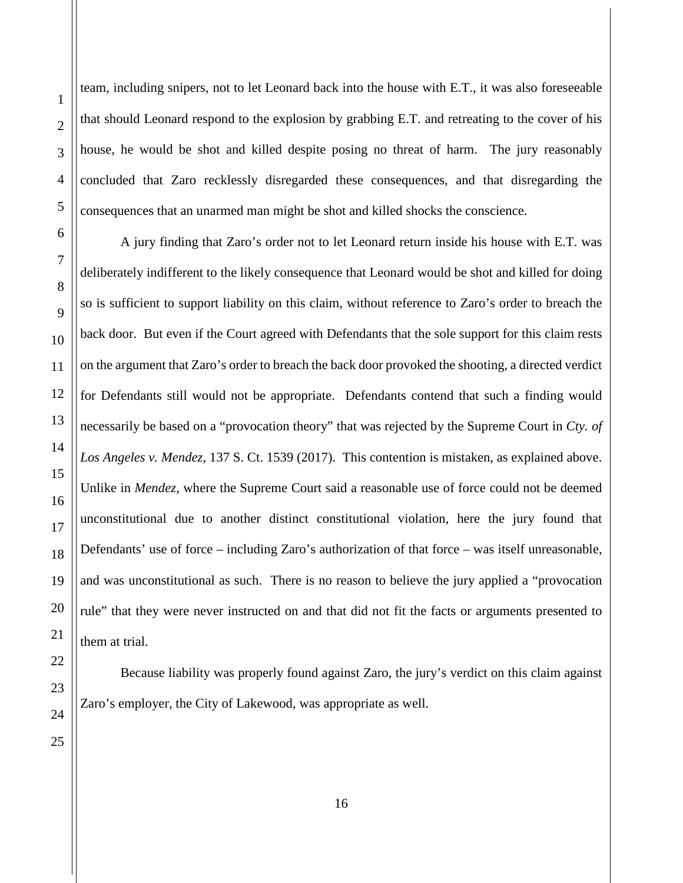team, including snipers, not to let Leonard back into the house with E.T., it was also foreseeable that should Leonard respond to the explosion by grabbing E.T. and retreating to the cover of his house, he would be shot and killed despite posing no threat of harm. The jury reasonably concluded that Zaro recklessly disregarded these consequences, and that disregarding the consequences that an unarmed man might be shot and killed shocks the conscience.

A jury finding that Zaro's order not to let Leonard return inside his house with E.T. was deliberately indifferent to the likely consequence that Leonard would be shot and killed for doing so is sufficient to support liability on this claim, without reference to Zaro's order to breach the back door. But even if the Court agreed with Defendants that the sole support for this claim rests on the argument that Zaro's order to breach the back door provoked the shooting, a directed verdict for Defendants still would not be appropriate. Defendants contend that such a finding would necessarily be based on a "provocation theory" that was rejected by the Supreme Court in *Cty. of Los Angeles v. Mendez*, 137 S. Ct. 1539 (2017). This contention is mistaken, as explained above. Unlike in *Mendez*, where the Supreme Court said a reasonable use of force could not be deemed unconstitutional due to another distinct constitutional violation, here the jury found that Defendants' use of force – including Zaro's authorization of that force – was itself unreasonable, and was unconstitutional as such. There is no reason to believe the jury applied a "provocation rule" that they were never instructed on and that did not fit the facts or arguments presented to them at trial.

Because liability was properly found against Zaro, the jury's verdict on this claim against Zaro's employer, the City of Lakewood, was appropriate as well.

16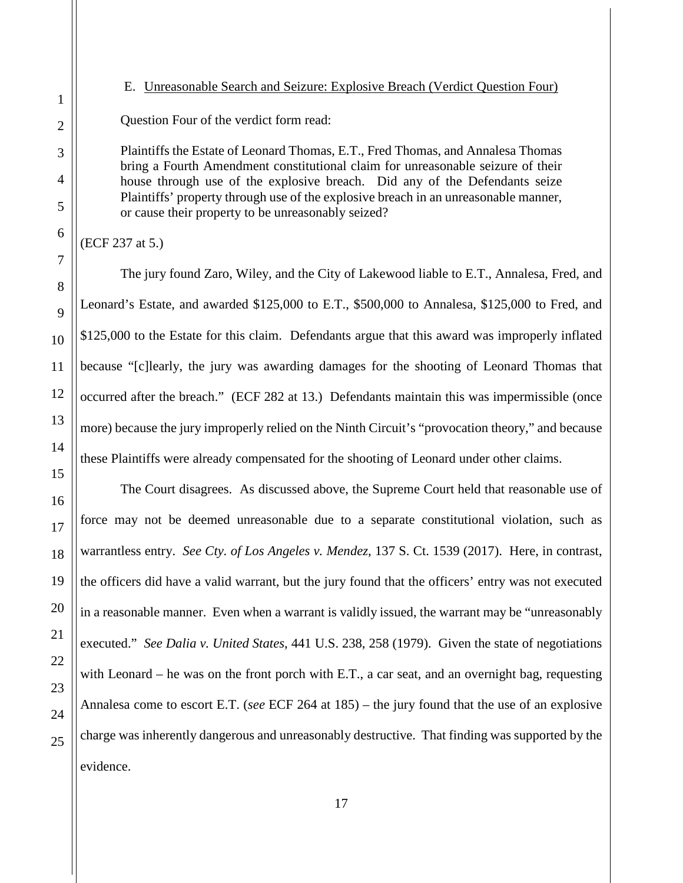<span id="page-16-0"></span>E. Unreasonable Search and Seizure: Explosive Breach (Verdict Question Four)

Question Four of the verdict form read:

Plaintiffs the Estate of Leonard Thomas, E.T., Fred Thomas, and Annalesa Thomas bring a Fourth Amendment constitutional claim for unreasonable seizure of their house through use of the explosive breach. Did any of the Defendants seize Plaintiffs' property through use of the explosive breach in an unreasonable manner, or cause their property to be unreasonably seized?

(ECF 237 at 5.)

The jury found Zaro, Wiley, and the City of Lakewood liable to E.T., Annalesa, Fred, and Leonard's Estate, and awarded \$125,000 to E.T., \$500,000 to Annalesa, \$125,000 to Fred, and \$125,000 to the Estate for this claim. Defendants argue that this award was improperly inflated because "[c]learly, the jury was awarding damages for the shooting of Leonard Thomas that occurred after the breach." (ECF 282 at 13.) Defendants maintain this was impermissible (once more) because the jury improperly relied on the Ninth Circuit's "provocation theory," and because these Plaintiffs were already compensated for the shooting of Leonard under other claims.

The Court disagrees. As discussed above, the Supreme Court held that reasonable use of force may not be deemed unreasonable due to a separate constitutional violation, such as warrantless entry. *See Cty. of Los Angeles v. Mendez*, 137 S. Ct. 1539 (2017). Here, in contrast, the officers did have a valid warrant, but the jury found that the officers' entry was not executed in a reasonable manner. Even when a warrant is validly issued, the warrant may be "unreasonably executed." *See Dalia v. United States*, 441 U.S. 238, 258 (1979). Given the state of negotiations with Leonard – he was on the front porch with E.T., a car seat, and an overnight bag, requesting Annalesa come to escort E.T. (*see* ECF 264 at 185) – the jury found that the use of an explosive charge was inherently dangerous and unreasonably destructive. That finding was supported by the evidence.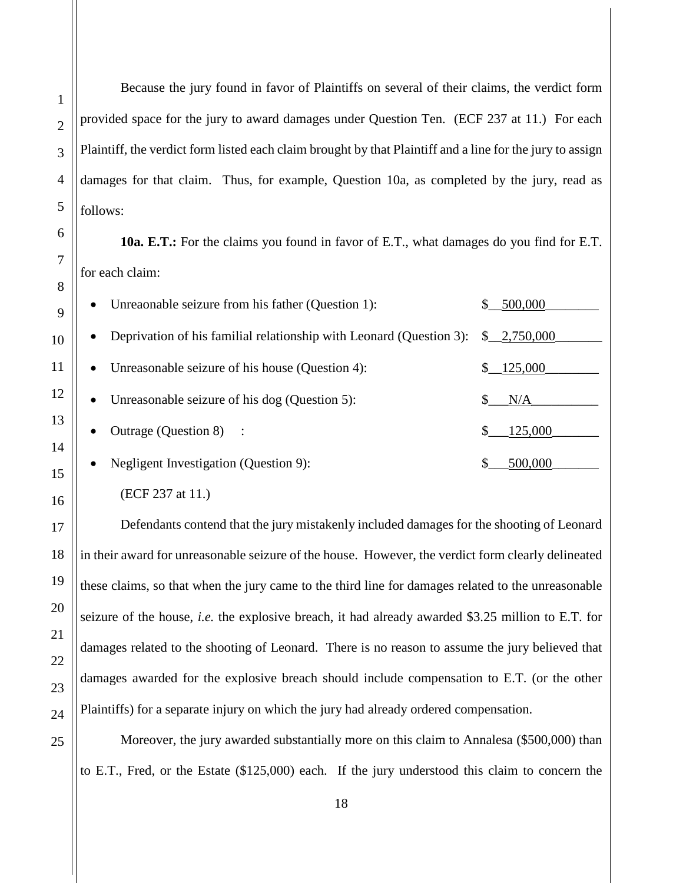Because the jury found in favor of Plaintiffs on several of their claims, the verdict form provided space for the jury to award damages under Question Ten. (ECF 237 at 11.) For each Plaintiff, the verdict form listed each claim brought by that Plaintiff and a line for the jury to assign damages for that claim. Thus, for example, Question 10a, as completed by the jury, read as follows:

**10a. E.T.:** For the claims you found in favor of E.T., what damages do you find for E.T. for each claim:

| Unreaonable seizure from his father (Question 1):<br>$\bullet$                   | 500,000     |
|----------------------------------------------------------------------------------|-------------|
| Deprivation of his familial relationship with Leonard (Question 3):<br>$\bullet$ | \$2,750,000 |
| Unreasonable seizure of his house (Question 4):<br>$\bullet$                     | \$125,000   |
| Unreasonable seizure of his dog (Question 5):<br>$\bullet$                       | N/A         |
| Outrage (Question 8) :<br>$\bullet$                                              | 125,000     |
| Negligent Investigation (Question 9):<br>$\bullet$                               | 500,000     |

(ECF 237 at 11.)

Defendants contend that the jury mistakenly included damages for the shooting of Leonard in their award for unreasonable seizure of the house. However, the verdict form clearly delineated these claims, so that when the jury came to the third line for damages related to the unreasonable seizure of the house, *i.e.* the explosive breach, it had already awarded \$3.25 million to E.T. for damages related to the shooting of Leonard. There is no reason to assume the jury believed that damages awarded for the explosive breach should include compensation to E.T. (or the other Plaintiffs) for a separate injury on which the jury had already ordered compensation.

Moreover, the jury awarded substantially more on this claim to Annalesa (\$500,000) than to E.T., Fred, or the Estate (\$125,000) each. If the jury understood this claim to concern the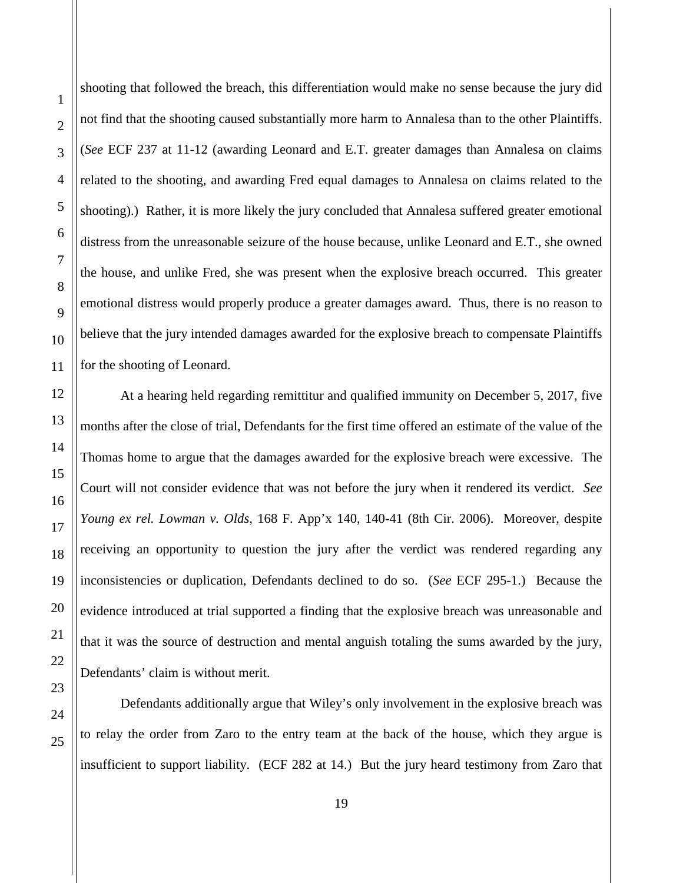shooting that followed the breach, this differentiation would make no sense because the jury did not find that the shooting caused substantially more harm to Annalesa than to the other Plaintiffs. (*See* ECF 237 at 11-12 (awarding Leonard and E.T. greater damages than Annalesa on claims related to the shooting, and awarding Fred equal damages to Annalesa on claims related to the shooting).) Rather, it is more likely the jury concluded that Annalesa suffered greater emotional distress from the unreasonable seizure of the house because, unlike Leonard and E.T., she owned the house, and unlike Fred, she was present when the explosive breach occurred. This greater emotional distress would properly produce a greater damages award. Thus, there is no reason to believe that the jury intended damages awarded for the explosive breach to compensate Plaintiffs for the shooting of Leonard.

At a hearing held regarding remittitur and qualified immunity on December 5, 2017, five months after the close of trial, Defendants for the first time offered an estimate of the value of the Thomas home to argue that the damages awarded for the explosive breach were excessive. The Court will not consider evidence that was not before the jury when it rendered its verdict. *See Young ex rel. Lowman v. Olds*, 168 F. App'x 140, 140-41 (8th Cir. 2006). Moreover, despite receiving an opportunity to question the jury after the verdict was rendered regarding any inconsistencies or duplication, Defendants declined to do so. (*See* ECF 295-1.) Because the evidence introduced at trial supported a finding that the explosive breach was unreasonable and that it was the source of destruction and mental anguish totaling the sums awarded by the jury, Defendants' claim is without merit.

Defendants additionally argue that Wiley's only involvement in the explosive breach was to relay the order from Zaro to the entry team at the back of the house, which they argue is insufficient to support liability. (ECF 282 at 14.) But the jury heard testimony from Zaro that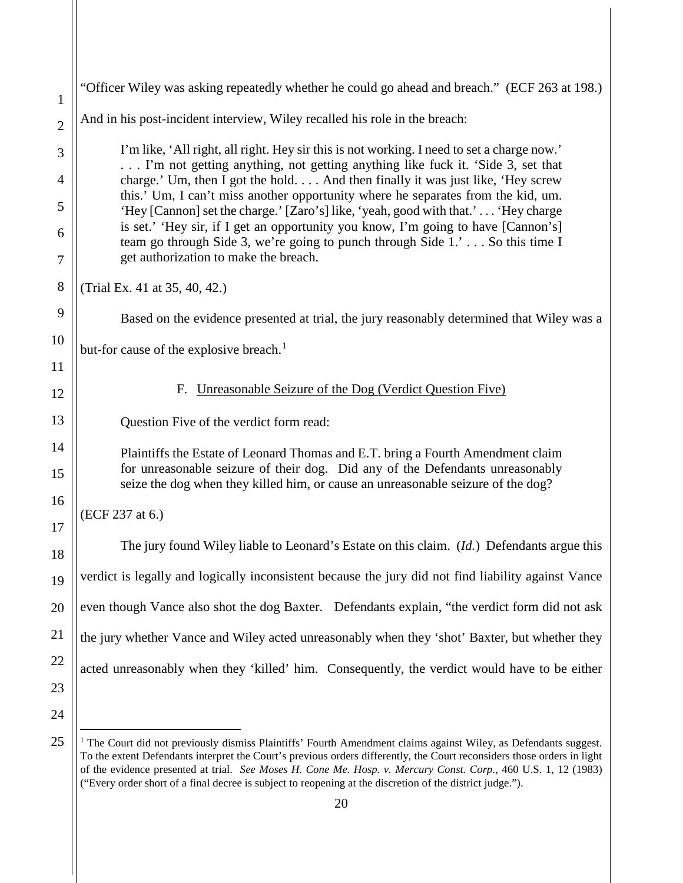<span id="page-19-0"></span>

| $\mathbf{1}$   | "Officer Wiley was asking repeatedly whether he could go ahead and breach." (ECF 263 at 198.)                                                                                                              |
|----------------|------------------------------------------------------------------------------------------------------------------------------------------------------------------------------------------------------------|
| $\overline{2}$ | And in his post-incident interview, Wiley recalled his role in the breach:                                                                                                                                 |
| 3              | I'm like, 'All right, all right. Hey sir this is not working. I need to set a charge now.'<br>I'm not getting anything, not getting anything like fuck it. 'Side 3, set that                               |
| 4              | charge.' Um, then I got the hold And then finally it was just like, 'Hey screw                                                                                                                             |
| 5              | this.' Um, I can't miss another opportunity where he separates from the kid, um.<br>'Hey [Cannon] set the charge.' [Zaro's] like, 'yeah, good with that.' 'Hey charge                                      |
| 6<br>7         | is set.' 'Hey sir, if I get an opportunity you know, I'm going to have [Cannon's]<br>team go through Side 3, we're going to punch through Side 1.' So this time I<br>get authorization to make the breach. |
| 8              | (Trial Ex. 41 at 35, 40, 42.)                                                                                                                                                                              |
| 9              | Based on the evidence presented at trial, the jury reasonably determined that Wiley was a                                                                                                                  |
| 10             | but-for cause of the explosive breach. <sup>1</sup>                                                                                                                                                        |
| 11             |                                                                                                                                                                                                            |
| 12             | Unreasonable Seizure of the Dog (Verdict Question Five)<br>F.                                                                                                                                              |
| 13             | Question Five of the verdict form read:                                                                                                                                                                    |
| 14             | Plaintiffs the Estate of Leonard Thomas and E.T. bring a Fourth Amendment claim                                                                                                                            |
| 15             | for unreasonable seizure of their dog. Did any of the Defendants unreasonably<br>seize the dog when they killed him, or cause an unreasonable seizure of the dog?                                          |
| 16             | (ECF 237 at 6.)                                                                                                                                                                                            |
| 17<br>18       | The jury found Wiley liable to Leonard's Estate on this claim. (Id.) Defendants argue this                                                                                                                 |
| 19             | verdict is legally and logically inconsistent because the jury did not find liability against Vance                                                                                                        |
| 20             | even though Vance also shot the dog Baxter. Defendants explain, "the verdict form did not ask                                                                                                              |
| 21             | the jury whether Vance and Wiley acted unreasonably when they 'shot' Baxter, but whether they                                                                                                              |
| 22             | acted unreasonably when they 'killed' him. Consequently, the verdict would have to be either                                                                                                               |
| 23             |                                                                                                                                                                                                            |
| 24             |                                                                                                                                                                                                            |
| 25             | The Court did not previously dismiss Plaintiffs' Fourth Amendment claims against Wiley, as Defendants suggest.                                                                                             |

<span id="page-19-1"></span> $1$  The Court did not previously dismiss Plaintiffs' Fourth Amendment claims against Wiley, as Defendants suggest. To the extent Defendants interpret the Court's previous orders differently, the Court reconsiders those orders in light of the evidence presented at trial. *See Moses H. Cone Me. Hosp. v. Mercury Const. Corp.*, 460 U.S. 1, 12 (1983) ("Every order short of a final decree is subject to reopening at the discretion of the district judge.").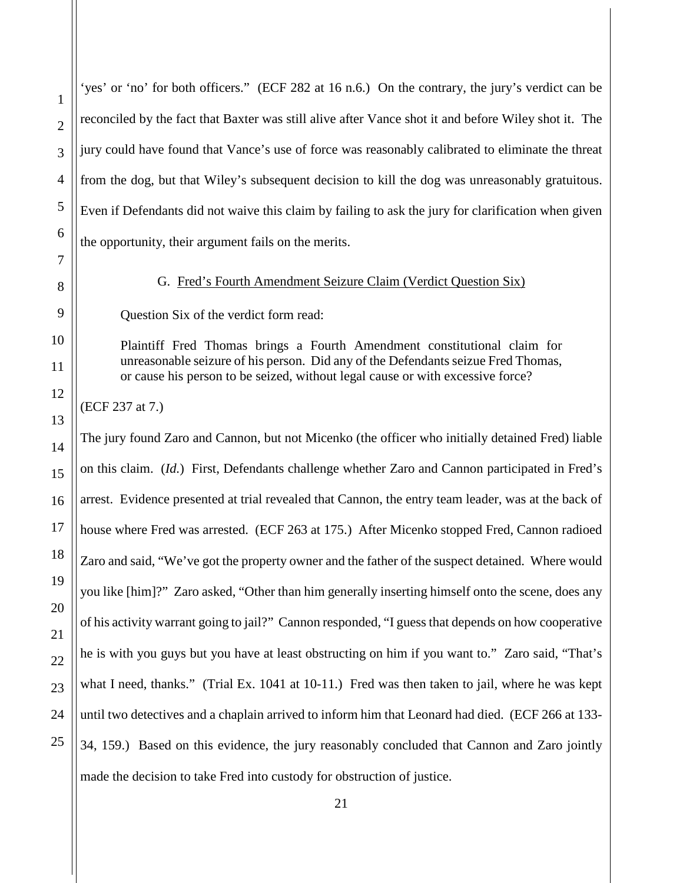'yes' or 'no' for both officers." (ECF 282 at 16 n.6.) On the contrary, the jury's verdict can be reconciled by the fact that Baxter was still alive after Vance shot it and before Wiley shot it. The jury could have found that Vance's use of force was reasonably calibrated to eliminate the threat from the dog, but that Wiley's subsequent decision to kill the dog was unreasonably gratuitous. Even if Defendants did not waive this claim by failing to ask the jury for clarification when given the opportunity, their argument fails on the merits.

## G. Fred's Fourth Amendment Seizure Claim (Verdict Question Six)

<span id="page-20-0"></span>Question Six of the verdict form read:

Plaintiff Fred Thomas brings a Fourth Amendment constitutional claim for unreasonable seizure of his person. Did any of the Defendants seizue Fred Thomas, or cause his person to be seized, without legal cause or with excessive force?

(ECF 237 at 7.)

The jury found Zaro and Cannon, but not Micenko (the officer who initially detained Fred) liable on this claim. (*Id.*) First, Defendants challenge whether Zaro and Cannon participated in Fred's arrest. Evidence presented at trial revealed that Cannon, the entry team leader, was at the back of house where Fred was arrested. (ECF 263 at 175.) After Micenko stopped Fred, Cannon radioed Zaro and said, "We've got the property owner and the father of the suspect detained. Where would you like [him]?" Zaro asked, "Other than him generally inserting himself onto the scene, does any of his activity warrant going to jail?" Cannon responded, "I guess that depends on how cooperative he is with you guys but you have at least obstructing on him if you want to." Zaro said, "That's what I need, thanks." (Trial Ex. 1041 at 10-11.) Fred was then taken to jail, where he was kept until two detectives and a chaplain arrived to inform him that Leonard had died. (ECF 266 at 133- 34, 159.) Based on this evidence, the jury reasonably concluded that Cannon and Zaro jointly made the decision to take Fred into custody for obstruction of justice.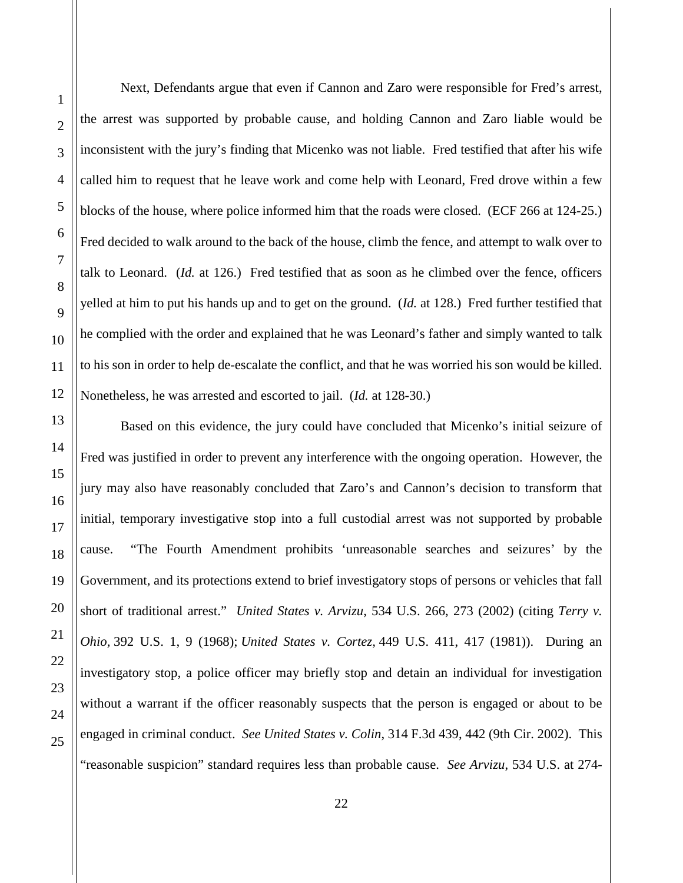Next, Defendants argue that even if Cannon and Zaro were responsible for Fred's arrest, the arrest was supported by probable cause, and holding Cannon and Zaro liable would be inconsistent with the jury's finding that Micenko was not liable. Fred testified that after his wife called him to request that he leave work and come help with Leonard, Fred drove within a few blocks of the house, where police informed him that the roads were closed. (ECF 266 at 124-25.) Fred decided to walk around to the back of the house, climb the fence, and attempt to walk over to talk to Leonard. (*Id.* at 126.) Fred testified that as soon as he climbed over the fence, officers yelled at him to put his hands up and to get on the ground. (*Id.* at 128.) Fred further testified that he complied with the order and explained that he was Leonard's father and simply wanted to talk to his son in order to help de-escalate the conflict, and that he was worried his son would be killed. Nonetheless, he was arrested and escorted to jail. (*Id.* at 128-30.)

Based on this evidence, the jury could have concluded that Micenko's initial seizure of Fred was justified in order to prevent any interference with the ongoing operation. However, the jury may also have reasonably concluded that Zaro's and Cannon's decision to transform that initial, temporary investigative stop into a full custodial arrest was not supported by probable cause. "The Fourth Amendment prohibits 'unreasonable searches and seizures' by the Government, and its protections extend to brief investigatory stops of persons or vehicles that fall short of traditional arrest." *United States v. Arvizu*, 534 U.S. 266, 273 (2002) (citing *Terry v. Ohio,* 392 U.S. 1, 9 (1968); *United States v. Cortez,* 449 U.S. 411, 417 (1981)). During an investigatory stop, a police officer may briefly stop and detain an individual for investigation without a warrant if the officer reasonably suspects that the person is engaged or about to be engaged in criminal conduct. *See United States v. Colin*, 314 F.3d 439, 442 (9th Cir. 2002). This "reasonable suspicion" standard requires less than probable cause. *See Arvizu*, 534 U.S. at 274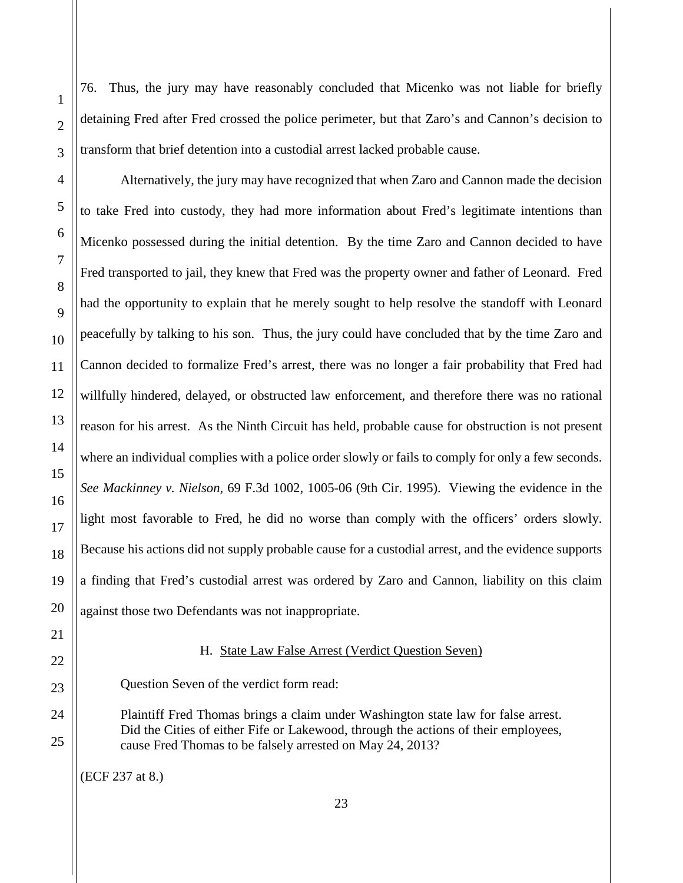76. Thus, the jury may have reasonably concluded that Micenko was not liable for briefly detaining Fred after Fred crossed the police perimeter, but that Zaro's and Cannon's decision to transform that brief detention into a custodial arrest lacked probable cause.

Alternatively, the jury may have recognized that when Zaro and Cannon made the decision to take Fred into custody, they had more information about Fred's legitimate intentions than Micenko possessed during the initial detention. By the time Zaro and Cannon decided to have Fred transported to jail, they knew that Fred was the property owner and father of Leonard. Fred had the opportunity to explain that he merely sought to help resolve the standoff with Leonard peacefully by talking to his son. Thus, the jury could have concluded that by the time Zaro and Cannon decided to formalize Fred's arrest, there was no longer a fair probability that Fred had willfully hindered, delayed, or obstructed law enforcement, and therefore there was no rational reason for his arrest. As the Ninth Circuit has held, probable cause for obstruction is not present where an individual complies with a police order slowly or fails to comply for only a few seconds. *See Mackinney v. Nielson*, 69 F.3d 1002, 1005-06 (9th Cir. 1995). Viewing the evidence in the light most favorable to Fred, he did no worse than comply with the officers' orders slowly. Because his actions did not supply probable cause for a custodial arrest, and the evidence supports a finding that Fred's custodial arrest was ordered by Zaro and Cannon, liability on this claim against those two Defendants was not inappropriate.

## H. State Law False Arrest (Verdict Question Seven)

<span id="page-22-0"></span>Question Seven of the verdict form read:

Plaintiff Fred Thomas brings a claim under Washington state law for false arrest. Did the Cities of either Fife or Lakewood, through the actions of their employees, cause Fred Thomas to be falsely arrested on May 24, 2013?

(ECF 237 at 8.)

1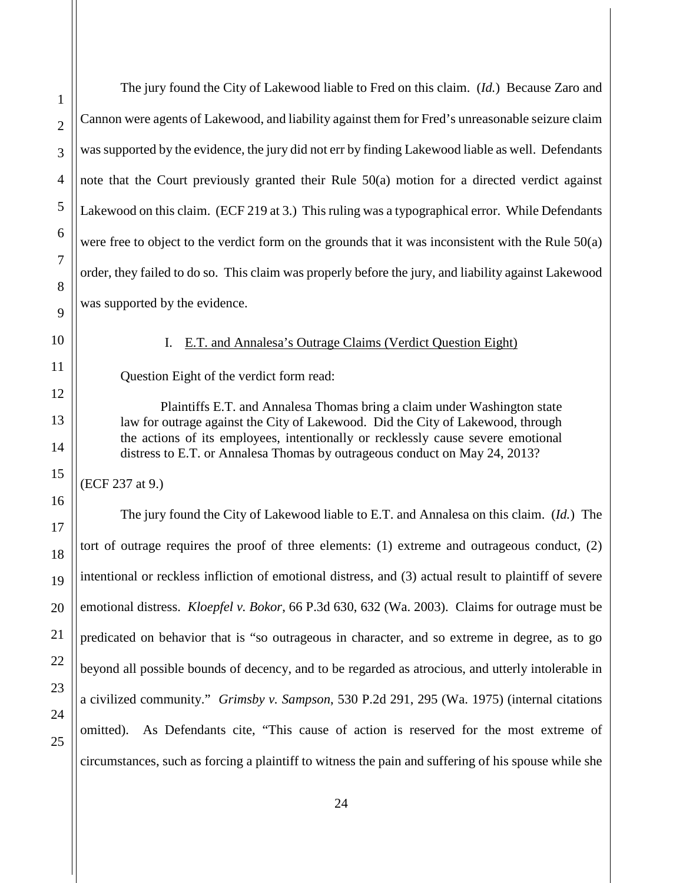The jury found the City of Lakewood liable to Fred on this claim. (*Id.*) Because Zaro and Cannon were agents of Lakewood, and liability against them for Fred's unreasonable seizure claim was supported by the evidence, the jury did not err by finding Lakewood liable as well. Defendants note that the Court previously granted their Rule 50(a) motion for a directed verdict against Lakewood on this claim. (ECF 219 at 3.) This ruling was a typographical error. While Defendants were free to object to the verdict form on the grounds that it was inconsistent with the Rule 50(a) order, they failed to do so. This claim was properly before the jury, and liability against Lakewood was supported by the evidence.

<span id="page-23-0"></span>

#### I. E.T. and Annalesa's Outrage Claims (Verdict Question Eight)

Question Eight of the verdict form read:

 Plaintiffs E.T. and Annalesa Thomas bring a claim under Washington state law for outrage against the City of Lakewood. Did the City of Lakewood, through the actions of its employees, intentionally or recklessly cause severe emotional distress to E.T. or Annalesa Thomas by outrageous conduct on May 24, 2013?

(ECF 237 at 9.)

The jury found the City of Lakewood liable to E.T. and Annalesa on this claim. (*Id.*) The tort of outrage requires the proof of three elements: (1) extreme and outrageous conduct, (2) intentional or reckless infliction of emotional distress, and (3) actual result to plaintiff of severe emotional distress. *Kloepfel v. Bokor*, 66 P.3d 630, 632 (Wa. 2003). Claims for outrage must be predicated on behavior that is "so outrageous in character, and so extreme in degree, as to go beyond all possible bounds of decency, and to be regarded as atrocious, and utterly intolerable in a civilized community." *Grimsby v. Sampson*, 530 P.2d 291, 295 (Wa. 1975) (internal citations omitted). As Defendants cite, "This cause of action is reserved for the most extreme of circumstances, such as forcing a plaintiff to witness the pain and suffering of his spouse while she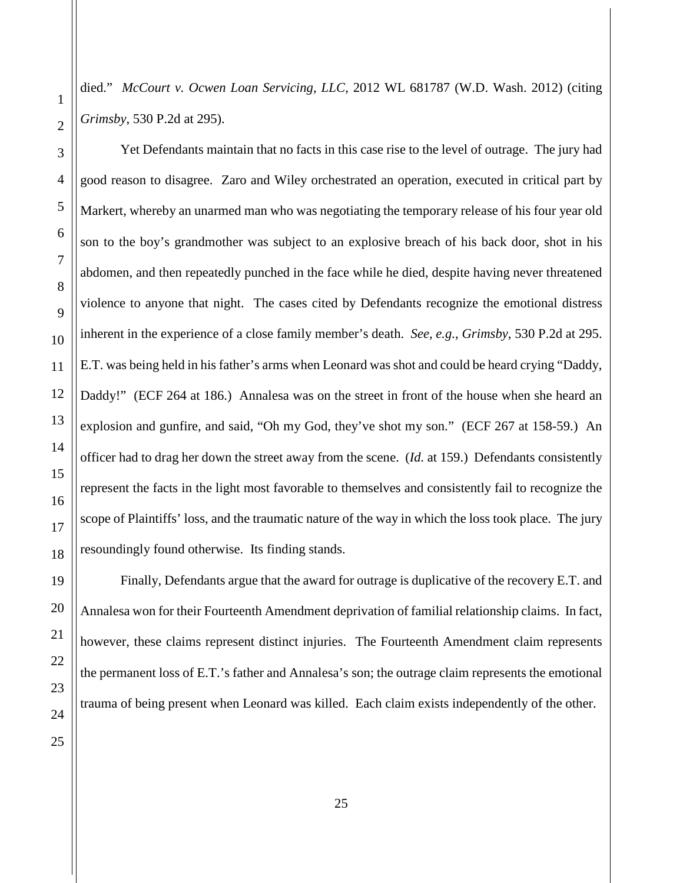died." *McCourt v. Ocwen Loan Servicing, LLC*, 2012 WL 681787 (W.D. Wash. 2012) (citing *Grimsby*, 530 P.2d at 295).

9

10

11

12

13

14

15

16

17

18

19

20

21

Yet Defendants maintain that no facts in this case rise to the level of outrage. The jury had good reason to disagree. Zaro and Wiley orchestrated an operation, executed in critical part by Markert, whereby an unarmed man who was negotiating the temporary release of his four year old son to the boy's grandmother was subject to an explosive breach of his back door, shot in his abdomen, and then repeatedly punched in the face while he died, despite having never threatened violence to anyone that night. The cases cited by Defendants recognize the emotional distress inherent in the experience of a close family member's death. *See, e.g.*, *Grimsby*, 530 P.2d at 295. E.T. was being held in his father's arms when Leonard was shot and could be heard crying "Daddy, Daddy!" (ECF 264 at 186.) Annalesa was on the street in front of the house when she heard an explosion and gunfire, and said, "Oh my God, they've shot my son." (ECF 267 at 158-59.) An officer had to drag her down the street away from the scene. (*Id.* at 159.) Defendants consistently represent the facts in the light most favorable to themselves and consistently fail to recognize the scope of Plaintiffs' loss, and the traumatic nature of the way in which the loss took place. The jury resoundingly found otherwise. Its finding stands.

Finally, Defendants argue that the award for outrage is duplicative of the recovery E.T. and Annalesa won for their Fourteenth Amendment deprivation of familial relationship claims. In fact, however, these claims represent distinct injuries. The Fourteenth Amendment claim represents the permanent loss of E.T.'s father and Annalesa's son; the outrage claim represents the emotional trauma of being present when Leonard was killed. Each claim exists independently of the other.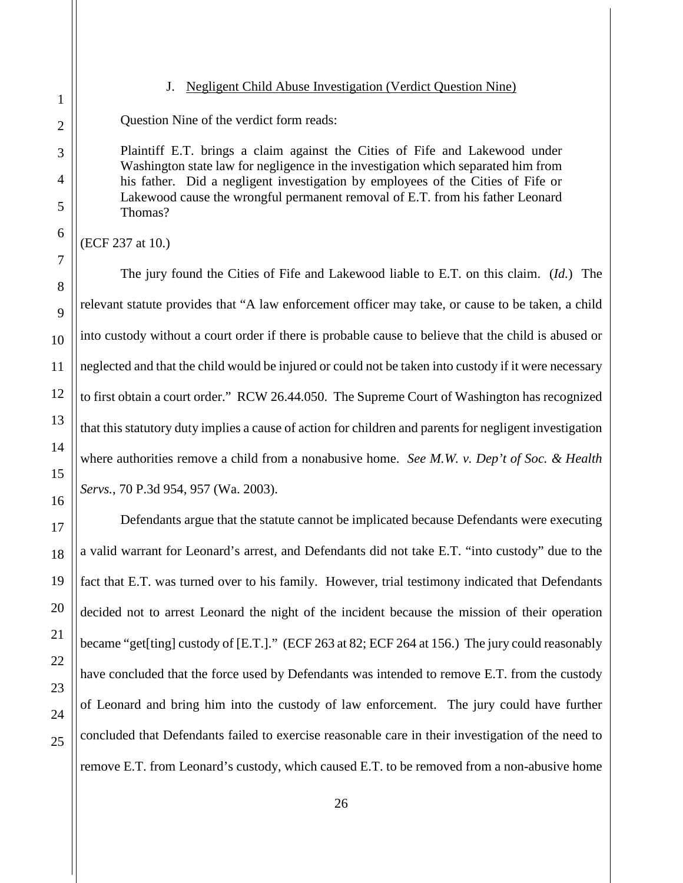20

21

22

23

24

25

#### J. Negligent Child Abuse Investigation (Verdict Question Nine)

<span id="page-25-0"></span>Question Nine of the verdict form reads:

Plaintiff E.T. brings a claim against the Cities of Fife and Lakewood under Washington state law for negligence in the investigation which separated him from his father. Did a negligent investigation by employees of the Cities of Fife or Lakewood cause the wrongful permanent removal of E.T. from his father Leonard Thomas?

(ECF 237 at 10.)

The jury found the Cities of Fife and Lakewood liable to E.T. on this claim. (*Id.*) The relevant statute provides that "A law enforcement officer may take, or cause to be taken, a child into custody without a court order if there is probable cause to believe that the child is abused or neglected and that the child would be injured or could not be taken into custody if it were necessary to first obtain a court order." RCW 26.44.050. The Supreme Court of Washington has recognized that this statutory duty implies a cause of action for children and parents for negligent investigation where authorities remove a child from a nonabusive home. *See M.W. v. Dep't of Soc. & Health Servs.*, 70 P.3d 954, 957 (Wa. 2003).

Defendants argue that the statute cannot be implicated because Defendants were executing a valid warrant for Leonard's arrest, and Defendants did not take E.T. "into custody" due to the fact that E.T. was turned over to his family. However, trial testimony indicated that Defendants decided not to arrest Leonard the night of the incident because the mission of their operation became "get[ting] custody of [E.T.]." (ECF 263 at 82; ECF 264 at 156.) The jury could reasonably have concluded that the force used by Defendants was intended to remove E.T. from the custody of Leonard and bring him into the custody of law enforcement. The jury could have further concluded that Defendants failed to exercise reasonable care in their investigation of the need to remove E.T. from Leonard's custody, which caused E.T. to be removed from a non-abusive home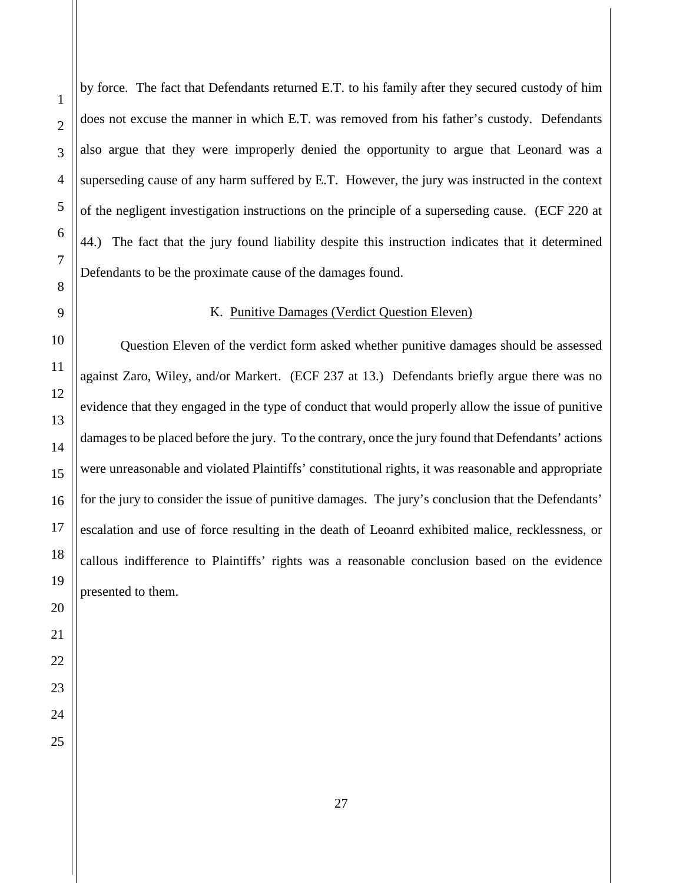by force. The fact that Defendants returned E.T. to his family after they secured custody of him does not excuse the manner in which E.T. was removed from his father's custody. Defendants also argue that they were improperly denied the opportunity to argue that Leonard was a superseding cause of any harm suffered by E.T. However, the jury was instructed in the context of the negligent investigation instructions on the principle of a superseding cause. (ECF 220 at 44.) The fact that the jury found liability despite this instruction indicates that it determined Defendants to be the proximate cause of the damages found.

## K. Punitive Damages (Verdict Question Eleven)

<span id="page-26-0"></span>Question Eleven of the verdict form asked whether punitive damages should be assessed against Zaro, Wiley, and/or Markert. (ECF 237 at 13.) Defendants briefly argue there was no evidence that they engaged in the type of conduct that would properly allow the issue of punitive damages to be placed before the jury. To the contrary, once the jury found that Defendants' actions were unreasonable and violated Plaintiffs' constitutional rights, it was reasonable and appropriate for the jury to consider the issue of punitive damages. The jury's conclusion that the Defendants' escalation and use of force resulting in the death of Leoanrd exhibited malice, recklessness, or callous indifference to Plaintiffs' rights was a reasonable conclusion based on the evidence presented to them.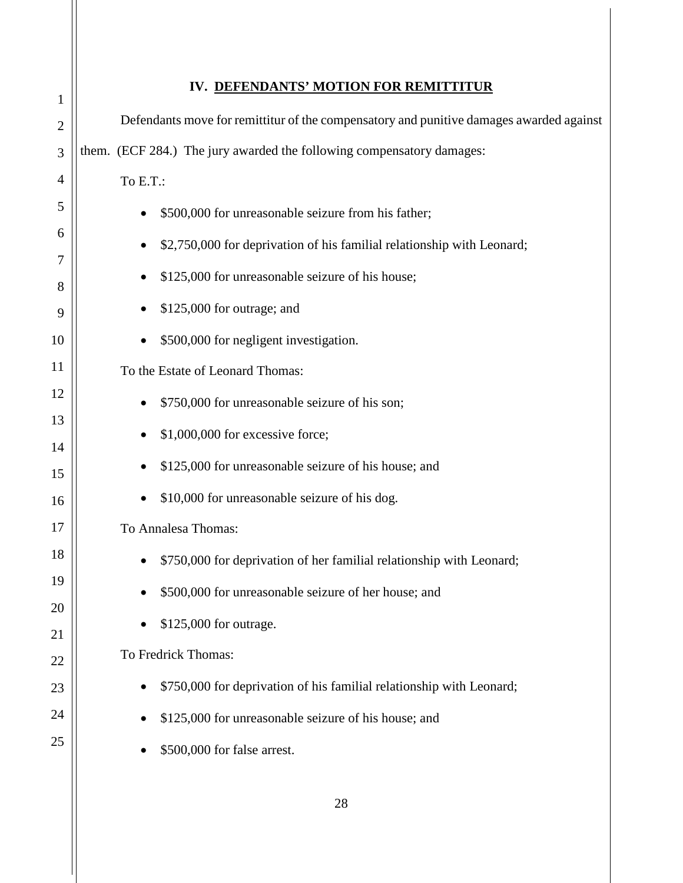<span id="page-27-0"></span>

| $\mathbf{1}$   | IV. DEFENDANTS' MOTION FOR REMITTITUR                                                   |
|----------------|-----------------------------------------------------------------------------------------|
| $\overline{2}$ | Defendants move for remittitur of the compensatory and punitive damages awarded against |
| 3              | them. (ECF 284.) The jury awarded the following compensatory damages:                   |
| 4              | To E.T.:                                                                                |
| 5              | \$500,000 for unreasonable seizure from his father;<br>$\bullet$                        |
| 6              | \$2,750,000 for deprivation of his familial relationship with Leonard;<br>$\bullet$     |
| 7              | \$125,000 for unreasonable seizure of his house;                                        |
| 8<br>9         | \$125,000 for outrage; and                                                              |
| 10             | \$500,000 for negligent investigation.                                                  |
| 11             | To the Estate of Leonard Thomas:                                                        |
| 12             | \$750,000 for unreasonable seizure of his son;                                          |
| 13             | \$1,000,000 for excessive force;                                                        |
| 14             |                                                                                         |
| 15             | \$125,000 for unreasonable seizure of his house; and                                    |
| 16             | \$10,000 for unreasonable seizure of his dog.                                           |
| 17             | To Annalesa Thomas:                                                                     |
| 18             | \$750,000 for deprivation of her familial relationship with Leonard;                    |
| 19             | \$500,000 for unreasonable seizure of her house; and                                    |
| 20             |                                                                                         |
| 21             | \$125,000 for outrage.                                                                  |
| 22             | To Fredrick Thomas:                                                                     |
| 23             | \$750,000 for deprivation of his familial relationship with Leonard;<br>$\bullet$       |
| 24             | \$125,000 for unreasonable seizure of his house; and                                    |
| 25             | \$500,000 for false arrest.                                                             |
|                |                                                                                         |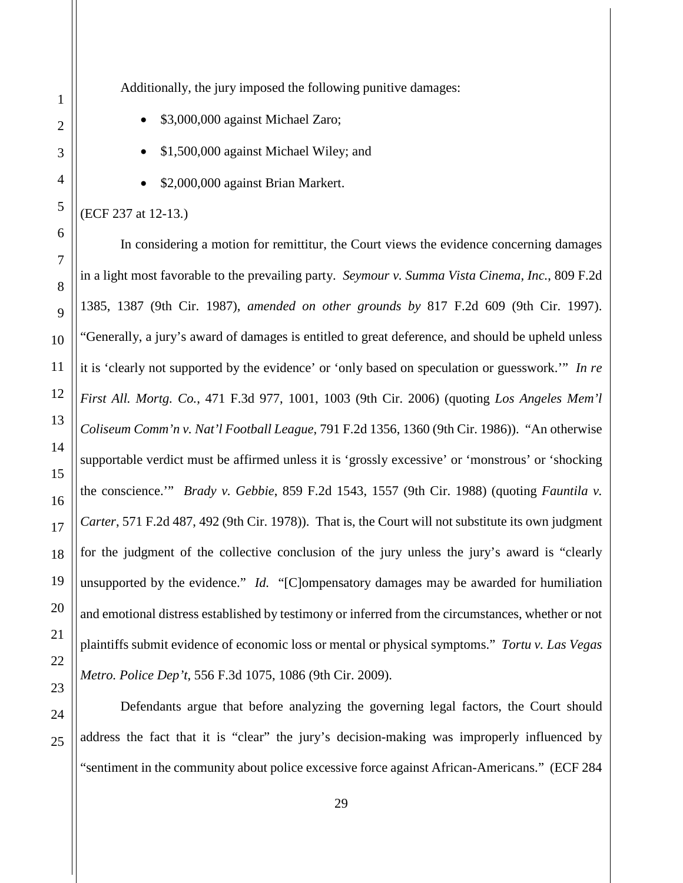Additionally, the jury imposed the following punitive damages:

- \$3,000,000 against Michael Zaro;
- \$1,500,000 against Michael Wiley; and
- \$2,000,000 against Brian Markert.

#### (ECF 237 at 12-13.)

In considering a motion for remittitur, the Court views the evidence concerning damages in a light most favorable to the prevailing party. *Seymour v. Summa Vista Cinema, Inc.*, 809 F.2d 1385, 1387 (9th Cir. 1987), *amended on other grounds by* 817 F.2d 609 (9th Cir. 1997). "Generally, a jury's award of damages is entitled to great deference, and should be upheld unless it is 'clearly not supported by the evidence' or 'only based on speculation or guesswork.'" *In re First All. Mortg. Co.*, 471 F.3d 977, 1001, 1003 (9th Cir. 2006) (quoting *Los Angeles Mem'l Coliseum Comm'n v. Nat'l Football League*, 791 F.2d 1356, 1360 (9th Cir. 1986)). "An otherwise supportable verdict must be affirmed unless it is 'grossly excessive' or 'monstrous' or 'shocking the conscience.'" *Brady v. Gebbie*, 859 F.2d 1543, 1557 (9th Cir. 1988) (quoting *Fauntila v. Carter*, 571 F.2d 487, 492 (9th Cir. 1978)). That is, the Court will not substitute its own judgment for the judgment of the collective conclusion of the jury unless the jury's award is "clearly unsupported by the evidence." *Id.* "[C]ompensatory damages may be awarded for humiliation and emotional distress established by testimony or inferred from the circumstances, whether or not plaintiffs submit evidence of economic loss or mental or physical symptoms." *Tortu v. Las Vegas Metro. Police Dep't*, 556 F.3d 1075, 1086 (9th Cir. 2009).

Defendants argue that before analyzing the governing legal factors, the Court should address the fact that it is "clear" the jury's decision-making was improperly influenced by "sentiment in the community about police excessive force against African-Americans." (ECF 284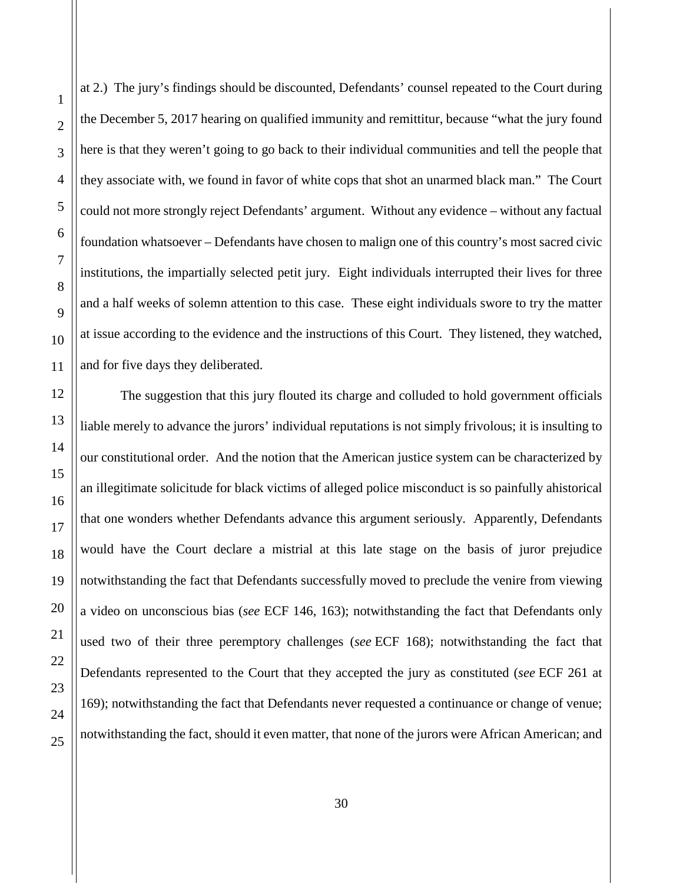at 2.) The jury's findings should be discounted, Defendants' counsel repeated to the Court during the December 5, 2017 hearing on qualified immunity and remittitur, because "what the jury found here is that they weren't going to go back to their individual communities and tell the people that they associate with, we found in favor of white cops that shot an unarmed black man." The Court could not more strongly reject Defendants' argument. Without any evidence – without any factual foundation whatsoever – Defendants have chosen to malign one of this country's most sacred civic institutions, the impartially selected petit jury. Eight individuals interrupted their lives for three and a half weeks of solemn attention to this case. These eight individuals swore to try the matter at issue according to the evidence and the instructions of this Court. They listened, they watched, and for five days they deliberated.

The suggestion that this jury flouted its charge and colluded to hold government officials liable merely to advance the jurors' individual reputations is not simply frivolous; it is insulting to our constitutional order. And the notion that the American justice system can be characterized by an illegitimate solicitude for black victims of alleged police misconduct is so painfully ahistorical that one wonders whether Defendants advance this argument seriously. Apparently, Defendants would have the Court declare a mistrial at this late stage on the basis of juror prejudice notwithstanding the fact that Defendants successfully moved to preclude the venire from viewing a video on unconscious bias (*see* ECF 146, 163); notwithstanding the fact that Defendants only used two of their three peremptory challenges (*see* ECF 168); notwithstanding the fact that Defendants represented to the Court that they accepted the jury as constituted (*see* ECF 261 at 169); notwithstanding the fact that Defendants never requested a continuance or change of venue; notwithstanding the fact, should it even matter, that none of the jurors were African American; and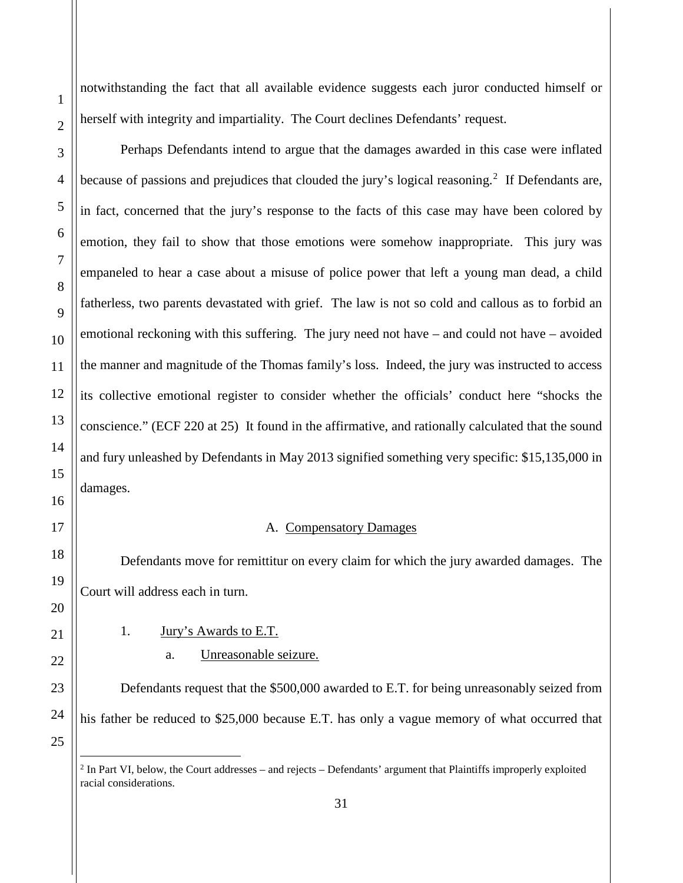-

notwithstanding the fact that all available evidence suggests each juror conducted himself or herself with integrity and impartiality. The Court declines Defendants' request.

Perhaps Defendants intend to argue that the damages awarded in this case were inflated because of passions and prejudices that clouded the jury's logical reasoning.<sup>[2](#page-30-2)</sup> If Defendants are, in fact, concerned that the jury's response to the facts of this case may have been colored by emotion, they fail to show that those emotions were somehow inappropriate. This jury was empaneled to hear a case about a misuse of police power that left a young man dead, a child fatherless, two parents devastated with grief. The law is not so cold and callous as to forbid an emotional reckoning with this suffering. The jury need not have – and could not have – avoided the manner and magnitude of the Thomas family's loss. Indeed, the jury was instructed to access its collective emotional register to consider whether the officials' conduct here "shocks the conscience." (ECF 220 at 25) It found in the affirmative, and rationally calculated that the sound and fury unleashed by Defendants in May 2013 signified something very specific: \$15,135,000 in damages.

### A. Compensatory Damages

<span id="page-30-0"></span>Defendants move for remittitur on every claim for which the jury awarded damages. The Court will address each in turn.

<span id="page-30-1"></span>1. Jury's Awards to E.T.

## a. Unreasonable seizure.

 Defendants request that the \$500,000 awarded to E.T. for being unreasonably seized from his father be reduced to \$25,000 because E.T. has only a vague memory of what occurred that

<span id="page-30-2"></span> $2$  In Part VI, below, the Court addresses – and rejects – Defendants' argument that Plaintiffs improperly exploited racial considerations.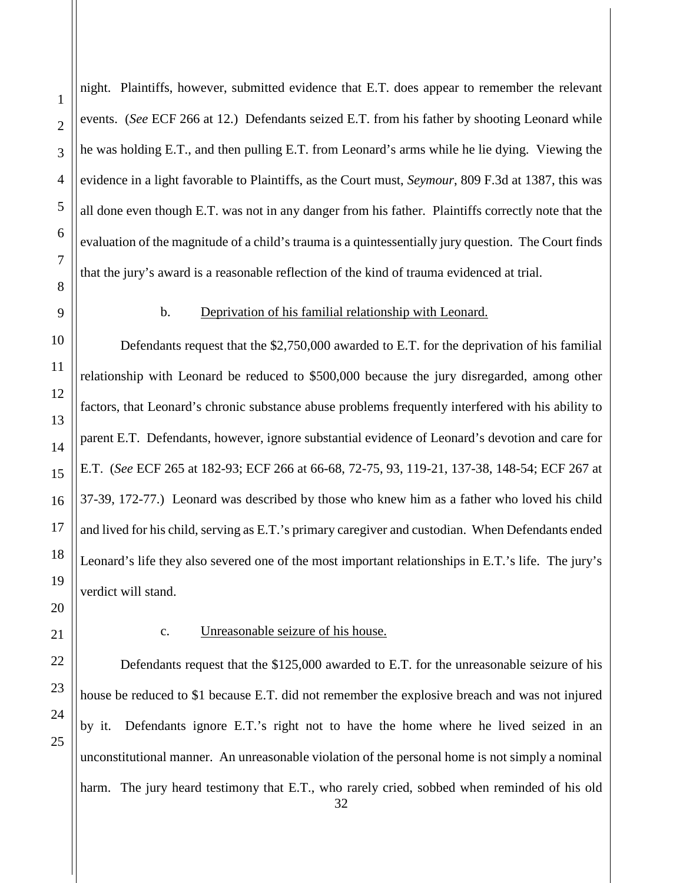night. Plaintiffs, however, submitted evidence that E.T. does appear to remember the relevant events. (*See* ECF 266 at 12.) Defendants seized E.T. from his father by shooting Leonard while he was holding E.T., and then pulling E.T. from Leonard's arms while he lie dying. Viewing the evidence in a light favorable to Plaintiffs, as the Court must, *Seymour*, 809 F.3d at 1387, this was all done even though E.T. was not in any danger from his father. Plaintiffs correctly note that the evaluation of the magnitude of a child's trauma is a quintessentially jury question. The Court finds that the jury's award is a reasonable reflection of the kind of trauma evidenced at trial.

#### b. Deprivation of his familial relationship with Leonard.

Defendants request that the \$2,750,000 awarded to E.T. for the deprivation of his familial relationship with Leonard be reduced to \$500,000 because the jury disregarded, among other factors, that Leonard's chronic substance abuse problems frequently interfered with his ability to parent E.T. Defendants, however, ignore substantial evidence of Leonard's devotion and care for E.T. (*See* ECF 265 at 182-93; ECF 266 at 66-68, 72-75, 93, 119-21, 137-38, 148-54; ECF 267 at 37-39, 172-77.) Leonard was described by those who knew him as a father who loved his child and lived for his child, serving as E.T.'s primary caregiver and custodian. When Defendants ended Leonard's life they also severed one of the most important relationships in E.T.'s life. The jury's verdict will stand.

#### c. Unreasonable seizure of his house.

Defendants request that the \$125,000 awarded to E.T. for the unreasonable seizure of his house be reduced to \$1 because E.T. did not remember the explosive breach and was not injured by it. Defendants ignore E.T.'s right not to have the home where he lived seized in an unconstitutional manner. An unreasonable violation of the personal home is not simply a nominal harm. The jury heard testimony that E.T., who rarely cried, sobbed when reminded of his old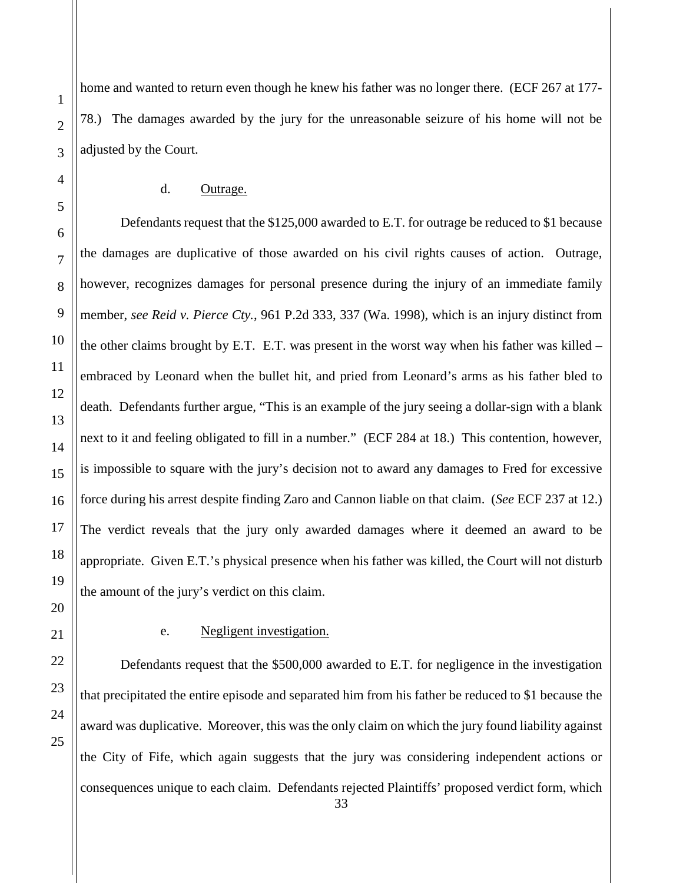home and wanted to return even though he knew his father was no longer there. (ECF 267 at 177- 78.) The damages awarded by the jury for the unreasonable seizure of his home will not be adjusted by the Court.

## d. Outrage.

Defendants request that the \$125,000 awarded to E.T. for outrage be reduced to \$1 because the damages are duplicative of those awarded on his civil rights causes of action. Outrage, however, recognizes damages for personal presence during the injury of an immediate family member, *see Reid v. Pierce Cty.*, 961 P.2d 333, 337 (Wa. 1998), which is an injury distinct from the other claims brought by E.T. E.T. was present in the worst way when his father was killed – embraced by Leonard when the bullet hit, and pried from Leonard's arms as his father bled to death. Defendants further argue, "This is an example of the jury seeing a dollar-sign with a blank next to it and feeling obligated to fill in a number." (ECF 284 at 18.) This contention, however, is impossible to square with the jury's decision not to award any damages to Fred for excessive force during his arrest despite finding Zaro and Cannon liable on that claim. (*See* ECF 237 at 12.) The verdict reveals that the jury only awarded damages where it deemed an award to be appropriate. Given E.T.'s physical presence when his father was killed, the Court will not disturb the amount of the jury's verdict on this claim.

1

2

3

4

5

6

7

8

9

10

## e. Negligent investigation.

Defendants request that the \$500,000 awarded to E.T. for negligence in the investigation that precipitated the entire episode and separated him from his father be reduced to \$1 because the award was duplicative. Moreover, this was the only claim on which the jury found liability against the City of Fife, which again suggests that the jury was considering independent actions or consequences unique to each claim. Defendants rejected Plaintiffs' proposed verdict form, which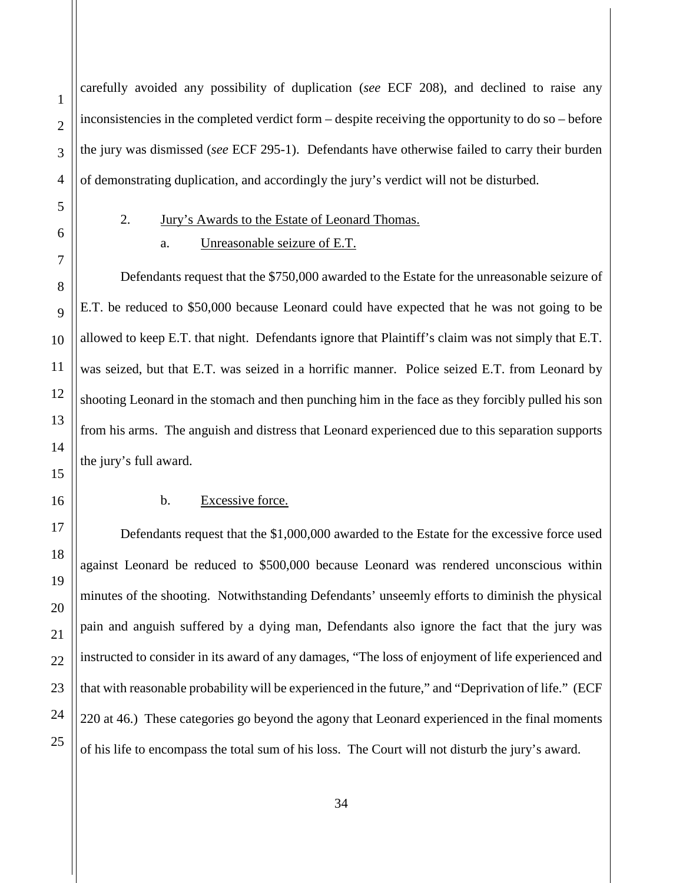carefully avoided any possibility of duplication (*see* ECF 208), and declined to raise any inconsistencies in the completed verdict form – despite receiving the opportunity to do so – before the jury was dismissed (*see* ECF 295-1). Defendants have otherwise failed to carry their burden of demonstrating duplication, and accordingly the jury's verdict will not be disturbed.

<span id="page-33-0"></span>

1

## 2. Jury's Awards to the Estate of Leonard Thomas.

## a. Unreasonable seizure of E.T.

Defendants request that the \$750,000 awarded to the Estate for the unreasonable seizure of E.T. be reduced to \$50,000 because Leonard could have expected that he was not going to be allowed to keep E.T. that night. Defendants ignore that Plaintiff's claim was not simply that E.T. was seized, but that E.T. was seized in a horrific manner. Police seized E.T. from Leonard by shooting Leonard in the stomach and then punching him in the face as they forcibly pulled his son from his arms. The anguish and distress that Leonard experienced due to this separation supports the jury's full award.

#### b. Excessive force.

Defendants request that the \$1,000,000 awarded to the Estate for the excessive force used against Leonard be reduced to \$500,000 because Leonard was rendered unconscious within minutes of the shooting. Notwithstanding Defendants' unseemly efforts to diminish the physical pain and anguish suffered by a dying man, Defendants also ignore the fact that the jury was instructed to consider in its award of any damages, "The loss of enjoyment of life experienced and that with reasonable probability will be experienced in the future," and "Deprivation of life." (ECF 220 at 46.) These categories go beyond the agony that Leonard experienced in the final moments of his life to encompass the total sum of his loss. The Court will not disturb the jury's award.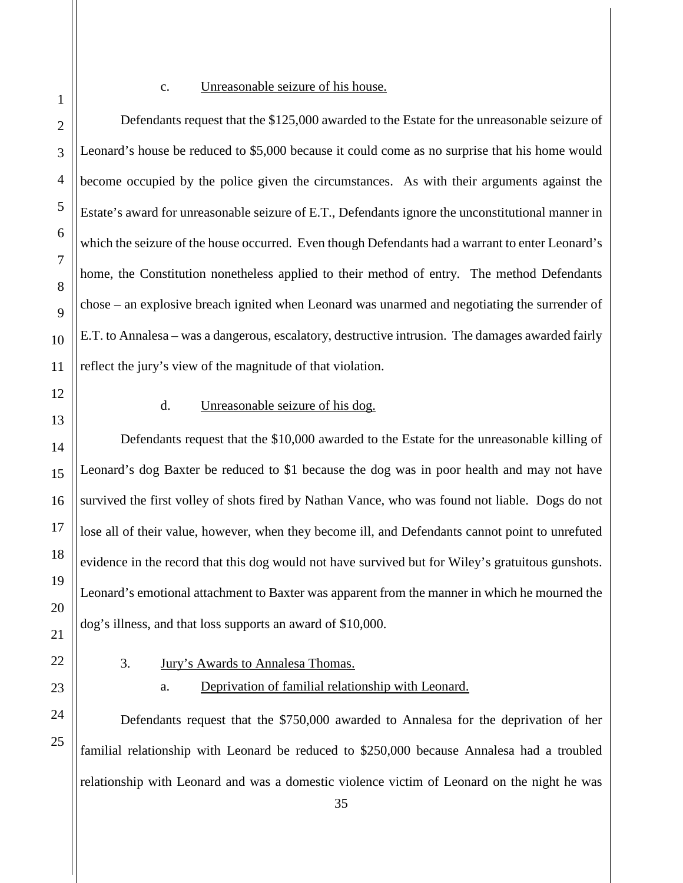#### c. Unreasonable seizure of his house.

Defendants request that the \$125,000 awarded to the Estate for the unreasonable seizure of Leonard's house be reduced to \$5,000 because it could come as no surprise that his home would become occupied by the police given the circumstances. As with their arguments against the Estate's award for unreasonable seizure of E.T., Defendants ignore the unconstitutional manner in which the seizure of the house occurred. Even though Defendants had a warrant to enter Leonard's home, the Constitution nonetheless applied to their method of entry. The method Defendants chose – an explosive breach ignited when Leonard was unarmed and negotiating the surrender of E.T. to Annalesa – was a dangerous, escalatory, destructive intrusion. The damages awarded fairly reflect the jury's view of the magnitude of that violation.

## d. Unreasonable seizure of his dog.

Defendants request that the \$10,000 awarded to the Estate for the unreasonable killing of Leonard's dog Baxter be reduced to \$1 because the dog was in poor health and may not have survived the first volley of shots fired by Nathan Vance, who was found not liable. Dogs do not lose all of their value, however, when they become ill, and Defendants cannot point to unrefuted evidence in the record that this dog would not have survived but for Wiley's gratuitous gunshots. Leonard's emotional attachment to Baxter was apparent from the manner in which he mourned the dog's illness, and that loss supports an award of \$10,000.

<span id="page-34-0"></span>

# 3. Jury's Awards to Annalesa Thomas.

## a. Deprivation of familial relationship with Leonard.

Defendants request that the \$750,000 awarded to Annalesa for the deprivation of her familial relationship with Leonard be reduced to \$250,000 because Annalesa had a troubled relationship with Leonard and was a domestic violence victim of Leonard on the night he was

1

2

3

4

5

6

7

8

9

10

11

12

13

14

15

16

17

18

19

20

21

22

23

24

25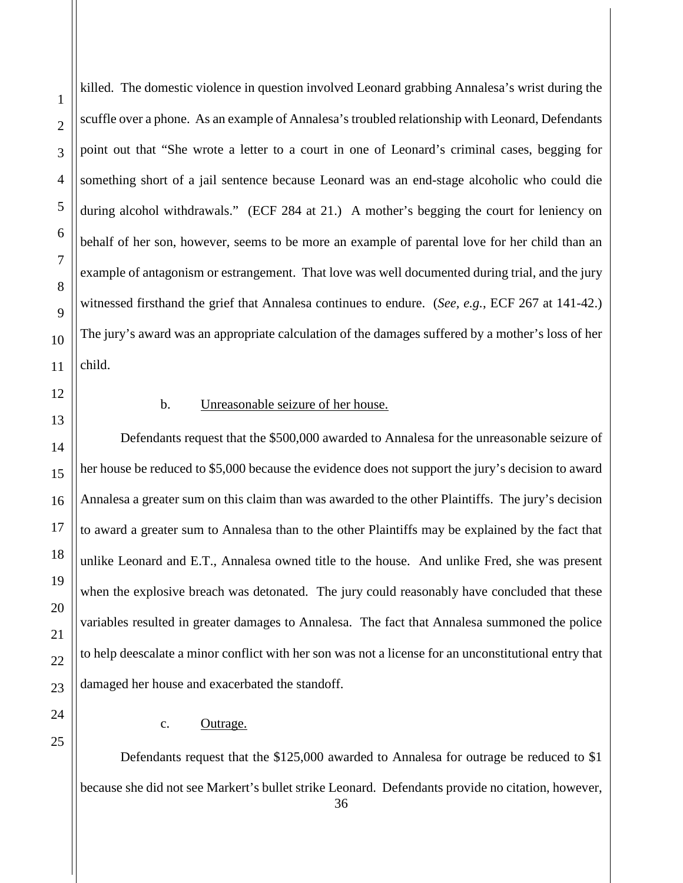killed. The domestic violence in question involved Leonard grabbing Annalesa's wrist during the scuffle over a phone. As an example of Annalesa's troubled relationship with Leonard, Defendants point out that "She wrote a letter to a court in one of Leonard's criminal cases, begging for something short of a jail sentence because Leonard was an end-stage alcoholic who could die during alcohol withdrawals." (ECF 284 at 21.) A mother's begging the court for leniency on behalf of her son, however, seems to be more an example of parental love for her child than an example of antagonism or estrangement. That love was well documented during trial, and the jury witnessed firsthand the grief that Annalesa continues to endure. (*See, e.g.*, ECF 267 at 141-42.) The jury's award was an appropriate calculation of the damages suffered by a mother's loss of her child.

## b. Unreasonable seizure of her house.

Defendants request that the \$500,000 awarded to Annalesa for the unreasonable seizure of her house be reduced to \$5,000 because the evidence does not support the jury's decision to award Annalesa a greater sum on this claim than was awarded to the other Plaintiffs. The jury's decision to award a greater sum to Annalesa than to the other Plaintiffs may be explained by the fact that unlike Leonard and E.T., Annalesa owned title to the house. And unlike Fred, she was present when the explosive breach was detonated. The jury could reasonably have concluded that these variables resulted in greater damages to Annalesa. The fact that Annalesa summoned the police to help deescalate a minor conflict with her son was not a license for an unconstitutional entry that damaged her house and exacerbated the standoff.

#### c. Outrage.

Defendants request that the \$125,000 awarded to Annalesa for outrage be reduced to \$1 because she did not see Markert's bullet strike Leonard. Defendants provide no citation, however,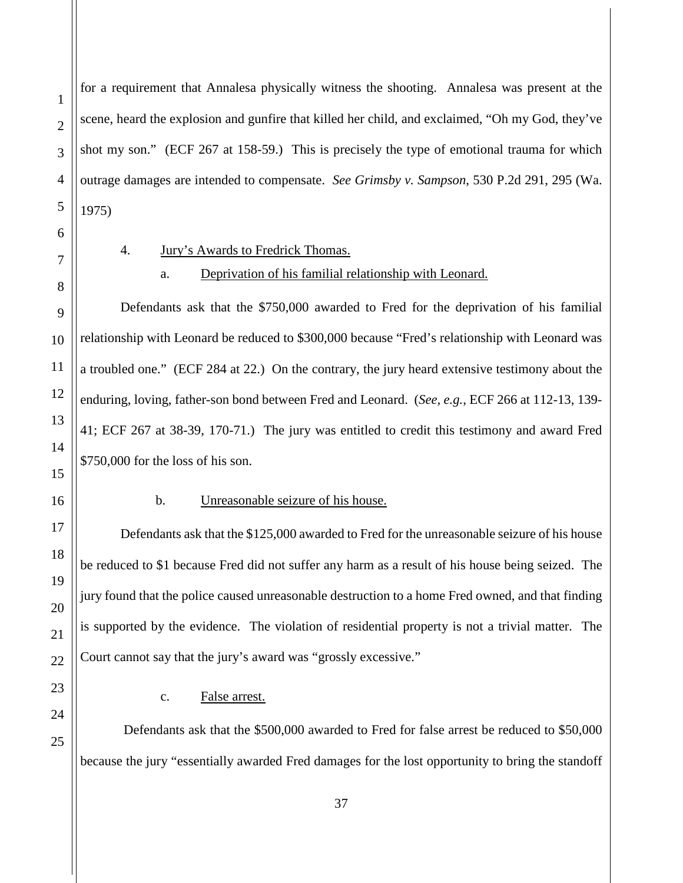for a requirement that Annalesa physically witness the shooting. Annalesa was present at the scene, heard the explosion and gunfire that killed her child, and exclaimed, "Oh my God, they've shot my son." (ECF 267 at 158-59.) This is precisely the type of emotional trauma for which outrage damages are intended to compensate. *See Grimsby v. Sampson*, 530 P.2d 291, 295 (Wa. 1975)

<span id="page-36-0"></span>

## 4. Jury's Awards to Fredrick Thomas.

a. Deprivation of his familial relationship with Leonard.

Defendants ask that the \$750,000 awarded to Fred for the deprivation of his familial relationship with Leonard be reduced to \$300,000 because "Fred's relationship with Leonard was a troubled one." (ECF 284 at 22.) On the contrary, the jury heard extensive testimony about the enduring, loving, father-son bond between Fred and Leonard. (*See, e.g.*, ECF 266 at 112-13, 139- 41; ECF 267 at 38-39, 170-71.) The jury was entitled to credit this testimony and award Fred \$750,000 for the loss of his son.

## b. Unreasonable seizure of his house.

Defendants ask that the \$125,000 awarded to Fred for the unreasonable seizure of his house be reduced to \$1 because Fred did not suffer any harm as a result of his house being seized. The jury found that the police caused unreasonable destruction to a home Fred owned, and that finding is supported by the evidence. The violation of residential property is not a trivial matter. The Court cannot say that the jury's award was "grossly excessive."

c. False arrest.

Defendants ask that the \$500,000 awarded to Fred for false arrest be reduced to \$50,000 because the jury "essentially awarded Fred damages for the lost opportunity to bring the standoff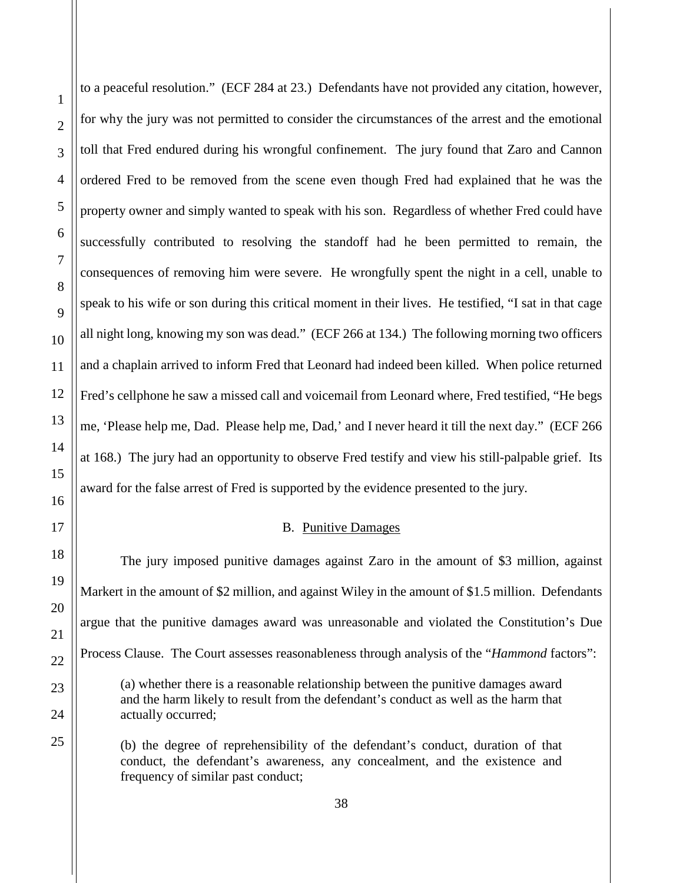to a peaceful resolution." (ECF 284 at 23.) Defendants have not provided any citation, however, for why the jury was not permitted to consider the circumstances of the arrest and the emotional toll that Fred endured during his wrongful confinement. The jury found that Zaro and Cannon ordered Fred to be removed from the scene even though Fred had explained that he was the property owner and simply wanted to speak with his son. Regardless of whether Fred could have successfully contributed to resolving the standoff had he been permitted to remain, the consequences of removing him were severe. He wrongfully spent the night in a cell, unable to speak to his wife or son during this critical moment in their lives. He testified, "I sat in that cage all night long, knowing my son was dead." (ECF 266 at 134.) The following morning two officers and a chaplain arrived to inform Fred that Leonard had indeed been killed. When police returned Fred's cellphone he saw a missed call and voicemail from Leonard where, Fred testified, "He begs me, 'Please help me, Dad. Please help me, Dad,' and I never heard it till the next day." (ECF 266 at 168.) The jury had an opportunity to observe Fred testify and view his still-palpable grief. Its award for the false arrest of Fred is supported by the evidence presented to the jury.

#### B. Punitive Damages

<span id="page-37-0"></span>The jury imposed punitive damages against Zaro in the amount of \$3 million, against Markert in the amount of \$2 million, and against Wiley in the amount of \$1.5 million. Defendants argue that the punitive damages award was unreasonable and violated the Constitution's Due Process Clause. The Court assesses reasonableness through analysis of the "*Hammond* factors": (a) whether there is a reasonable relationship between the punitive damages award and the harm likely to result from the defendant's conduct as well as the harm that actually occurred;

(b) the degree of reprehensibility of the defendant's conduct, duration of that conduct, the defendant's awareness, any concealment, and the existence and frequency of similar past conduct;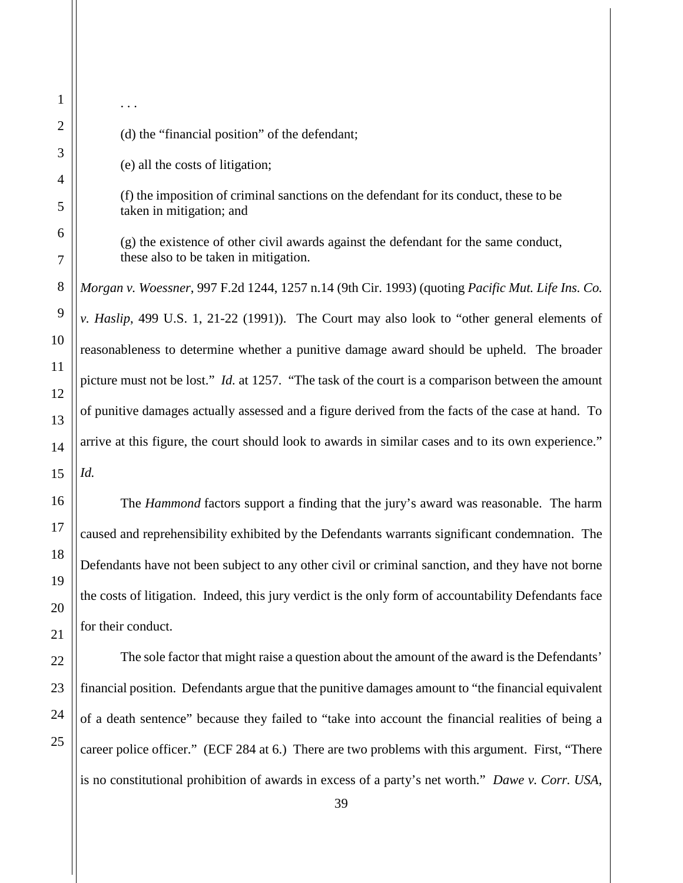(d) the "financial position" of the defendant;

(e) all the costs of litigation;

. . .

(f) the imposition of criminal sanctions on the defendant for its conduct, these to be taken in mitigation; and

(g) the existence of other civil awards against the defendant for the same conduct, these also to be taken in mitigation.

*Morgan v. Woessner*, 997 F.2d 1244, 1257 n.14 (9th Cir. 1993) (quoting *Pacific Mut. Life Ins. Co. v. Haslip*, 499 U.S. 1, 21-22 (1991)). The Court may also look to "other general elements of reasonableness to determine whether a punitive damage award should be upheld. The broader picture must not be lost." *Id.* at 1257. "The task of the court is a comparison between the amount of punitive damages actually assessed and a figure derived from the facts of the case at hand. To arrive at this figure, the court should look to awards in similar cases and to its own experience." *Id.*

The *Hammond* factors support a finding that the jury's award was reasonable. The harm caused and reprehensibility exhibited by the Defendants warrants significant condemnation. The Defendants have not been subject to any other civil or criminal sanction, and they have not borne the costs of litigation. Indeed, this jury verdict is the only form of accountability Defendants face for their conduct.

The sole factor that might raise a question about the amount of the award is the Defendants' financial position. Defendants argue that the punitive damages amount to "the financial equivalent of a death sentence" because they failed to "take into account the financial realities of being a career police officer." (ECF 284 at 6.) There are two problems with this argument. First, "There is no constitutional prohibition of awards in excess of a party's net worth." *Dawe v. Corr. USA*,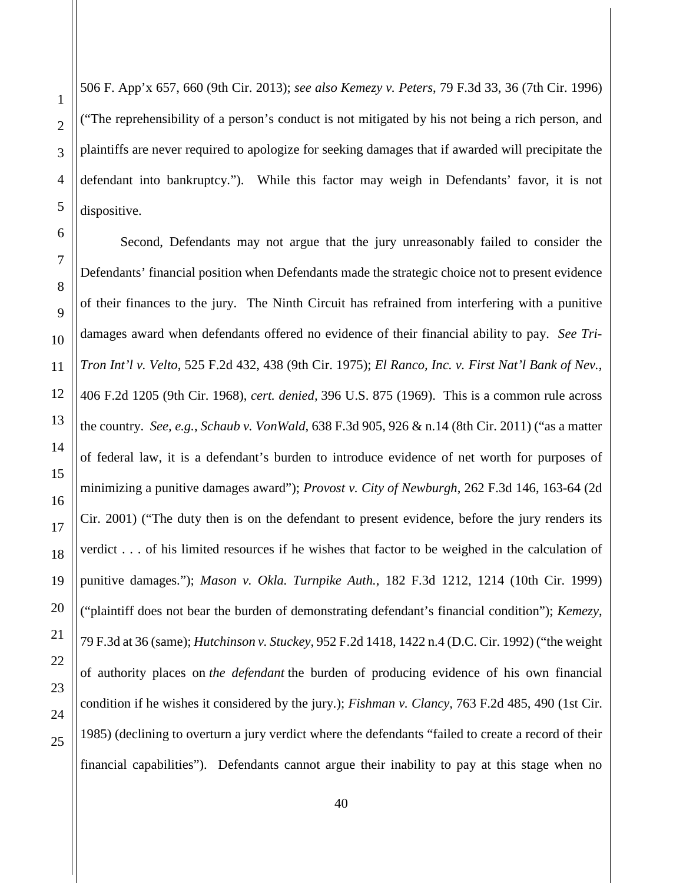1

2

3

4

5

506 F. App'x 657, 660 (9th Cir. 2013); *see also Kemezy v. Peters*, 79 F.3d 33, 36 (7th Cir. 1996) ("The reprehensibility of a person's conduct is not mitigated by his not being a rich person, and plaintiffs are never required to apologize for seeking damages that if awarded will precipitate the defendant into bankruptcy."). While this factor may weigh in Defendants' favor, it is not dispositive.

Second, Defendants may not argue that the jury unreasonably failed to consider the Defendants' financial position when Defendants made the strategic choice not to present evidence of their finances to the jury. The Ninth Circuit has refrained from interfering with a punitive damages award when defendants offered no evidence of their financial ability to pay. *See Tri-Tron Int'l v. Velto*, 525 F.2d 432, 438 (9th Cir. 1975); *El Ranco, Inc. v. First Nat'l Bank of Nev.*, 406 F.2d 1205 (9th Cir. 1968), *cert. denied,* 396 U.S. 875 (1969). This is a common rule across the country. *See, e.g.*, *Schaub v. VonWald*, 638 F.3d 905, 926 & n.14 (8th Cir. 2011) ("as a matter of federal law, it is a defendant's burden to introduce evidence of net worth for purposes of minimizing a punitive damages award"); *Provost v. City of Newburgh*, 262 F.3d 146, 163-64 (2d Cir. 2001) ("The duty then is on the defendant to present evidence, before the jury renders its verdict . . . of his limited resources if he wishes that factor to be weighed in the calculation of punitive damages."); *Mason v. Okla. Turnpike Auth.*, 182 F.3d 1212, 1214 (10th Cir. 1999) ("plaintiff does not bear the burden of demonstrating defendant's financial condition"); *Kemezy*, 79 F.3d at 36 (same); *Hutchinson v. Stuckey*, 952 F.2d 1418, 1422 n.4 (D.C. Cir. 1992) ("the weight of authority places on *the defendant* the burden of producing evidence of his own financial condition if he wishes it considered by the jury.); *Fishman v. Clancy,* 763 F.2d 485, 490 (1st Cir. 1985) (declining to overturn a jury verdict where the defendants "failed to create a record of their financial capabilities"). Defendants cannot argue their inability to pay at this stage when no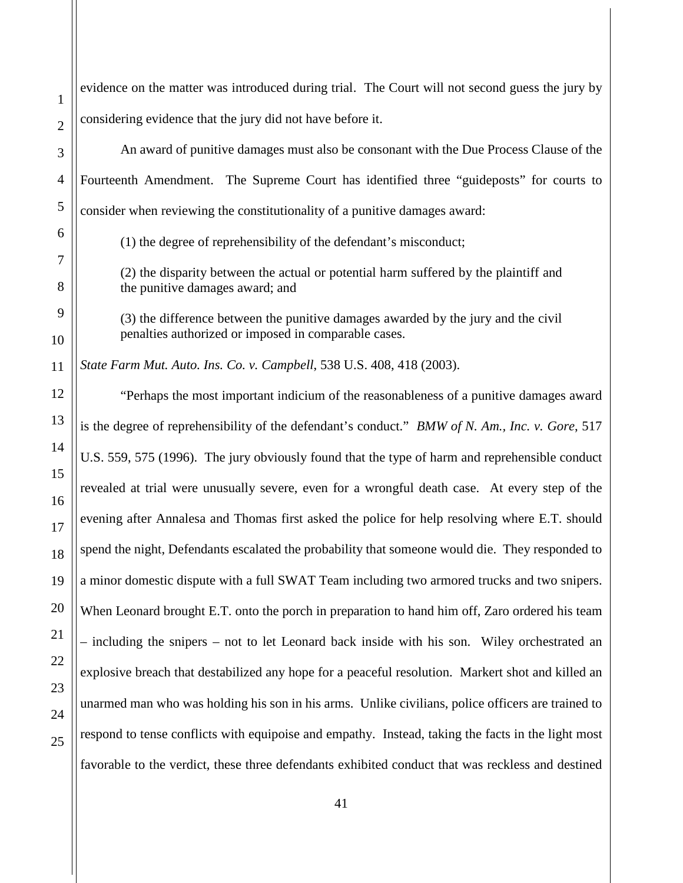evidence on the matter was introduced during trial. The Court will not second guess the jury by considering evidence that the jury did not have before it.

An award of punitive damages must also be consonant with the Due Process Clause of the Fourteenth Amendment. The Supreme Court has identified three "guideposts" for courts to consider when reviewing the constitutionality of a punitive damages award:

(1) the degree of reprehensibility of the defendant's misconduct;

(2) the disparity between the actual or potential harm suffered by the plaintiff and the punitive damages award; and

(3) the difference between the punitive damages awarded by the jury and the civil penalties authorized or imposed in comparable cases.

*State Farm Mut. Auto. Ins. Co. v. Campbell*, 538 U.S. 408, 418 (2003).

"Perhaps the most important indicium of the reasonableness of a punitive damages award is the degree of reprehensibility of the defendant's conduct." *BMW of N. Am., Inc. v. Gore*, 517 U.S. 559, 575 (1996). The jury obviously found that the type of harm and reprehensible conduct revealed at trial were unusually severe, even for a wrongful death case. At every step of the evening after Annalesa and Thomas first asked the police for help resolving where E.T. should spend the night, Defendants escalated the probability that someone would die. They responded to a minor domestic dispute with a full SWAT Team including two armored trucks and two snipers. When Leonard brought E.T. onto the porch in preparation to hand him off, Zaro ordered his team – including the snipers – not to let Leonard back inside with his son. Wiley orchestrated an explosive breach that destabilized any hope for a peaceful resolution. Markert shot and killed an unarmed man who was holding his son in his arms. Unlike civilians, police officers are trained to respond to tense conflicts with equipoise and empathy. Instead, taking the facts in the light most favorable to the verdict, these three defendants exhibited conduct that was reckless and destined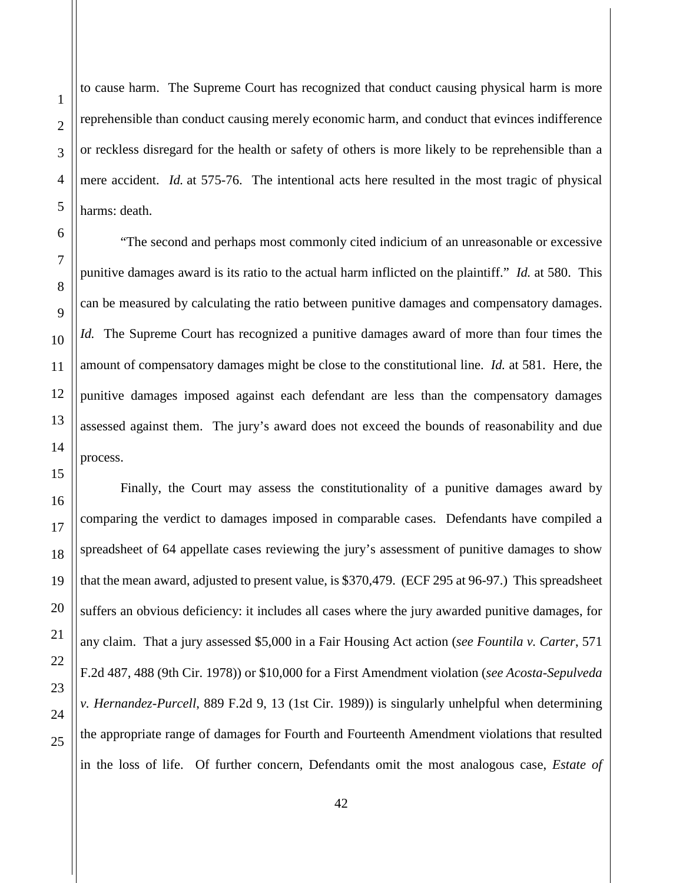to cause harm. The Supreme Court has recognized that conduct causing physical harm is more reprehensible than conduct causing merely economic harm, and conduct that evinces indifference or reckless disregard for the health or safety of others is more likely to be reprehensible than a mere accident. *Id.* at 575-76. The intentional acts here resulted in the most tragic of physical harms: death.

"The second and perhaps most commonly cited indicium of an unreasonable or excessive punitive damages award is its ratio to the actual harm inflicted on the plaintiff." *Id.* at 580. This can be measured by calculating the ratio between punitive damages and compensatory damages. *Id.* The Supreme Court has recognized a punitive damages award of more than four times the amount of compensatory damages might be close to the constitutional line. *Id.* at 581. Here, the punitive damages imposed against each defendant are less than the compensatory damages assessed against them. The jury's award does not exceed the bounds of reasonability and due process.

Finally, the Court may assess the constitutionality of a punitive damages award by comparing the verdict to damages imposed in comparable cases. Defendants have compiled a spreadsheet of 64 appellate cases reviewing the jury's assessment of punitive damages to show that the mean award, adjusted to present value, is \$370,479. (ECF 295 at 96-97.) This spreadsheet suffers an obvious deficiency: it includes all cases where the jury awarded punitive damages, for any claim. That a jury assessed \$5,000 in a Fair Housing Act action (*see Fountila v. Carter*, 571 F.2d 487, 488 (9th Cir. 1978)) or \$10,000 for a First Amendment violation (*see Acosta-Sepulveda v. Hernandez-Purcell*, 889 F.2d 9, 13 (1st Cir. 1989)) is singularly unhelpful when determining the appropriate range of damages for Fourth and Fourteenth Amendment violations that resulted in the loss of life. Of further concern, Defendants omit the most analogous case, *Estate of*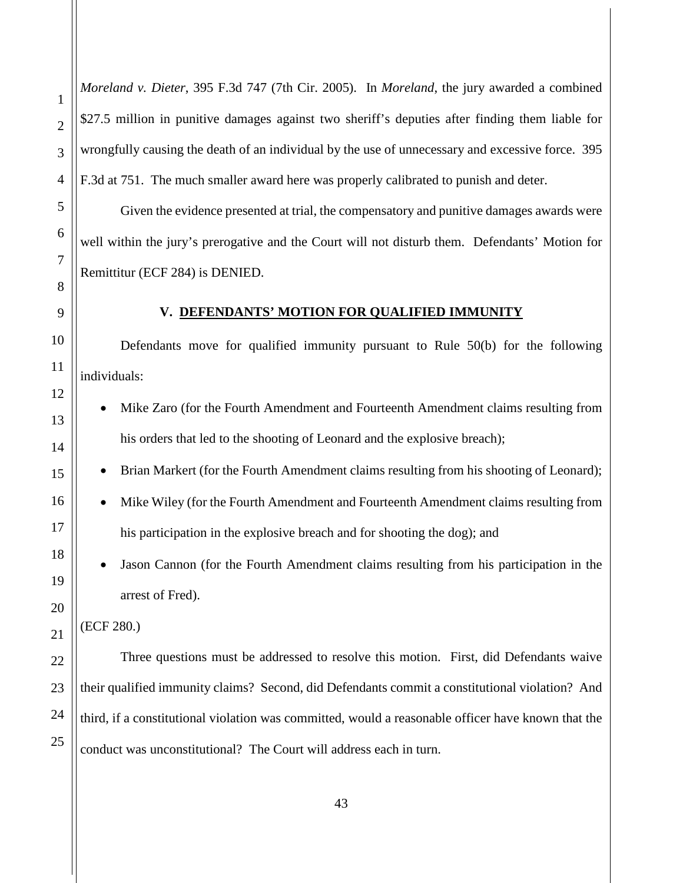*Moreland v. Dieter*, 395 F.3d 747 (7th Cir. 2005). In *Moreland*, the jury awarded a combined \$27.5 million in punitive damages against two sheriff's deputies after finding them liable for wrongfully causing the death of an individual by the use of unnecessary and excessive force. 395 F.3d at 751. The much smaller award here was properly calibrated to punish and deter.

Given the evidence presented at trial, the compensatory and punitive damages awards were well within the jury's prerogative and the Court will not disturb them. Defendants' Motion for Remittitur (ECF 284) is DENIED.

## **V. DEFENDANTS' MOTION FOR QUALIFIED IMMUNITY**

<span id="page-42-0"></span>Defendants move for qualified immunity pursuant to Rule 50(b) for the following individuals:

- Mike Zaro (for the Fourth Amendment and Fourteenth Amendment claims resulting from his orders that led to the shooting of Leonard and the explosive breach);
- Brian Markert (for the Fourth Amendment claims resulting from his shooting of Leonard);
- Mike Wiley (for the Fourth Amendment and Fourteenth Amendment claims resulting from his participation in the explosive breach and for shooting the dog); and
- Jason Cannon (for the Fourth Amendment claims resulting from his participation in the arrest of Fred).

(ECF 280.)

Three questions must be addressed to resolve this motion. First, did Defendants waive their qualified immunity claims? Second, did Defendants commit a constitutional violation? And third, if a constitutional violation was committed, would a reasonable officer have known that the conduct was unconstitutional? The Court will address each in turn.

1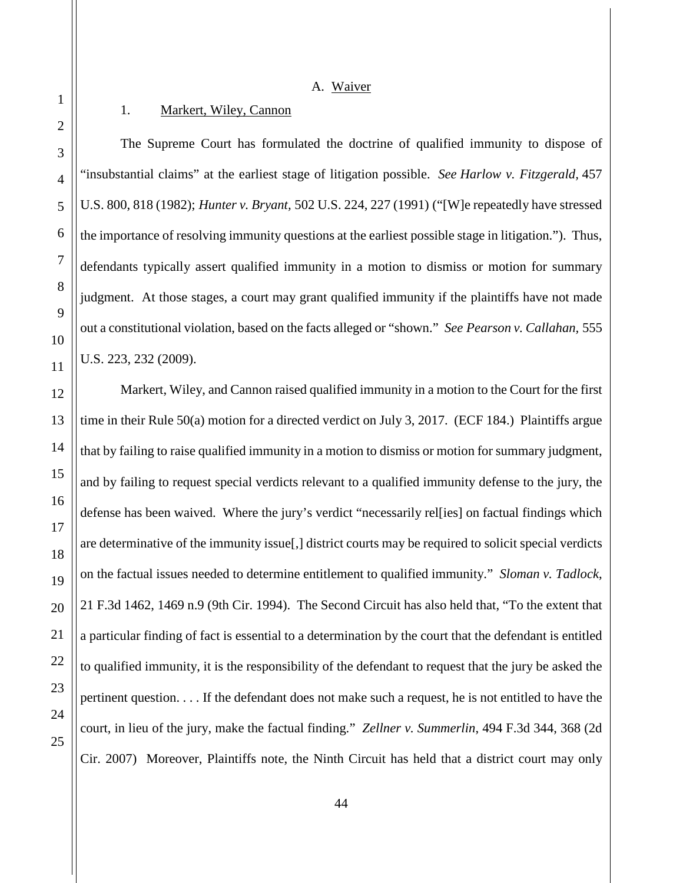A. Waiver

## <span id="page-43-0"></span>1. Markert, Wiley, Cannon

<span id="page-43-1"></span>The Supreme Court has formulated the doctrine of qualified immunity to dispose of "insubstantial claims" at the earliest stage of litigation possible. *See Harlow v. Fitzgerald,* 457 U.S. 800, 818 (1982); *Hunter v. Bryant,* 502 U.S. 224, 227 (1991) ("[W]e repeatedly have stressed the importance of resolving immunity questions at the earliest possible stage in litigation."). Thus, defendants typically assert qualified immunity in a motion to dismiss or motion for summary judgment. At those stages, a court may grant qualified immunity if the plaintiffs have not made out a constitutional violation, based on the facts alleged or "shown." *See Pearson v. Callahan,* 555 U.S. 223, 232 (2009).

Markert, Wiley, and Cannon raised qualified immunity in a motion to the Court for the first time in their Rule 50(a) motion for a directed verdict on July 3, 2017. (ECF 184.) Plaintiffs argue that by failing to raise qualified immunity in a motion to dismiss or motion for summary judgment, and by failing to request special verdicts relevant to a qualified immunity defense to the jury, the defense has been waived. Where the jury's verdict "necessarily rel[ies] on factual findings which are determinative of the immunity issue[,] district courts may be required to solicit special verdicts on the factual issues needed to determine entitlement to qualified immunity." *Sloman v. Tadlock*, 21 F.3d 1462, 1469 n.9 (9th Cir. 1994). The Second Circuit has also held that, "To the extent that a particular finding of fact is essential to a determination by the court that the defendant is entitled to qualified immunity, it is the responsibility of the defendant to request that the jury be asked the pertinent question. . . . If the defendant does not make such a request, he is not entitled to have the court, in lieu of the jury, make the factual finding." *Zellner v. Summerlin*, 494 F.3d 344, 368 (2d Cir. 2007) Moreover, Plaintiffs note, the Ninth Circuit has held that a district court may only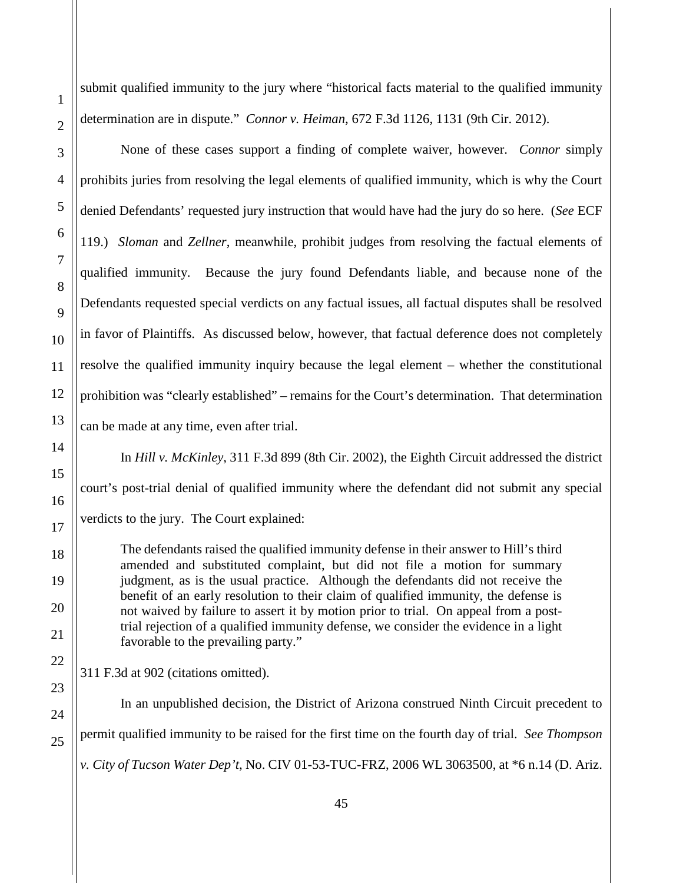submit qualified immunity to the jury where "historical facts material to the qualified immunity determination are in dispute." *Connor v. Heiman*, 672 F.3d 1126, 1131 (9th Cir. 2012).

None of these cases support a finding of complete waiver, however. *Connor* simply prohibits juries from resolving the legal elements of qualified immunity, which is why the Court denied Defendants' requested jury instruction that would have had the jury do so here. (*See* ECF 119.) *Sloman* and *Zellner*, meanwhile, prohibit judges from resolving the factual elements of qualified immunity. Because the jury found Defendants liable, and because none of the Defendants requested special verdicts on any factual issues, all factual disputes shall be resolved in favor of Plaintiffs. As discussed below, however, that factual deference does not completely resolve the qualified immunity inquiry because the legal element – whether the constitutional prohibition was "clearly established" – remains for the Court's determination. That determination can be made at any time, even after trial.

In *Hill v. McKinley*, 311 F.3d 899 (8th Cir. 2002), the Eighth Circuit addressed the district court's post-trial denial of qualified immunity where the defendant did not submit any special verdicts to the jury. The Court explained:

The defendants raised the qualified immunity defense in their answer to Hill's third amended and substituted complaint, but did not file a motion for summary judgment, as is the usual practice. Although the defendants did not receive the benefit of an early resolution to their claim of qualified immunity, the defense is not waived by failure to assert it by motion prior to trial. On appeal from a posttrial rejection of a qualified immunity defense, we consider the evidence in a light favorable to the prevailing party."

311 F.3d at 902 (citations omitted).

In an unpublished decision, the District of Arizona construed Ninth Circuit precedent to permit qualified immunity to be raised for the first time on the fourth day of trial. *See Thompson v. City of Tucson Water Dep't*, No. CIV 01-53-TUC-FRZ, 2006 WL 3063500, at \*6 n.14 (D. Ariz.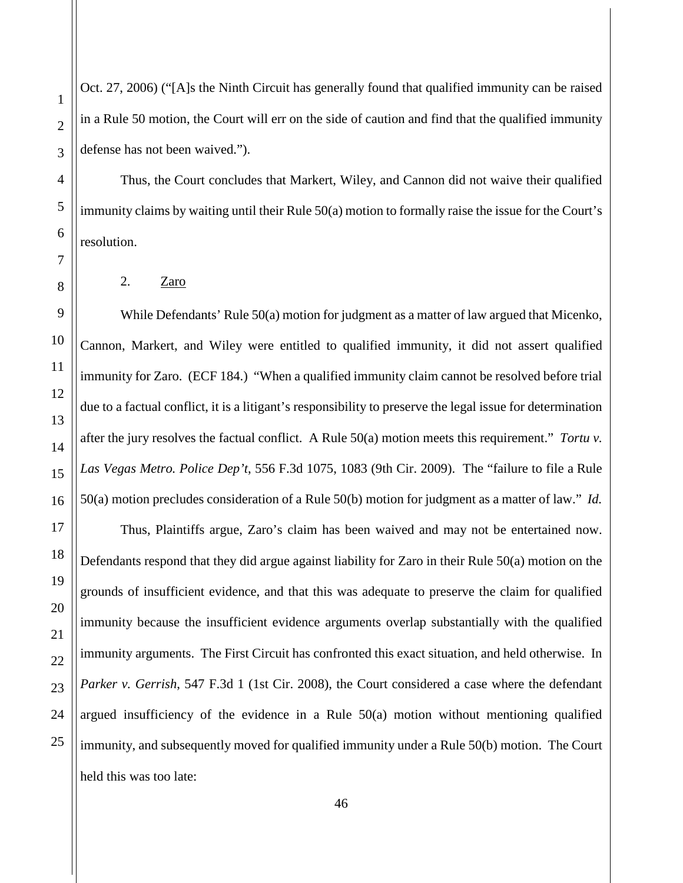Oct. 27, 2006) ("[A]s the Ninth Circuit has generally found that qualified immunity can be raised in a Rule 50 motion, the Court will err on the side of caution and find that the qualified immunity defense has not been waived.").

Thus, the Court concludes that Markert, Wiley, and Cannon did not waive their qualified immunity claims by waiting until their Rule 50(a) motion to formally raise the issue for the Court's resolution.

<span id="page-45-0"></span>2.  $Zaro$ 

While Defendants' Rule 50(a) motion for judgment as a matter of law argued that Micenko, Cannon, Markert, and Wiley were entitled to qualified immunity, it did not assert qualified immunity for Zaro. (ECF 184.) "When a qualified immunity claim cannot be resolved before trial due to a factual conflict, it is a litigant's responsibility to preserve the legal issue for determination after the jury resolves the factual conflict. A Rule 50(a) motion meets this requirement." *Tortu v. Las Vegas Metro. Police Dep't*, 556 F.3d 1075, 1083 (9th Cir. 2009). The "failure to file a Rule 50(a) motion precludes consideration of a Rule 50(b) motion for judgment as a matter of law." *Id.*

Thus, Plaintiffs argue, Zaro's claim has been waived and may not be entertained now. Defendants respond that they did argue against liability for Zaro in their Rule 50(a) motion on the grounds of insufficient evidence, and that this was adequate to preserve the claim for qualified immunity because the insufficient evidence arguments overlap substantially with the qualified immunity arguments. The First Circuit has confronted this exact situation, and held otherwise. In *Parker v. Gerrish*, 547 F.3d 1 (1st Cir. 2008), the Court considered a case where the defendant argued insufficiency of the evidence in a Rule 50(a) motion without mentioning qualified immunity, and subsequently moved for qualified immunity under a Rule 50(b) motion. The Court held this was too late: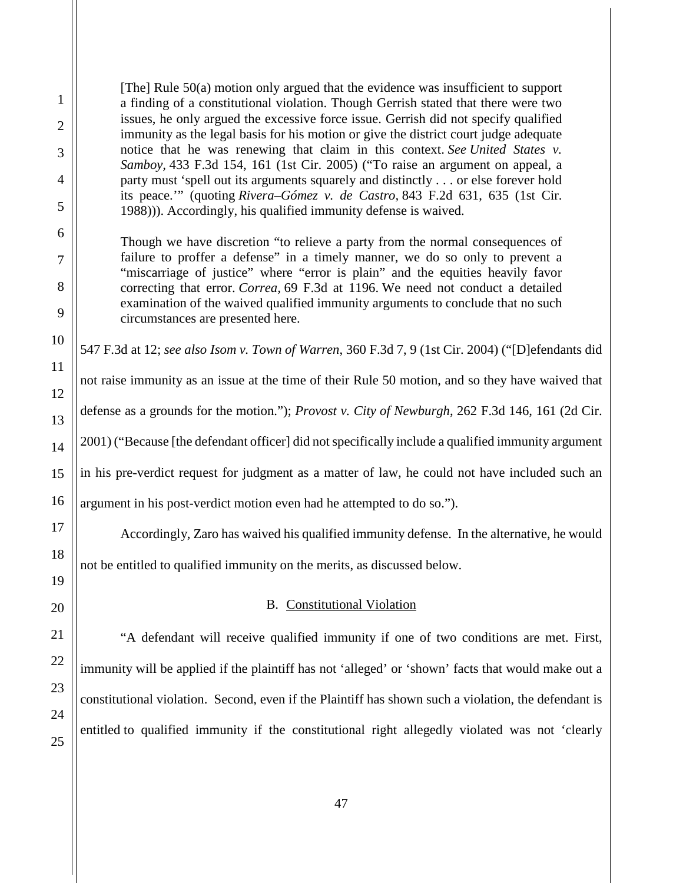[The] Rule 50(a) motion only argued that the evidence was insufficient to support a finding of a constitutional violation. Though Gerrish stated that there were two issues, he only argued the excessive force issue. Gerrish did not specify qualified immunity as the legal basis for his motion or give the district court judge adequate notice that he was renewing that claim in this context. *See United States v. Samboy,* 433 F.3d 154, 161 (1st Cir. 2005) ("To raise an argument on appeal, a party must 'spell out its arguments squarely and distinctly . . . or else forever hold its peace.'" (quoting *Rivera–Gómez v. de Castro,* 843 F.2d 631, 635 (1st Cir. 1988))). Accordingly, his qualified immunity defense is waived.

Though we have discretion "to relieve a party from the normal consequences of failure to proffer a defense" in a timely manner, we do so only to prevent a "miscarriage of justice" where "error is plain" and the equities heavily favor correcting that error. *Correa,* 69 F.3d at 1196. We need not conduct a detailed examination of the waived qualified immunity arguments to conclude that no such circumstances are presented here.

547 F.3d at 12; *see also Isom v. Town of Warren*, 360 F.3d 7, 9 (1st Cir. 2004) ("[D]efendants did

not raise immunity as an issue at the time of their Rule 50 motion, and so they have waived that defense as a grounds for the motion."); *Provost v. City of Newburgh*, 262 F.3d 146, 161 (2d Cir. 2001) ("Because [the defendant officer] did not specifically include a qualified immunity argument in his pre-verdict request for judgment as a matter of law, he could not have included such an argument in his post-verdict motion even had he attempted to do so.").

Accordingly, Zaro has waived his qualified immunity defense. In the alternative, he would

<span id="page-46-0"></span>not be entitled to qualified immunity on the merits, as discussed below.

## B. Constitutional Violation

"A defendant will receive qualified immunity if one of two conditions are met. First, immunity will be applied if the plaintiff has not 'alleged' or 'shown' facts that would make out a constitutional violation. Second, even if the Plaintiff has shown such a violation, the defendant is entitled to qualified immunity if the constitutional right allegedly violated was not 'clearly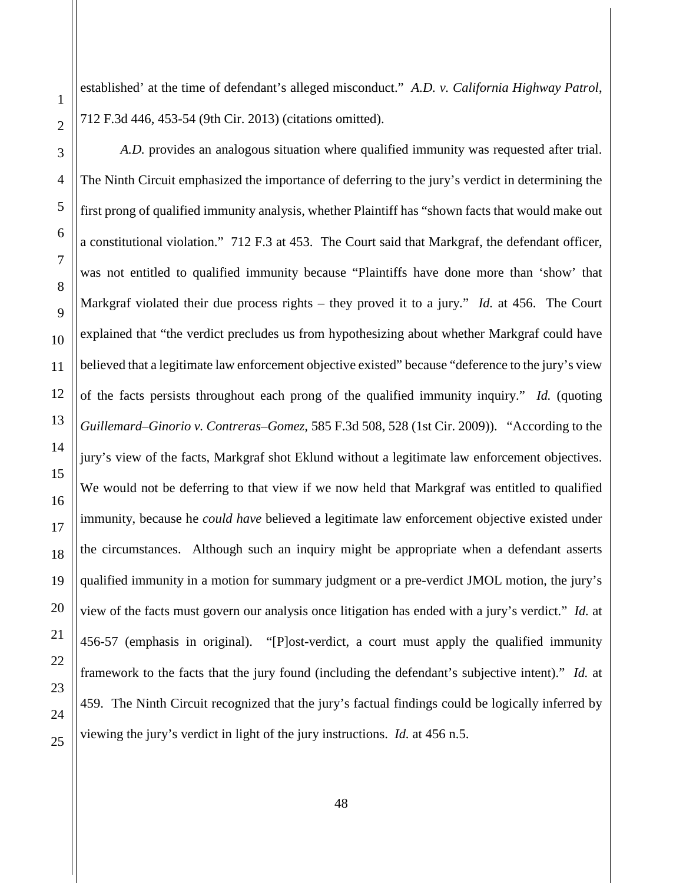established' at the time of defendant's alleged misconduct." *A.D. v. California Highway Patrol*, 712 F.3d 446, 453-54 (9th Cir. 2013) (citations omitted).

*A.D.* provides an analogous situation where qualified immunity was requested after trial. The Ninth Circuit emphasized the importance of deferring to the jury's verdict in determining the first prong of qualified immunity analysis, whether Plaintiff has "shown facts that would make out a constitutional violation." 712 F.3 at 453. The Court said that Markgraf, the defendant officer, was not entitled to qualified immunity because "Plaintiffs have done more than 'show' that Markgraf violated their due process rights – they proved it to a jury." *Id.* at 456. The Court explained that "the verdict precludes us from hypothesizing about whether Markgraf could have believed that a legitimate law enforcement objective existed" because "deference to the jury's view of the facts persists throughout each prong of the qualified immunity inquiry." *Id.* (quoting *Guillemard–Ginorio v. Contreras–Gomez,* 585 F.3d 508, 528 (1st Cir. 2009)). "According to the jury's view of the facts, Markgraf shot Eklund without a legitimate law enforcement objectives. We would not be deferring to that view if we now held that Markgraf was entitled to qualified immunity, because he *could have* believed a legitimate law enforcement objective existed under the circumstances. Although such an inquiry might be appropriate when a defendant asserts qualified immunity in a motion for summary judgment or a pre-verdict JMOL motion, the jury's view of the facts must govern our analysis once litigation has ended with a jury's verdict." *Id.* at 456-57 (emphasis in original). "[P]ost-verdict, a court must apply the qualified immunity framework to the facts that the jury found (including the defendant's subjective intent)." *Id.* at 459. The Ninth Circuit recognized that the jury's factual findings could be logically inferred by viewing the jury's verdict in light of the jury instructions. *Id.* at 456 n.5.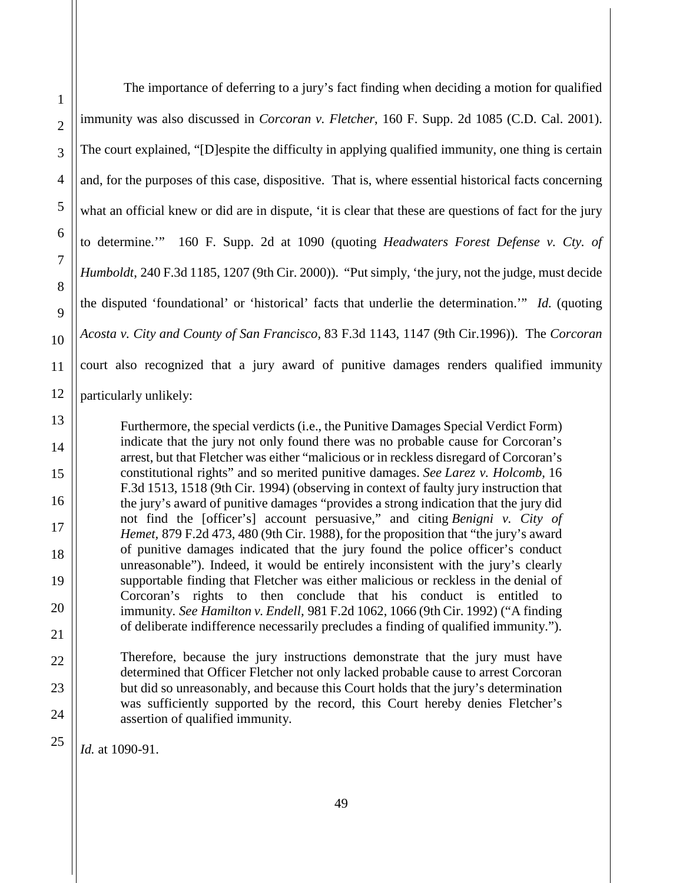The importance of deferring to a jury's fact finding when deciding a motion for qualified immunity was also discussed in *Corcoran v. Fletcher*, 160 F. Supp. 2d 1085 (C.D. Cal. 2001). The court explained, "[D]espite the difficulty in applying qualified immunity, one thing is certain and, for the purposes of this case, dispositive. That is, where essential historical facts concerning what an official knew or did are in dispute, 'it is clear that these are questions of fact for the jury to determine.'" 160 F. Supp. 2d at 1090 (quoting *Headwaters Forest Defense v. Cty. of Humboldt*, 240 F.3d 1185, 1207 (9th Cir. 2000)). "Put simply, 'the jury, not the judge, must decide the disputed 'foundational' or 'historical' facts that underlie the determination.'" *Id.* (quoting *Acosta v. City and County of San Francisco,* 83 F.3d 1143, 1147 (9th Cir.1996)). The *Corcoran*  court also recognized that a jury award of punitive damages renders qualified immunity particularly unlikely:

Furthermore, the special verdicts (i.e., the Punitive Damages Special Verdict Form) indicate that the jury not only found there was no probable cause for Corcoran's arrest, but that Fletcher was either "malicious or in reckless disregard of Corcoran's constitutional rights" and so merited punitive damages. *See Larez v. Holcomb,* 16 F.3d 1513, 1518 (9th Cir. 1994) (observing in context of faulty jury instruction that the jury's award of punitive damages "provides a strong indication that the jury did not find the [officer's] account persuasive," and citing *Benigni v. City of Hemet,* 879 F.2d 473, 480 (9th Cir. 1988), for the proposition that "the jury's award of punitive damages indicated that the jury found the police officer's conduct unreasonable"). Indeed, it would be entirely inconsistent with the jury's clearly supportable finding that Fletcher was either malicious or reckless in the denial of Corcoran's rights to then conclude that his conduct is entitled to immunity. *See Hamilton v. Endell,* 981 F.2d 1062, 1066 (9th Cir. 1992) ("A finding of deliberate indifference necessarily precludes a finding of qualified immunity.").

Therefore, because the jury instructions demonstrate that the jury must have determined that Officer Fletcher not only lacked probable cause to arrest Corcoran but did so unreasonably, and because this Court holds that the jury's determination was sufficiently supported by the record, this Court hereby denies Fletcher's assertion of qualified immunity.

*Id.* at 1090-91.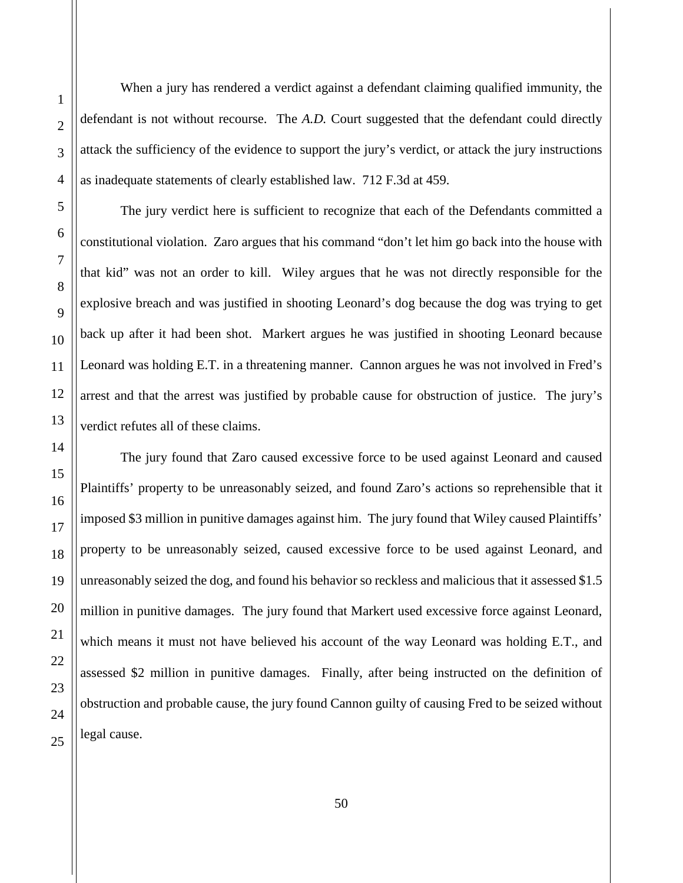When a jury has rendered a verdict against a defendant claiming qualified immunity, the defendant is not without recourse. The *A.D.* Court suggested that the defendant could directly attack the sufficiency of the evidence to support the jury's verdict, or attack the jury instructions as inadequate statements of clearly established law. 712 F.3d at 459. The jury verdict here is sufficient to recognize that each of the Defendants committed a

constitutional violation. Zaro argues that his command "don't let him go back into the house with that kid" was not an order to kill. Wiley argues that he was not directly responsible for the explosive breach and was justified in shooting Leonard's dog because the dog was trying to get back up after it had been shot. Markert argues he was justified in shooting Leonard because Leonard was holding E.T. in a threatening manner. Cannon argues he was not involved in Fred's arrest and that the arrest was justified by probable cause for obstruction of justice. The jury's verdict refutes all of these claims.

The jury found that Zaro caused excessive force to be used against Leonard and caused Plaintiffs' property to be unreasonably seized, and found Zaro's actions so reprehensible that it imposed \$3 million in punitive damages against him. The jury found that Wiley caused Plaintiffs' property to be unreasonably seized, caused excessive force to be used against Leonard, and unreasonably seized the dog, and found his behavior so reckless and malicious that it assessed \$1.5 million in punitive damages. The jury found that Markert used excessive force against Leonard, which means it must not have believed his account of the way Leonard was holding E.T., and assessed \$2 million in punitive damages. Finally, after being instructed on the definition of obstruction and probable cause, the jury found Cannon guilty of causing Fred to be seized without legal cause.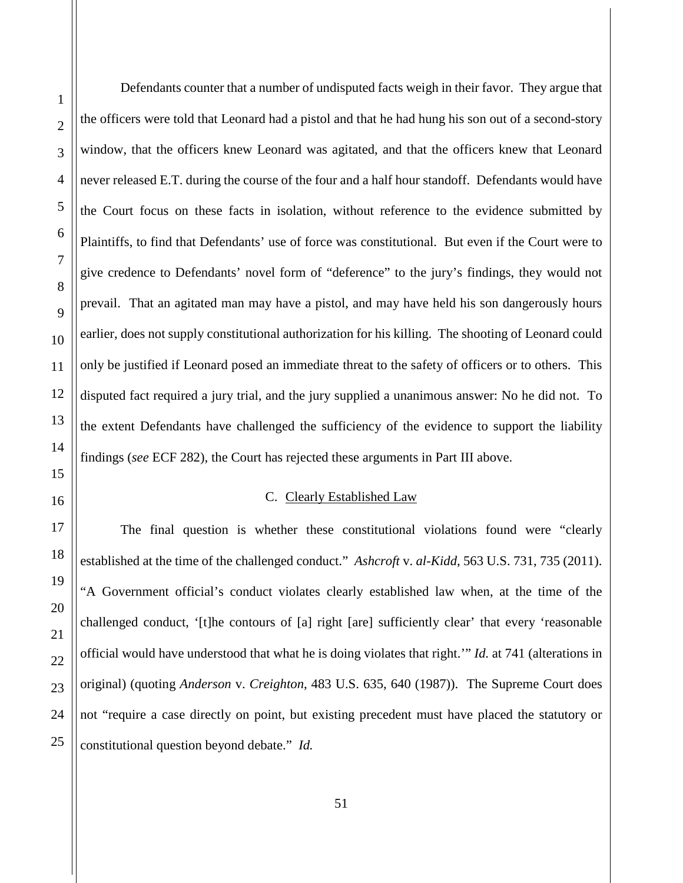Defendants counter that a number of undisputed facts weigh in their favor. They argue that the officers were told that Leonard had a pistol and that he had hung his son out of a second-story window, that the officers knew Leonard was agitated, and that the officers knew that Leonard never released E.T. during the course of the four and a half hour standoff. Defendants would have the Court focus on these facts in isolation, without reference to the evidence submitted by Plaintiffs, to find that Defendants' use of force was constitutional. But even if the Court were to give credence to Defendants' novel form of "deference" to the jury's findings, they would not prevail. That an agitated man may have a pistol, and may have held his son dangerously hours earlier, does not supply constitutional authorization for his killing. The shooting of Leonard could only be justified if Leonard posed an immediate threat to the safety of officers or to others. This disputed fact required a jury trial, and the jury supplied a unanimous answer: No he did not. To the extent Defendants have challenged the sufficiency of the evidence to support the liability findings (*see* ECF 282), the Court has rejected these arguments in Part III above.

## C. Clearly Established Law

<span id="page-50-0"></span>The final question is whether these constitutional violations found were "clearly established at the time of the challenged conduct." *Ashcroft* v. *al-Kidd*, 563 U.S. 731, 735 (2011). "A Government official's conduct violates clearly established law when, at the time of the challenged conduct, '[t]he contours of [a] right [are] sufficiently clear' that every 'reasonable official would have understood that what he is doing violates that right.'" *Id.* at 741 (alterations in original) (quoting *Anderson* v. *Creighton*, 483 U.S. 635, 640 (1987)). The Supreme Court does not "require a case directly on point, but existing precedent must have placed the statutory or constitutional question beyond debate." *Id.*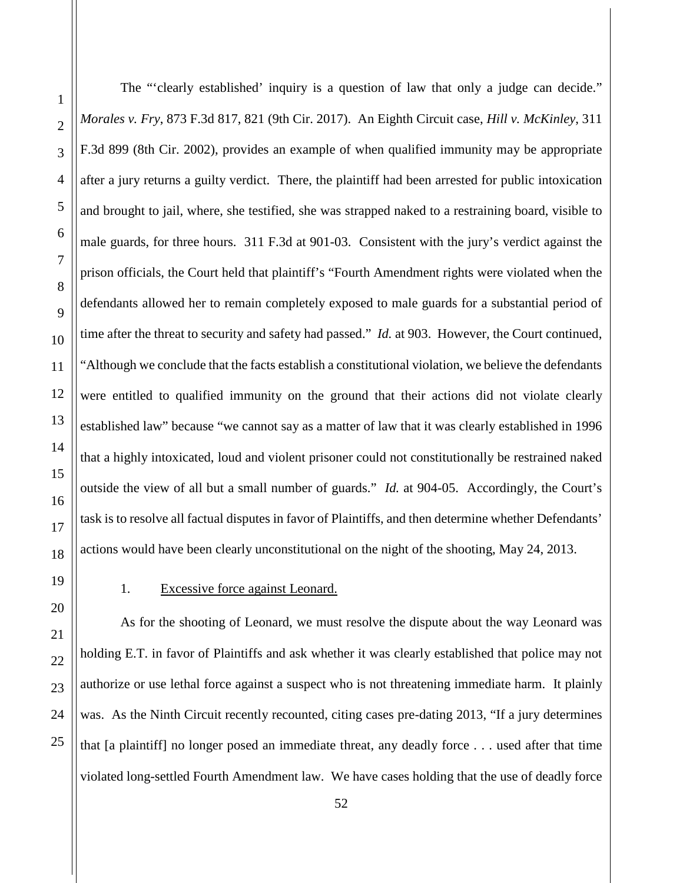The "'clearly established' inquiry is a question of law that only a judge can decide." *Morales v. Fry*, 873 F.3d 817, 821 (9th Cir. 2017). An Eighth Circuit case, *Hill v. McKinley*, 311 F.3d 899 (8th Cir. 2002), provides an example of when qualified immunity may be appropriate after a jury returns a guilty verdict. There, the plaintiff had been arrested for public intoxication and brought to jail, where, she testified, she was strapped naked to a restraining board, visible to male guards, for three hours. 311 F.3d at 901-03. Consistent with the jury's verdict against the prison officials, the Court held that plaintiff's "Fourth Amendment rights were violated when the defendants allowed her to remain completely exposed to male guards for a substantial period of time after the threat to security and safety had passed." *Id.* at 903. However, the Court continued, "Although we conclude that the facts establish a constitutional violation, we believe the defendants were entitled to qualified immunity on the ground that their actions did not violate clearly established law" because "we cannot say as a matter of law that it was clearly established in 1996 that a highly intoxicated, loud and violent prisoner could not constitutionally be restrained naked outside the view of all but a small number of guards." *Id.* at 904-05. Accordingly, the Court's task is to resolve all factual disputes in favor of Plaintiffs, and then determine whether Defendants' actions would have been clearly unconstitutional on the night of the shooting, May 24, 2013.

## <span id="page-51-0"></span>1. Excessive force against Leonard.

As for the shooting of Leonard, we must resolve the dispute about the way Leonard was holding E.T. in favor of Plaintiffs and ask whether it was clearly established that police may not authorize or use lethal force against a suspect who is not threatening immediate harm. It plainly was. As the Ninth Circuit recently recounted, citing cases pre-dating 2013, "If a jury determines" that [a plaintiff] no longer posed an immediate threat, any deadly force . . . used after that time violated long-settled Fourth Amendment law. We have cases holding that the use of deadly force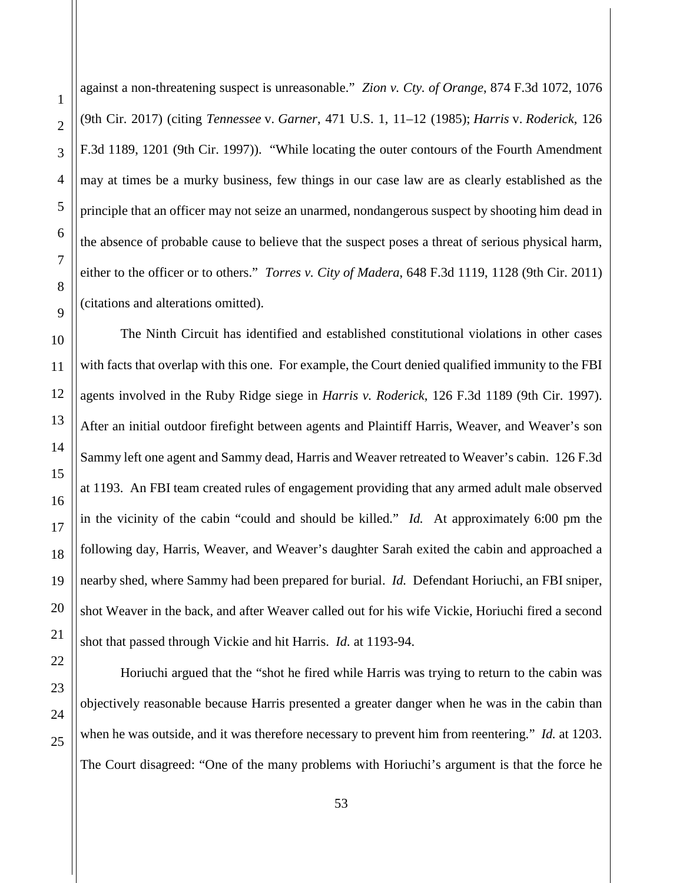1

against a non-threatening suspect is unreasonable." *Zion v. Cty. of Orange*, 874 F.3d 1072, 1076 (9th Cir. 2017) (citing *Tennessee* v. *Garner*, 471 U.S. 1, 11–12 (1985); *Harris* v. *Roderick*, 126 F.3d 1189, 1201 (9th Cir. 1997)). "While locating the outer contours of the Fourth Amendment may at times be a murky business, few things in our case law are as clearly established as the principle that an officer may not seize an unarmed, nondangerous suspect by shooting him dead in the absence of probable cause to believe that the suspect poses a threat of serious physical harm, either to the officer or to others." *Torres v. City of Madera*, 648 F.3d 1119, 1128 (9th Cir. 2011) (citations and alterations omitted).

The Ninth Circuit has identified and established constitutional violations in other cases with facts that overlap with this one. For example, the Court denied qualified immunity to the FBI agents involved in the Ruby Ridge siege in *Harris v. Roderick*, 126 F.3d 1189 (9th Cir. 1997). After an initial outdoor firefight between agents and Plaintiff Harris, Weaver, and Weaver's son Sammy left one agent and Sammy dead, Harris and Weaver retreated to Weaver's cabin. 126 F.3d at 1193. An FBI team created rules of engagement providing that any armed adult male observed in the vicinity of the cabin "could and should be killed." *Id.* At approximately 6:00 pm the following day, Harris, Weaver, and Weaver's daughter Sarah exited the cabin and approached a nearby shed, where Sammy had been prepared for burial. *Id.* Defendant Horiuchi, an FBI sniper, shot Weaver in the back, and after Weaver called out for his wife Vickie, Horiuchi fired a second shot that passed through Vickie and hit Harris. *Id.* at 1193-94.

Horiuchi argued that the "shot he fired while Harris was trying to return to the cabin was objectively reasonable because Harris presented a greater danger when he was in the cabin than when he was outside, and it was therefore necessary to prevent him from reentering." *Id.* at 1203. The Court disagreed: "One of the many problems with Horiuchi's argument is that the force he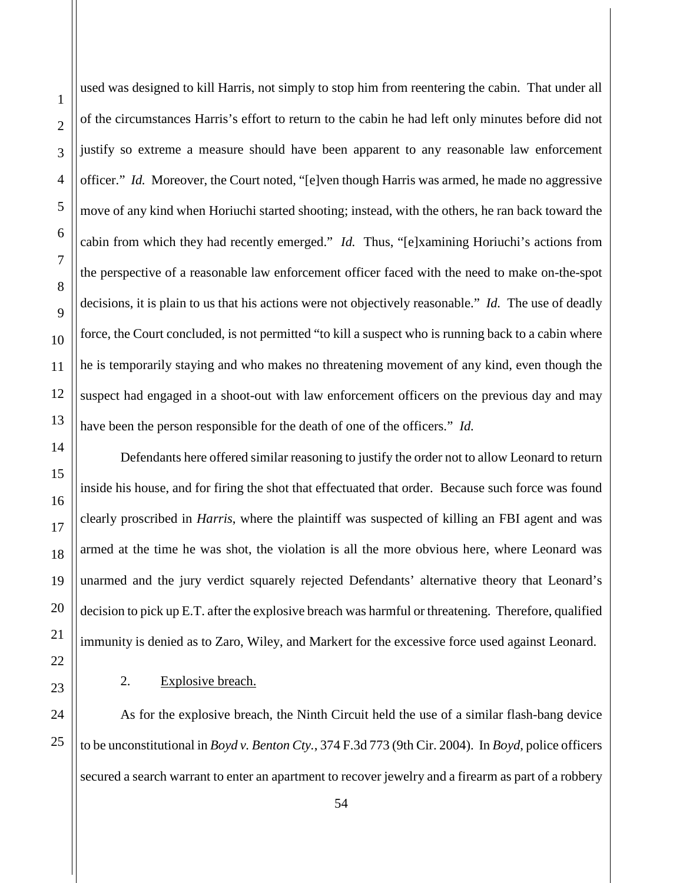used was designed to kill Harris, not simply to stop him from reentering the cabin. That under all of the circumstances Harris's effort to return to the cabin he had left only minutes before did not justify so extreme a measure should have been apparent to any reasonable law enforcement officer." *Id.* Moreover, the Court noted, "[e]ven though Harris was armed, he made no aggressive move of any kind when Horiuchi started shooting; instead, with the others, he ran back toward the cabin from which they had recently emerged." *Id.* Thus, "[e]xamining Horiuchi's actions from the perspective of a reasonable law enforcement officer faced with the need to make on-the-spot decisions, it is plain to us that his actions were not objectively reasonable." *Id.* The use of deadly force, the Court concluded, is not permitted "to kill a suspect who is running back to a cabin where he is temporarily staying and who makes no threatening movement of any kind, even though the suspect had engaged in a shoot-out with law enforcement officers on the previous day and may have been the person responsible for the death of one of the officers." *Id.*

Defendants here offered similar reasoning to justify the order not to allow Leonard to return inside his house, and for firing the shot that effectuated that order. Because such force was found clearly proscribed in *Harris*, where the plaintiff was suspected of killing an FBI agent and was armed at the time he was shot, the violation is all the more obvious here, where Leonard was unarmed and the jury verdict squarely rejected Defendants' alternative theory that Leonard's decision to pick up E.T. after the explosive breach was harmful or threatening. Therefore, qualified immunity is denied as to Zaro, Wiley, and Markert for the excessive force used against Leonard.

# <span id="page-53-0"></span>2. Explosive breach.

As for the explosive breach, the Ninth Circuit held the use of a similar flash-bang device to be unconstitutional in *Boyd v. Benton Cty.*, 374 F.3d 773 (9th Cir. 2004). In *Boyd*, police officers secured a search warrant to enter an apartment to recover jewelry and a firearm as part of a robbery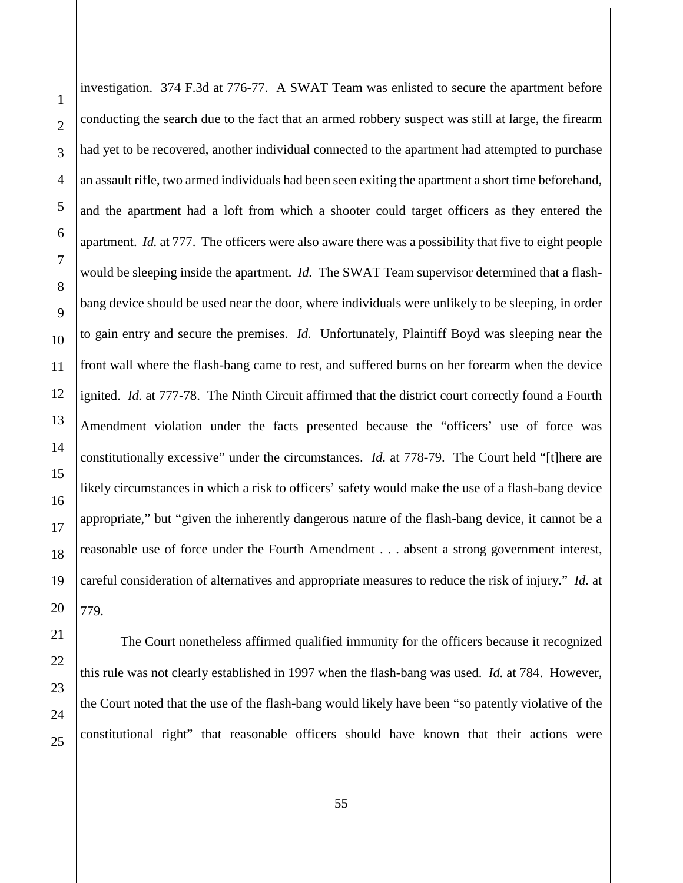investigation. 374 F.3d at 776-77. A SWAT Team was enlisted to secure the apartment before conducting the search due to the fact that an armed robbery suspect was still at large, the firearm had yet to be recovered, another individual connected to the apartment had attempted to purchase an assault rifle, two armed individuals had been seen exiting the apartment a short time beforehand, and the apartment had a loft from which a shooter could target officers as they entered the apartment. *Id.* at 777. The officers were also aware there was a possibility that five to eight people would be sleeping inside the apartment. *Id.* The SWAT Team supervisor determined that a flashbang device should be used near the door, where individuals were unlikely to be sleeping, in order to gain entry and secure the premises. *Id.* Unfortunately, Plaintiff Boyd was sleeping near the front wall where the flash-bang came to rest, and suffered burns on her forearm when the device ignited. *Id.* at 777-78. The Ninth Circuit affirmed that the district court correctly found a Fourth Amendment violation under the facts presented because the "officers' use of force was constitutionally excessive" under the circumstances. *Id.* at 778-79. The Court held "[t]here are likely circumstances in which a risk to officers' safety would make the use of a flash-bang device appropriate," but "given the inherently dangerous nature of the flash-bang device, it cannot be a reasonable use of force under the Fourth Amendment . . . absent a strong government interest, careful consideration of alternatives and appropriate measures to reduce the risk of injury." *Id.* at 779.

The Court nonetheless affirmed qualified immunity for the officers because it recognized this rule was not clearly established in 1997 when the flash-bang was used. *Id.* at 784. However, the Court noted that the use of the flash-bang would likely have been "so patently violative of the constitutional right" that reasonable officers should have known that their actions were

1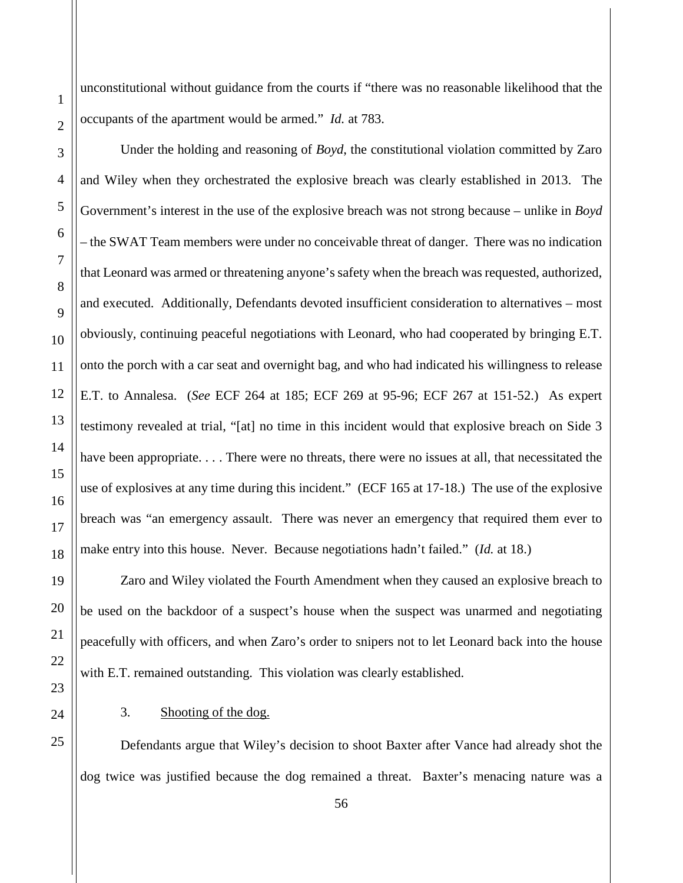unconstitutional without guidance from the courts if "there was no reasonable likelihood that the occupants of the apartment would be armed." *Id.* at 783.

Under the holding and reasoning of *Boyd*, the constitutional violation committed by Zaro and Wiley when they orchestrated the explosive breach was clearly established in 2013. The Government's interest in the use of the explosive breach was not strong because – unlike in *Boyd* – the SWAT Team members were under no conceivable threat of danger. There was no indication that Leonard was armed or threatening anyone's safety when the breach was requested, authorized, and executed. Additionally, Defendants devoted insufficient consideration to alternatives – most obviously, continuing peaceful negotiations with Leonard, who had cooperated by bringing E.T. onto the porch with a car seat and overnight bag, and who had indicated his willingness to release E.T. to Annalesa. (*See* ECF 264 at 185; ECF 269 at 95-96; ECF 267 at 151-52.) As expert testimony revealed at trial, "[at] no time in this incident would that explosive breach on Side 3 have been appropriate. . . . There were no threats, there were no issues at all, that necessitated the use of explosives at any time during this incident." (ECF 165 at 17-18.) The use of the explosive breach was "an emergency assault. There was never an emergency that required them ever to make entry into this house. Never. Because negotiations hadn't failed." (*Id.* at 18.)

Zaro and Wiley violated the Fourth Amendment when they caused an explosive breach to be used on the backdoor of a suspect's house when the suspect was unarmed and negotiating peacefully with officers, and when Zaro's order to snipers not to let Leonard back into the house with E.T. remained outstanding. This violation was clearly established.

3. Shooting of the dog.

Defendants argue that Wiley's decision to shoot Baxter after Vance had already shot the dog twice was justified because the dog remained a threat. Baxter's menacing nature was a

1

2

3

4

5

6

7

8

9

10

11

12

13

14

15

16

17

18

19

20

21

22

<span id="page-55-0"></span>23

24

25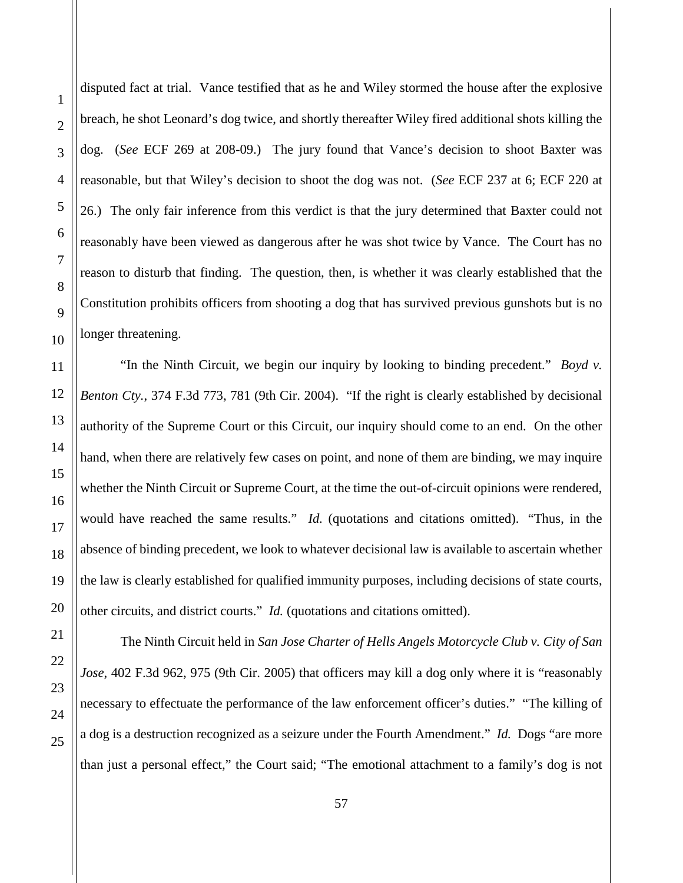disputed fact at trial. Vance testified that as he and Wiley stormed the house after the explosive breach, he shot Leonard's dog twice, and shortly thereafter Wiley fired additional shots killing the dog. (*See* ECF 269 at 208-09.) The jury found that Vance's decision to shoot Baxter was reasonable, but that Wiley's decision to shoot the dog was not. (*See* ECF 237 at 6; ECF 220 at 26.) The only fair inference from this verdict is that the jury determined that Baxter could not reasonably have been viewed as dangerous after he was shot twice by Vance. The Court has no reason to disturb that finding. The question, then, is whether it was clearly established that the Constitution prohibits officers from shooting a dog that has survived previous gunshots but is no longer threatening.

"In the Ninth Circuit, we begin our inquiry by looking to binding precedent." *Boyd v. Benton Cty.*, 374 F.3d 773, 781 (9th Cir. 2004). "If the right is clearly established by decisional authority of the Supreme Court or this Circuit, our inquiry should come to an end. On the other hand, when there are relatively few cases on point, and none of them are binding, we may inquire whether the Ninth Circuit or Supreme Court, at the time the out-of-circuit opinions were rendered, would have reached the same results." *Id.* (quotations and citations omitted). "Thus, in the absence of binding precedent, we look to whatever decisional law is available to ascertain whether the law is clearly established for qualified immunity purposes, including decisions of state courts, other circuits, and district courts." *Id.* (quotations and citations omitted).

The Ninth Circuit held in *San Jose Charter of Hells Angels Motorcycle Club v. City of San Jose*, 402 F.3d 962, 975 (9th Cir. 2005) that officers may kill a dog only where it is "reasonably necessary to effectuate the performance of the law enforcement officer's duties." "The killing of a dog is a destruction recognized as a seizure under the Fourth Amendment." *Id.* Dogs "are more than just a personal effect," the Court said; "The emotional attachment to a family's dog is not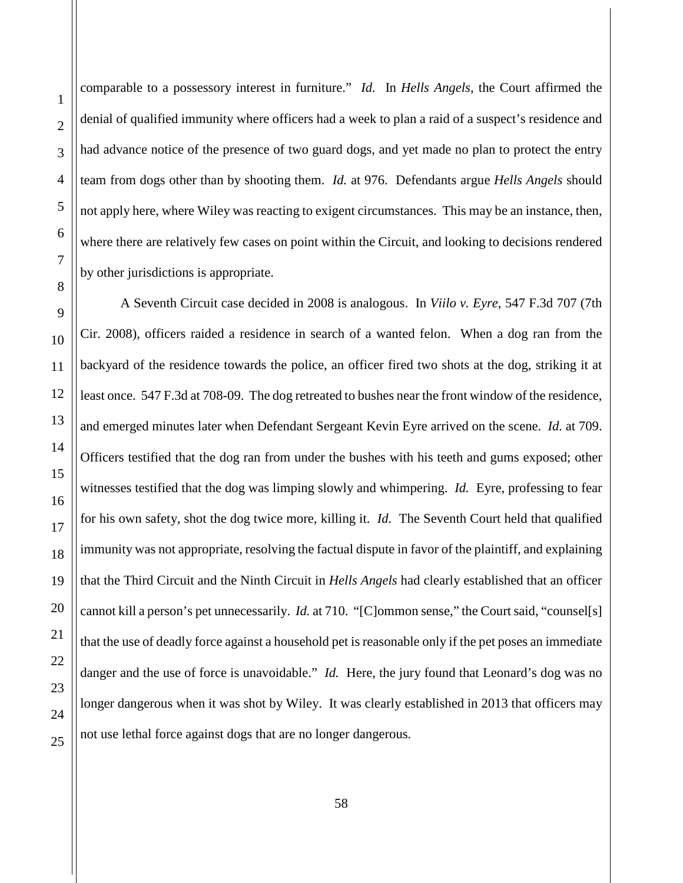1

2

3

comparable to a possessory interest in furniture." *Id.* In *Hells Angels*, the Court affirmed the denial of qualified immunity where officers had a week to plan a raid of a suspect's residence and had advance notice of the presence of two guard dogs, and yet made no plan to protect the entry team from dogs other than by shooting them. *Id.* at 976. Defendants argue *Hells Angels* should not apply here, where Wiley was reacting to exigent circumstances. This may be an instance, then, where there are relatively few cases on point within the Circuit, and looking to decisions rendered by other jurisdictions is appropriate.

A Seventh Circuit case decided in 2008 is analogous. In *Viilo v. Eyre*, 547 F.3d 707 (7th Cir. 2008), officers raided a residence in search of a wanted felon. When a dog ran from the backyard of the residence towards the police, an officer fired two shots at the dog, striking it at least once. 547 F.3d at 708-09. The dog retreated to bushes near the front window of the residence, and emerged minutes later when Defendant Sergeant Kevin Eyre arrived on the scene. *Id.* at 709. Officers testified that the dog ran from under the bushes with his teeth and gums exposed; other witnesses testified that the dog was limping slowly and whimpering. *Id.* Eyre, professing to fear for his own safety, shot the dog twice more, killing it. *Id.* The Seventh Court held that qualified immunity was not appropriate, resolving the factual dispute in favor of the plaintiff, and explaining that the Third Circuit and the Ninth Circuit in *Hells Angels* had clearly established that an officer cannot kill a person's pet unnecessarily. *Id.* at 710. "[C]ommon sense," the Court said, "counsel[s] that the use of deadly force against a household pet is reasonable only if the pet poses an immediate danger and the use of force is unavoidable." *Id.* Here, the jury found that Leonard's dog was no longer dangerous when it was shot by Wiley. It was clearly established in 2013 that officers may not use lethal force against dogs that are no longer dangerous.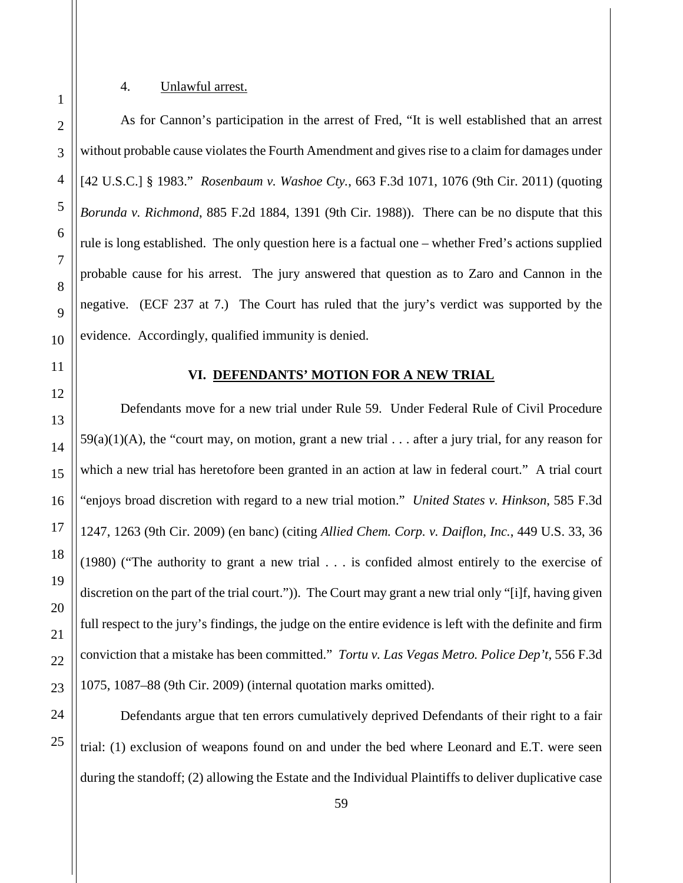## 4. Unlawful arrest.

As for Cannon's participation in the arrest of Fred, "It is well established that an arrest without probable cause violates the Fourth Amendment and gives rise to a claim for damages under [42 U.S.C.] § 1983." *Rosenbaum v. Washoe Cty.*, 663 F.3d 1071, 1076 (9th Cir. 2011) (quoting *Borunda v. Richmond*, 885 F.2d 1884, 1391 (9th Cir. 1988)). There can be no dispute that this rule is long established. The only question here is a factual one – whether Fred's actions supplied probable cause for his arrest. The jury answered that question as to Zaro and Cannon in the negative. (ECF 237 at 7.) The Court has ruled that the jury's verdict was supported by the evidence. Accordingly, qualified immunity is denied.

<span id="page-58-1"></span>

<span id="page-58-0"></span>1

2

3

4

5

6

7

8

9

10

11

12

13

14

15

16

17

18

19

20

21

22

23

24

25

### **VI. DEFENDANTS' MOTION FOR A NEW TRIAL**

Defendants move for a new trial under Rule 59. Under Federal Rule of Civil Procedure  $59(a)(1)(A)$ , the "court may, on motion, grant a new trial . . . after a jury trial, for any reason for which a new trial has heretofore been granted in an action at law in federal court." A trial court "enjoys broad discretion with regard to a new trial motion." *United States v. Hinkson*, 585 F.3d 1247, 1263 (9th Cir. 2009) (en banc) (citing *Allied Chem. Corp. v. Daiflon, Inc.*, 449 U.S. 33, 36 (1980) ("The authority to grant a new trial . . . is confided almost entirely to the exercise of discretion on the part of the trial court.")). The Court may grant a new trial only "[i]f, having given full respect to the jury's findings, the judge on the entire evidence is left with the definite and firm conviction that a mistake has been committed." *Tortu v. Las Vegas Metro. Police Dep't*, 556 F.3d 1075, 1087–88 (9th Cir. 2009) (internal quotation marks omitted).

Defendants argue that ten errors cumulatively deprived Defendants of their right to a fair trial: (1) exclusion of weapons found on and under the bed where Leonard and E.T. were seen during the standoff; (2) allowing the Estate and the Individual Plaintiffs to deliver duplicative case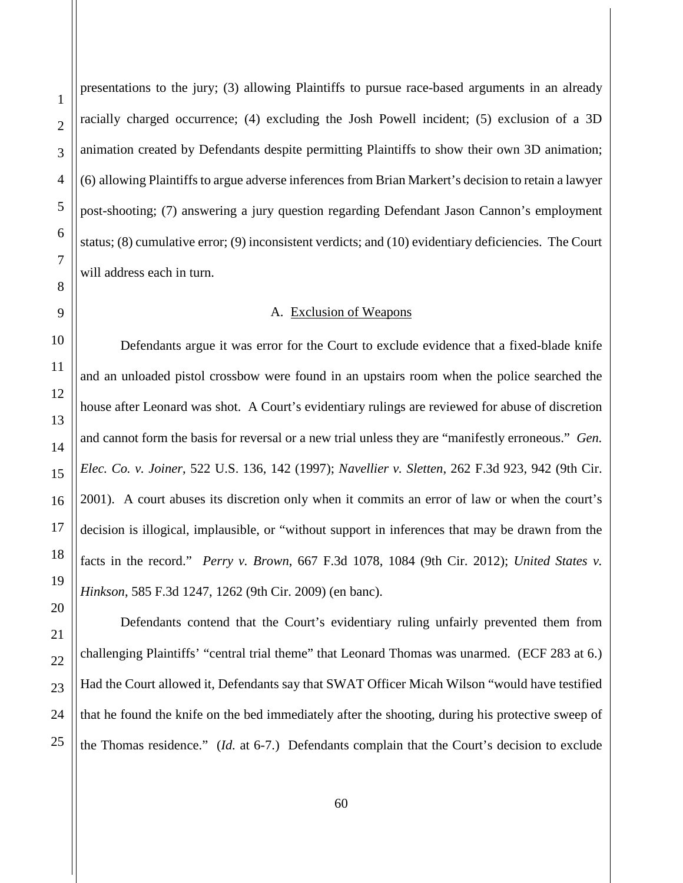1 presentations to the jury; (3) allowing Plaintiffs to pursue race-based arguments in an already racially charged occurrence; (4) excluding the Josh Powell incident; (5) exclusion of a 3D animation created by Defendants despite permitting Plaintiffs to show their own 3D animation; (6) allowing Plaintiffs to argue adverse inferences from Brian Markert's decision to retain a lawyer post-shooting; (7) answering a jury question regarding Defendant Jason Cannon's employment status; (8) cumulative error; (9) inconsistent verdicts; and (10) evidentiary deficiencies. The Court will address each in turn.

## A. Exclusion of Weapons

<span id="page-59-0"></span>Defendants argue it was error for the Court to exclude evidence that a fixed-blade knife and an unloaded pistol crossbow were found in an upstairs room when the police searched the house after Leonard was shot. A Court's evidentiary rulings are reviewed for abuse of discretion and cannot form the basis for reversal or a new trial unless they are "manifestly erroneous." *Gen. Elec. Co. v. Joiner*, 522 U.S. 136, 142 (1997); *Navellier v. Sletten*, 262 F.3d 923, 942 (9th Cir. 2001). A court abuses its discretion only when it commits an error of law or when the court's decision is illogical, implausible, or "without support in inferences that may be drawn from the facts in the record." *Perry v. Brown*, 667 F.3d 1078, 1084 (9th Cir. 2012); *United States v. Hinkson*, 585 F.3d 1247, 1262 (9th Cir. 2009) (en banc).

Defendants contend that the Court's evidentiary ruling unfairly prevented them from challenging Plaintiffs' "central trial theme" that Leonard Thomas was unarmed. (ECF 283 at 6.) Had the Court allowed it, Defendants say that SWAT Officer Micah Wilson "would have testified that he found the knife on the bed immediately after the shooting, during his protective sweep of the Thomas residence." (*Id.* at 6-7.) Defendants complain that the Court's decision to exclude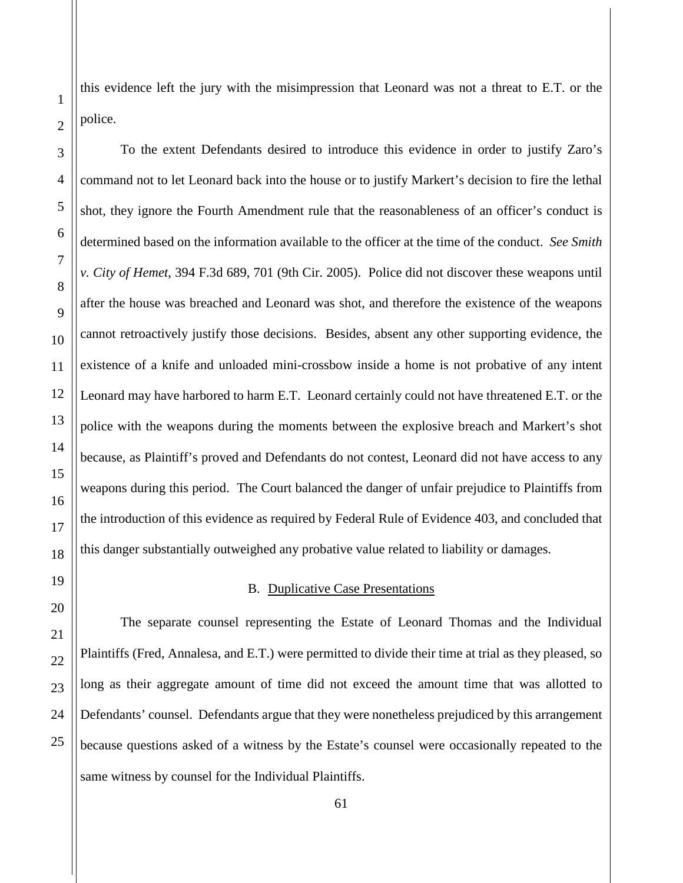this evidence left the jury with the misimpression that Leonard was not a threat to E.T. or the police.

To the extent Defendants desired to introduce this evidence in order to justify Zaro's command not to let Leonard back into the house or to justify Markert's decision to fire the lethal shot, they ignore the Fourth Amendment rule that the reasonableness of an officer's conduct is determined based on the information available to the officer at the time of the conduct. *See Smith v. City of Hemet*, 394 F.3d 689, 701 (9th Cir. 2005). Police did not discover these weapons until after the house was breached and Leonard was shot, and therefore the existence of the weapons cannot retroactively justify those decisions. Besides, absent any other supporting evidence, the existence of a knife and unloaded mini-crossbow inside a home is not probative of any intent Leonard may have harbored to harm E.T. Leonard certainly could not have threatened E.T. or the police with the weapons during the moments between the explosive breach and Markert's shot because, as Plaintiff's proved and Defendants do not contest, Leonard did not have access to any weapons during this period. The Court balanced the danger of unfair prejudice to Plaintiffs from the introduction of this evidence as required by Federal Rule of Evidence 403, and concluded that this danger substantially outweighed any probative value related to liability or damages.

## B. Duplicative Case Presentations

<span id="page-60-0"></span>The separate counsel representing the Estate of Leonard Thomas and the Individual Plaintiffs (Fred, Annalesa, and E.T.) were permitted to divide their time at trial as they pleased, so long as their aggregate amount of time did not exceed the amount time that was allotted to Defendants' counsel. Defendants argue that they were nonetheless prejudiced by this arrangement because questions asked of a witness by the Estate's counsel were occasionally repeated to the same witness by counsel for the Individual Plaintiffs.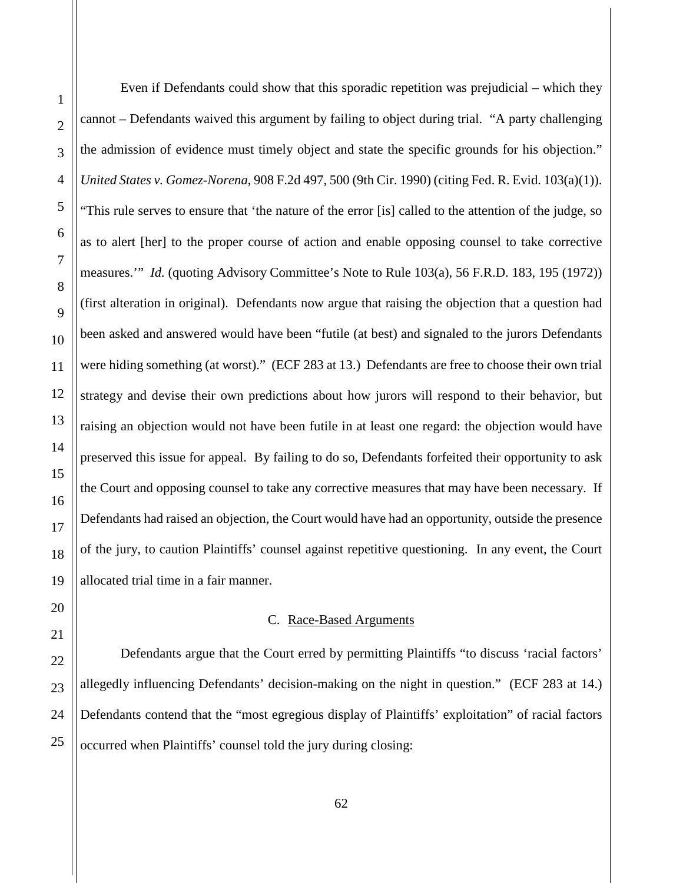Even if Defendants could show that this sporadic repetition was prejudicial – which they cannot – Defendants waived this argument by failing to object during trial. "A party challenging the admission of evidence must timely object and state the specific grounds for his objection." *United States v. Gomez-Norena*, 908 F.2d 497, 500 (9th Cir. 1990) (citing Fed. R. Evid. 103(a)(1)). "This rule serves to ensure that 'the nature of the error [is] called to the attention of the judge, so as to alert [her] to the proper course of action and enable opposing counsel to take corrective measures.'" *Id.* (quoting Advisory Committee's Note to Rule 103(a), 56 F.R.D. 183, 195 (1972)) (first alteration in original). Defendants now argue that raising the objection that a question had been asked and answered would have been "futile (at best) and signaled to the jurors Defendants were hiding something (at worst)." (ECF 283 at 13.) Defendants are free to choose their own trial strategy and devise their own predictions about how jurors will respond to their behavior, but raising an objection would not have been futile in at least one regard: the objection would have preserved this issue for appeal. By failing to do so, Defendants forfeited their opportunity to ask the Court and opposing counsel to take any corrective measures that may have been necessary. If Defendants had raised an objection, the Court would have had an opportunity, outside the presence of the jury, to caution Plaintiffs' counsel against repetitive questioning. In any event, the Court allocated trial time in a fair manner.

## C. Race-Based Arguments

<span id="page-61-0"></span>Defendants argue that the Court erred by permitting Plaintiffs "to discuss 'racial factors' allegedly influencing Defendants' decision-making on the night in question." (ECF 283 at 14.) Defendants contend that the "most egregious display of Plaintiffs' exploitation" of racial factors occurred when Plaintiffs' counsel told the jury during closing: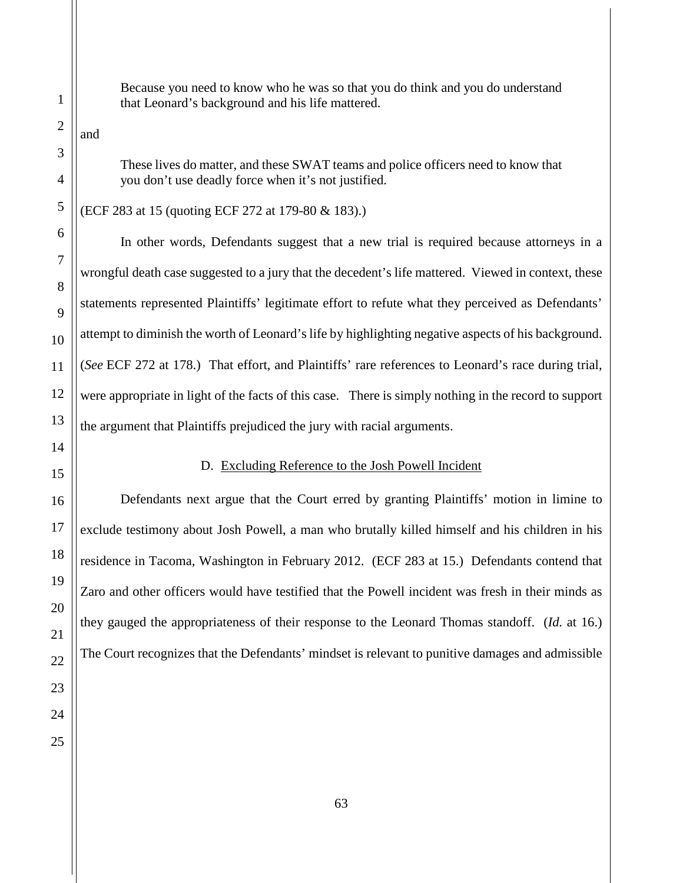Because you need to know who he was so that you do think and you do understand that Leonard's background and his life mattered.

and

These lives do matter, and these SWAT teams and police officers need to know that you don't use deadly force when it's not justified.

(ECF 283 at 15 (quoting ECF 272 at 179-80 & 183).)

In other words, Defendants suggest that a new trial is required because attorneys in a wrongful death case suggested to a jury that the decedent's life mattered. Viewed in context, these statements represented Plaintiffs' legitimate effort to refute what they perceived as Defendants' attempt to diminish the worth of Leonard's life by highlighting negative aspects of his background. (*See* ECF 272 at 178.) That effort, and Plaintiffs' rare references to Leonard's race during trial, were appropriate in light of the facts of this case. There is simply nothing in the record to support the argument that Plaintiffs prejudiced the jury with racial arguments.

#### D. Excluding Reference to the Josh Powell Incident

<span id="page-62-0"></span>Defendants next argue that the Court erred by granting Plaintiffs' motion in limine to exclude testimony about Josh Powell, a man who brutally killed himself and his children in his residence in Tacoma, Washington in February 2012. (ECF 283 at 15.) Defendants contend that Zaro and other officers would have testified that the Powell incident was fresh in their minds as they gauged the appropriateness of their response to the Leonard Thomas standoff. (*Id.* at 16.) The Court recognizes that the Defendants' mindset is relevant to punitive damages and admissible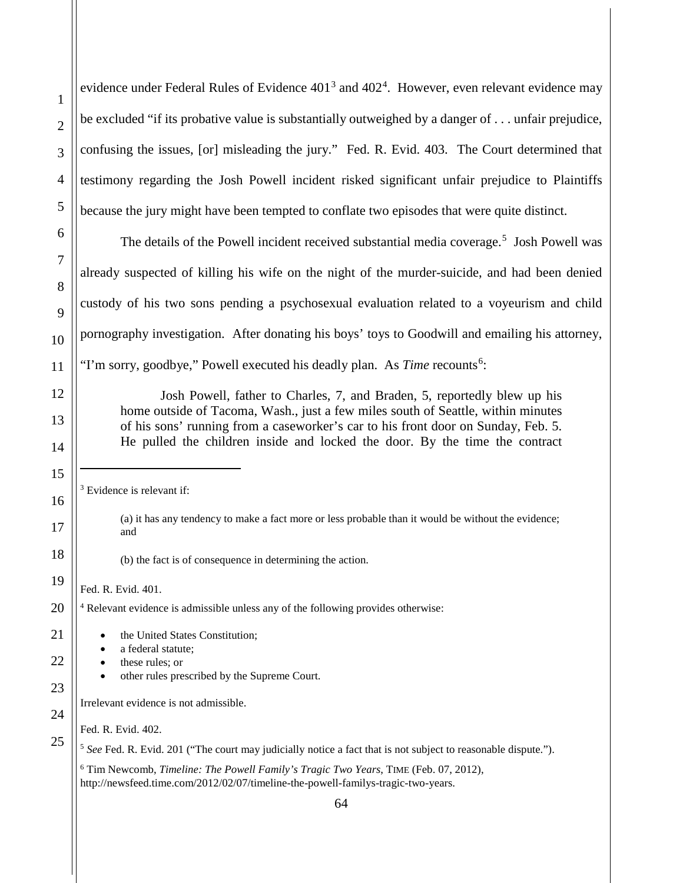1

2

3

evidence under Federal Rules of Evidence  $401<sup>3</sup>$  $401<sup>3</sup>$  $401<sup>3</sup>$  and  $402<sup>4</sup>$  $402<sup>4</sup>$ . However, even relevant evidence may be excluded "if its probative value is substantially outweighed by a danger of . . . unfair prejudice, confusing the issues, [or] misleading the jury." Fed. R. Evid. 403. The Court determined that testimony regarding the Josh Powell incident risked significant unfair prejudice to Plaintiffs because the jury might have been tempted to conflate two episodes that were quite distinct.

The details of the Powell incident received substantial media coverage.<sup>[5](#page-63-2)</sup> Josh Powell was already suspected of killing his wife on the night of the murder-suicide, and had been denied custody of his two sons pending a psychosexual evaluation related to a voyeurism and child pornography investigation. After donating his boys' toys to Goodwill and emailing his attorney, "I'm sorry, goodbye," Powell executed his deadly plan. As *Time* recounts<sup>[6](#page-63-3)</sup>:

Josh Powell, father to Charles, 7, and Braden, 5, reportedly blew up his home outside of Tacoma, Wash., just a few miles south of Seattle, within minutes of his sons' running from a caseworker's car to his front door on Sunday, Feb. 5. He pulled the children inside and locked the door. By the time the contract

<span id="page-63-0"></span> $3$  Evidence is relevant if:

(a) it has any tendency to make a fact more or less probable than it would be without the evidence; and

(b) the fact is of consequence in determining the action.

Fed. R. Evid. 401.

<sup>4</sup> Relevant evidence is admissible unless any of the following provides otherwise:

<span id="page-63-3"></span><span id="page-63-2"></span><span id="page-63-1"></span>64 the United States Constitution: a federal statute: • these rules; or • other rules prescribed by the Supreme Court. Irrelevant evidence is not admissible. Fed. R. Evid. 402. <sup>5</sup> See Fed. R. Evid. 201 ("The court may judicially notice a fact that is not subject to reasonable dispute."). <sup>6</sup> Tim Newcomb, *Timeline: The Powell Family's Tragic Two Years*, TIME (Feb. 07, 2012), http://newsfeed.time.com/2012/02/07/timeline-the-powell-familys-tragic-two-years.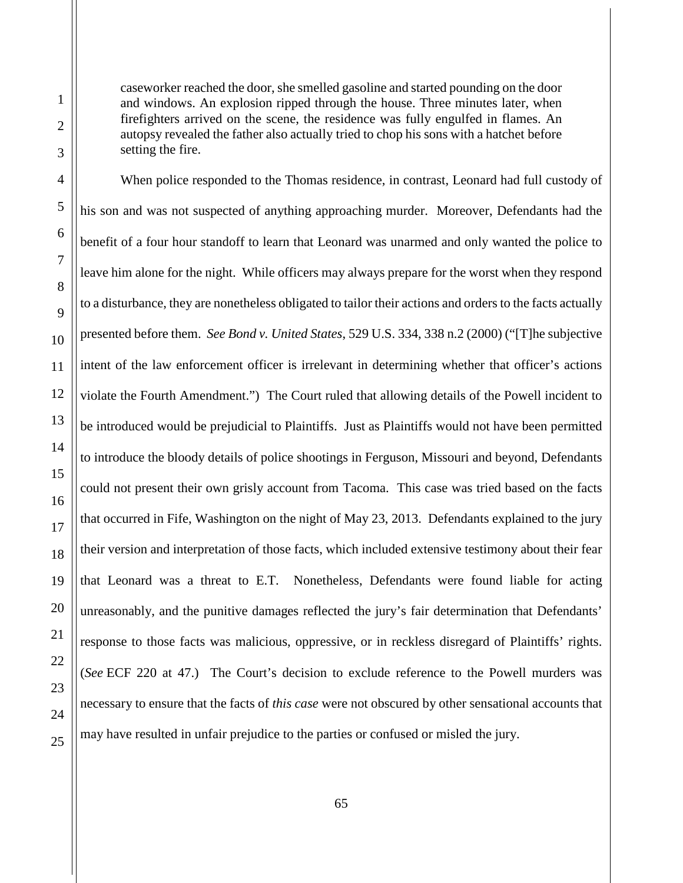caseworker reached the door, she smelled gasoline and started pounding on the door and windows. An explosion ripped through the house. Three minutes later, when firefighters arrived on the scene, the residence was fully engulfed in flames. An autopsy revealed the father also actually tried to chop his sons with a hatchet before setting the fire.

When police responded to the Thomas residence, in contrast, Leonard had full custody of his son and was not suspected of anything approaching murder. Moreover, Defendants had the benefit of a four hour standoff to learn that Leonard was unarmed and only wanted the police to leave him alone for the night. While officers may always prepare for the worst when they respond to a disturbance, they are nonetheless obligated to tailor their actions and orders to the facts actually presented before them. *See Bond v. United States*, 529 U.S. 334, 338 n.2 (2000) ("[T]he subjective intent of the law enforcement officer is irrelevant in determining whether that officer's actions violate the Fourth Amendment.") The Court ruled that allowing details of the Powell incident to be introduced would be prejudicial to Plaintiffs. Just as Plaintiffs would not have been permitted to introduce the bloody details of police shootings in Ferguson, Missouri and beyond, Defendants could not present their own grisly account from Tacoma. This case was tried based on the facts that occurred in Fife, Washington on the night of May 23, 2013. Defendants explained to the jury their version and interpretation of those facts, which included extensive testimony about their fear that Leonard was a threat to E.T. Nonetheless, Defendants were found liable for acting unreasonably, and the punitive damages reflected the jury's fair determination that Defendants' response to those facts was malicious, oppressive, or in reckless disregard of Plaintiffs' rights. (*See* ECF 220 at 47.) The Court's decision to exclude reference to the Powell murders was necessary to ensure that the facts of *this case* were not obscured by other sensational accounts that may have resulted in unfair prejudice to the parties or confused or misled the jury.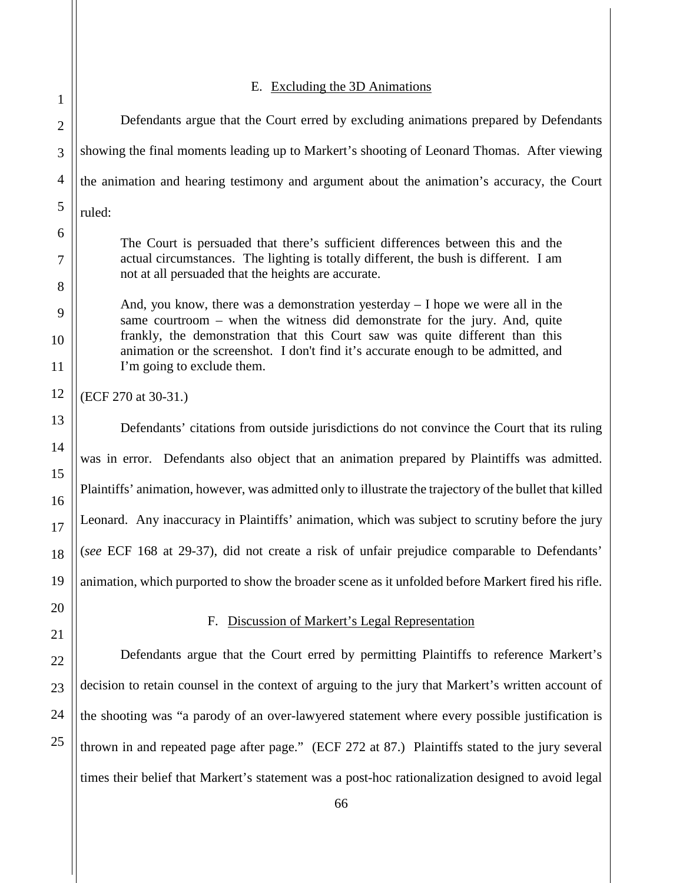<span id="page-65-0"></span>

<span id="page-65-1"></span>20

21

22

23

24

25

## E. Excluding the 3D Animations

1 2 3 4 5 6 7 8 9 10 11 12 13 14 15 16 17 18 19 Defendants argue that the Court erred by excluding animations prepared by Defendants showing the final moments leading up to Markert's shooting of Leonard Thomas. After viewing the animation and hearing testimony and argument about the animation's accuracy, the Court ruled: The Court is persuaded that there's sufficient differences between this and the actual circumstances. The lighting is totally different, the bush is different. I am not at all persuaded that the heights are accurate. And, you know, there was a demonstration yesterday – I hope we were all in the same courtroom – when the witness did demonstrate for the jury. And, quite frankly, the demonstration that this Court saw was quite different than this animation or the screenshot. I don't find it's accurate enough to be admitted, and I'm going to exclude them. (ECF 270 at 30-31.) Defendants' citations from outside jurisdictions do not convince the Court that its ruling was in error. Defendants also object that an animation prepared by Plaintiffs was admitted. Plaintiffs' animation, however, was admitted only to illustrate the trajectory of the bullet that killed Leonard. Any inaccuracy in Plaintiffs' animation, which was subject to scrutiny before the jury (*see* ECF 168 at 29-37), did not create a risk of unfair prejudice comparable to Defendants' animation, which purported to show the broader scene as it unfolded before Markert fired his rifle.

# F. Discussion of Markert's Legal Representation

Defendants argue that the Court erred by permitting Plaintiffs to reference Markert's decision to retain counsel in the context of arguing to the jury that Markert's written account of the shooting was "a parody of an over-lawyered statement where every possible justification is thrown in and repeated page after page." (ECF 272 at 87.) Plaintiffs stated to the jury several times their belief that Markert's statement was a post-hoc rationalization designed to avoid legal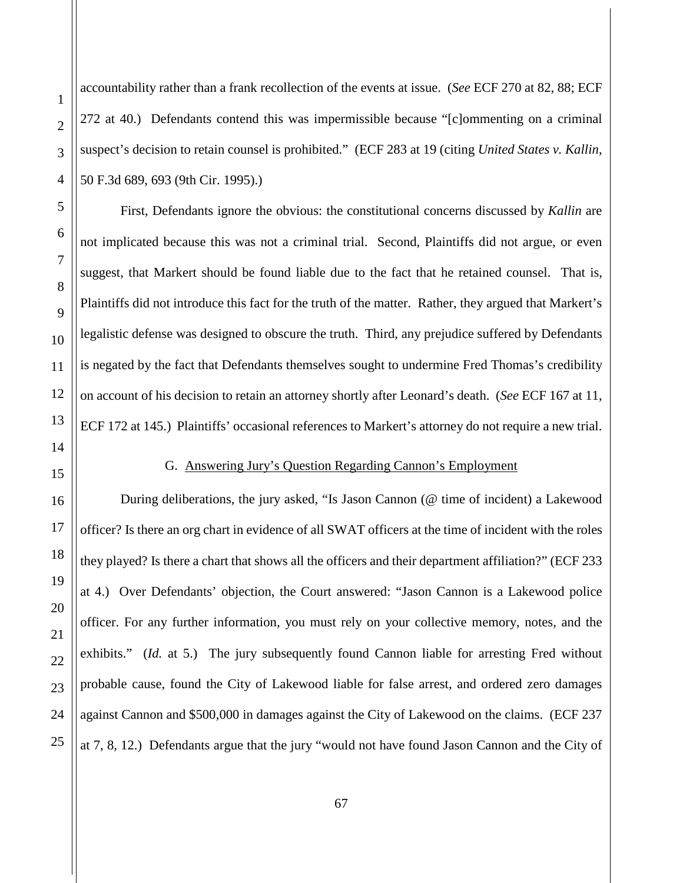1

2

3

accountability rather than a frank recollection of the events at issue. (*See* ECF 270 at 82, 88; ECF 272 at 40.) Defendants contend this was impermissible because "[c]ommenting on a criminal suspect's decision to retain counsel is prohibited." (ECF 283 at 19 (citing *United States v. Kallin*, 50 F.3d 689, 693 (9th Cir. 1995).)

First, Defendants ignore the obvious: the constitutional concerns discussed by *Kallin* are not implicated because this was not a criminal trial. Second, Plaintiffs did not argue, or even suggest, that Markert should be found liable due to the fact that he retained counsel. That is, Plaintiffs did not introduce this fact for the truth of the matter. Rather, they argued that Markert's legalistic defense was designed to obscure the truth. Third, any prejudice suffered by Defendants is negated by the fact that Defendants themselves sought to undermine Fred Thomas's credibility on account of his decision to retain an attorney shortly after Leonard's death. (*See* ECF 167 at 11, ECF 172 at 145.) Plaintiffs' occasional references to Markert's attorney do not require a new trial.

<span id="page-66-0"></span>

#### G. Answering Jury's Question Regarding Cannon's Employment

During deliberations, the jury asked, "Is Jason Cannon (@ time of incident) a Lakewood officer? Is there an org chart in evidence of all SWAT officers at the time of incident with the roles they played? Is there a chart that shows all the officers and their department affiliation?" (ECF 233 at 4.) Over Defendants' objection, the Court answered: "Jason Cannon is a Lakewood police officer. For any further information, you must rely on your collective memory, notes, and the exhibits." *(Id. at 5.)* The jury subsequently found Cannon liable for arresting Fred without probable cause, found the City of Lakewood liable for false arrest, and ordered zero damages against Cannon and \$500,000 in damages against the City of Lakewood on the claims. (ECF 237 at 7, 8, 12.) Defendants argue that the jury "would not have found Jason Cannon and the City of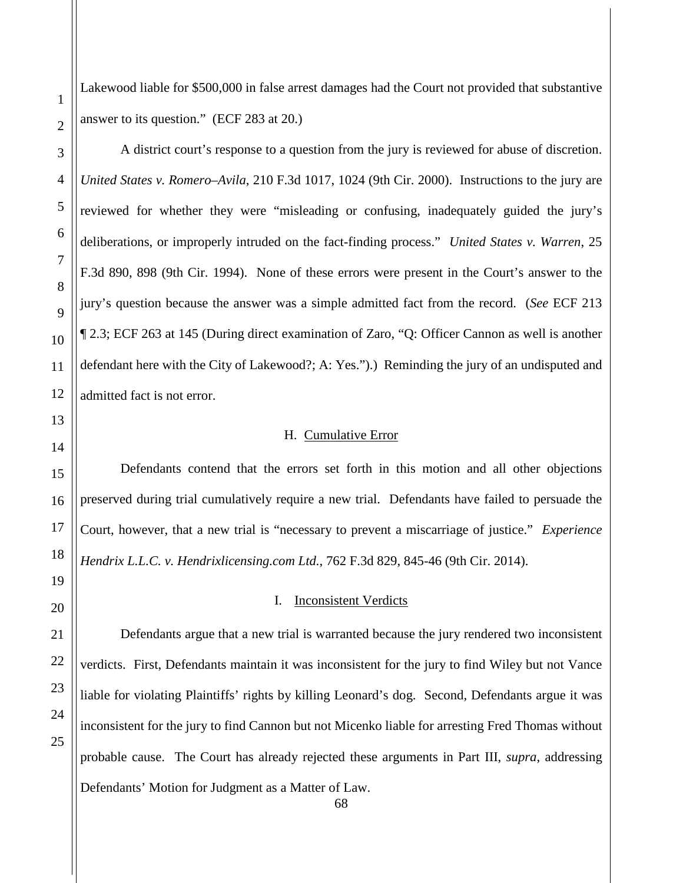Lakewood liable for \$500,000 in false arrest damages had the Court not provided that substantive answer to its question." (ECF 283 at 20.)

1

A district court's response to a question from the jury is reviewed for abuse of discretion. *United States v. Romero–Avila*, 210 F.3d 1017, 1024 (9th Cir. 2000). Instructions to the jury are reviewed for whether they were "misleading or confusing, inadequately guided the jury's deliberations, or improperly intruded on the fact-finding process." *United States v. Warren*, 25 F.3d 890, 898 (9th Cir. 1994). None of these errors were present in the Court's answer to the jury's question because the answer was a simple admitted fact from the record. (*See* ECF 213 ¶ 2.3; ECF 263 at 145 (During direct examination of Zaro, "Q: Officer Cannon as well is another defendant here with the City of Lakewood?; A: Yes.").) Reminding the jury of an undisputed and admitted fact is not error.

## H. Cumulative Error

<span id="page-67-0"></span>Defendants contend that the errors set forth in this motion and all other objections preserved during trial cumulatively require a new trial. Defendants have failed to persuade the Court, however, that a new trial is "necessary to prevent a miscarriage of justice." *Experience Hendrix L.L.C. v. Hendrixlicensing.com Ltd.*, 762 F.3d 829, 845-46 (9th Cir. 2014).

## I. Inconsistent Verdicts

<span id="page-67-1"></span>Defendants argue that a new trial is warranted because the jury rendered two inconsistent verdicts. First, Defendants maintain it was inconsistent for the jury to find Wiley but not Vance liable for violating Plaintiffs' rights by killing Leonard's dog. Second, Defendants argue it was inconsistent for the jury to find Cannon but not Micenko liable for arresting Fred Thomas without probable cause. The Court has already rejected these arguments in Part III, *supra*, addressing Defendants' Motion for Judgment as a Matter of Law.